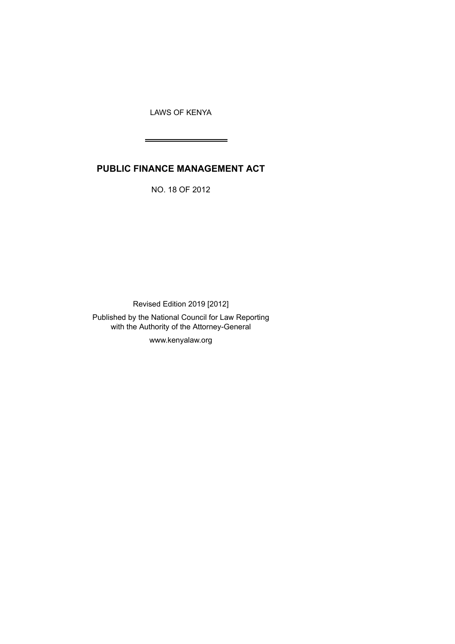LAWS OF KENYA

 $\overline{\phantom{0}}$ 

# **PUBLIC FINANCE MANAGEMENT ACT**

NO. 18 OF 2012

Revised Edition 2019 [2012] Published by the National Council for Law Reporting with the Authority of the Attorney-General

www.kenyalaw.org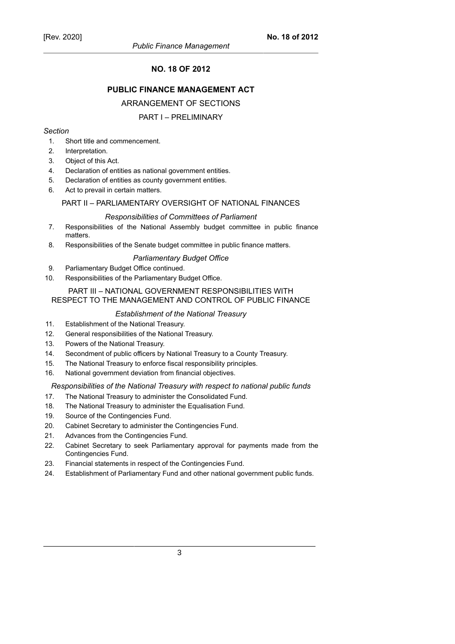# **NO. 18 OF 2012**

# **PUBLIC FINANCE MANAGEMENT ACT**

#### ARRANGEMENT OF SECTIONS

#### PART I – PRELIMINARY

#### *Section*

- 1. Short title and commencement.
- 2. Interpretation.
- 3. Object of this Act.
- 4. Declaration of entities as national government entities.
- 5. Declaration of entities as county government entities.
- 6. Act to prevail in certain matters.

#### PART II – PARLIAMENTARY OVERSIGHT OF NATIONAL FINANCES

#### *Responsibilities of Committees of Parliament*

- 7. Responsibilities of the National Assembly budget committee in public finance matters.
- 8. Responsibilities of the Senate budget committee in public finance matters.

#### *Parliamentary Budget Office*

- 9. Parliamentary Budget Office continued.
- 10. Responsibilities of the Parliamentary Budget Office.

## PART III – NATIONAL GOVERNMENT RESPONSIBILITIES WITH RESPECT TO THE MANAGEMENT AND CONTROL OF PUBLIC FINANCE

#### *Establishment of the National Treasury*

- 11. Establishment of the National Treasury.
- 12. General responsibilities of the National Treasury.
- 13. Powers of the National Treasury.
- 14. Secondment of public officers by National Treasury to a County Treasury.
- 15. The National Treasury to enforce fiscal responsibility principles.
- 16. National government deviation from financial objectives.

#### *Responsibilities of the National Treasury with respect to national public funds*

- 17. The National Treasury to administer the Consolidated Fund.
- 18. The National Treasury to administer the Equalisation Fund.
- 19. Source of the Contingencies Fund.
- 20. Cabinet Secretary to administer the Contingencies Fund.
- 21. Advances from the Contingencies Fund.
- 22. Cabinet Secretary to seek Parliamentary approval for payments made from the Contingencies Fund.
- 23. Financial statements in respect of the Contingencies Fund.
- 24. Establishment of Parliamentary Fund and other national government public funds.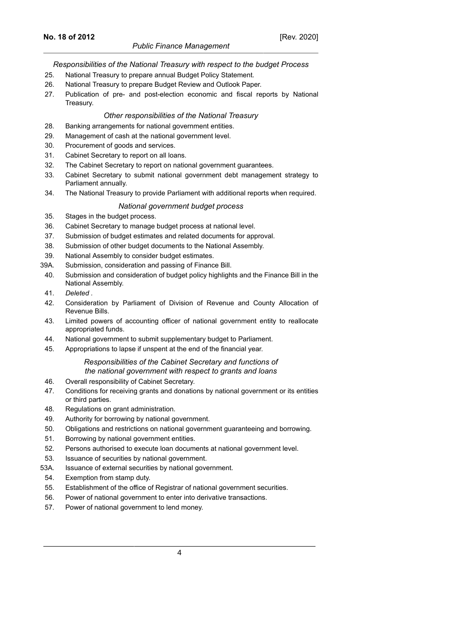### *Public Finance Management*

# *Responsibilities of the National Treasury with respect to the budget Process*

- 25. National Treasury to prepare annual Budget Policy Statement.
- 26. National Treasury to prepare Budget Review and Outlook Paper.
- 27. Publication of pre- and post-election economic and fiscal reports by National Treasury.

# *Other responsibilities of the National Treasury*

- 28. Banking arrangements for national government entities.
- 29. Management of cash at the national government level.
- 30. Procurement of goods and services.
- 31. Cabinet Secretary to report on all loans.
- 32. The Cabinet Secretary to report on national government guarantees.
- 33. Cabinet Secretary to submit national government debt management strategy to Parliament annually.
- 34. The National Treasury to provide Parliament with additional reports when required.

# *National government budget process*

- 35. Stages in the budget process.
- 36. Cabinet Secretary to manage budget process at national level.
- 37. Submission of budget estimates and related documents for approval.
- 38. Submission of other budget documents to the National Assembly.
- 39. National Assembly to consider budget estimates.
- 39A. Submission, consideration and passing of Finance Bill.
- 40. Submission and consideration of budget policy highlights and the Finance Bill in the National Assembly.
- 41. *Deleted .*
- 42. Consideration by Parliament of Division of Revenue and County Allocation of Revenue Bills.
- 43. Limited powers of accounting officer of national government entity to reallocate appropriated funds.
- 44. National government to submit supplementary budget to Parliament.
- 45. Appropriations to lapse if unspent at the end of the financial year.

# *Responsibilities of the Cabinet Secretary and functions of the national government with respect to grants and loans*

- 46. Overall responsibility of Cabinet Secretary.
- 47. Conditions for receiving grants and donations by national government or its entities or third parties.
- 48. Regulations on grant administration.
- 49. Authority for borrowing by national government.
- 50. Obligations and restrictions on national government guaranteeing and borrowing.
- 51. Borrowing by national government entities.
- 52. Persons authorised to execute loan documents at national government level.
- 53. Issuance of securities by national government.
- 53A. Issuance of external securities by national government.
- 54. Exemption from stamp duty.
- 55. Establishment of the office of Registrar of national government securities.
- 56. Power of national government to enter into derivative transactions.
- 57. Power of national government to lend money.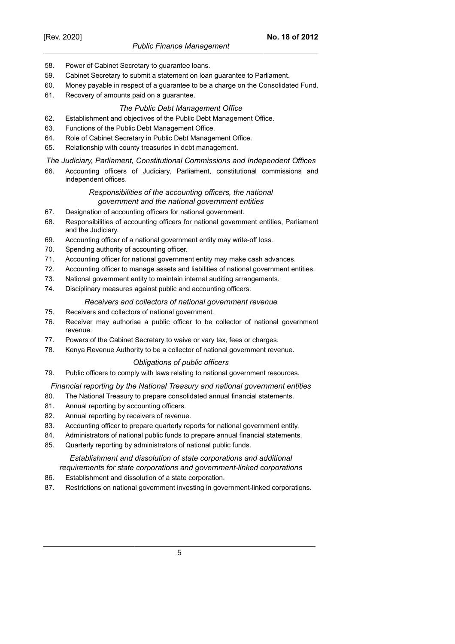- 58. Power of Cabinet Secretary to guarantee loans.
- 59. Cabinet Secretary to submit a statement on loan guarantee to Parliament.
- 60. Money payable in respect of a guarantee to be a charge on the Consolidated Fund.
- 61. Recovery of amounts paid on a guarantee.

#### *The Public Debt Management Office*

- 62. Establishment and objectives of the Public Debt Management Office.
- 63. Functions of the Public Debt Management Office.
- 64. Role of Cabinet Secretary in Public Debt Management Office.
- 65. Relationship with county treasuries in debt management.

#### *The Judiciary, Parliament, Constitutional Commissions and Independent Offices*

66. Accounting officers of Judiciary, Parliament, constitutional commissions and independent offices.

## *Responsibilities of the accounting officers, the national government and the national government entities*

- 67. Designation of accounting officers for national government.
- 68. Responsibilities of accounting officers for national government entities, Parliament and the Judiciary.
- 69. Accounting officer of a national government entity may write-off loss.
- 70. Spending authority of accounting officer.
- 71. Accounting officer for national government entity may make cash advances.
- 72. Accounting officer to manage assets and liabilities of national government entities.
- 73. National government entity to maintain internal auditing arrangements.
- 74. Disciplinary measures against public and accounting officers.

#### *Receivers and collectors of national government revenue*

- 75. Receivers and collectors of national government.
- 76. Receiver may authorise a public officer to be collector of national government revenue.
- 77. Powers of the Cabinet Secretary to waive or vary tax, fees or charges.
- 78. Kenya Revenue Authority to be a collector of national government revenue.

#### *Obligations of public officers*

79. Public officers to comply with laws relating to national government resources.

#### *Financial reporting by the National Treasury and national government entities*

- 80. The National Treasury to prepare consolidated annual financial statements.
- 81. Annual reporting by accounting officers.
- 82. Annual reporting by receivers of revenue.
- 83. Accounting officer to prepare quarterly reports for national government entity.
- 84. Administrators of national public funds to prepare annual financial statements.
- 85. Quarterly reporting by administrators of national public funds.

#### *Establishment and dissolution of state corporations and additional requirements for state corporations and government-linked corporations*

- 86. Establishment and dissolution of a state corporation.
- 87. Restrictions on national government investing in government-linked corporations.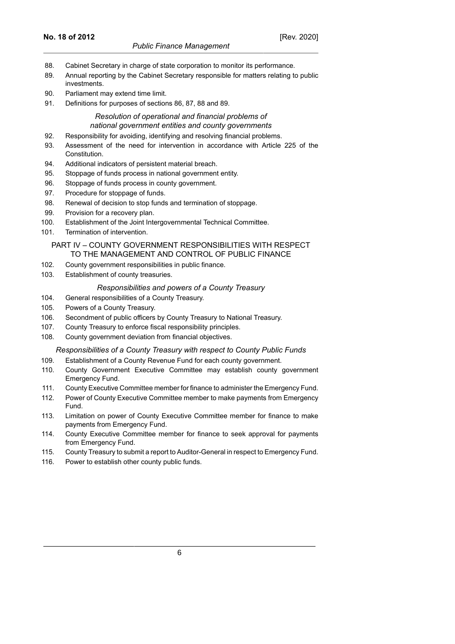- 88. Cabinet Secretary in charge of state corporation to monitor its performance.
- 89. Annual reporting by the Cabinet Secretary responsible for matters relating to public investments.
- 90. Parliament may extend time limit.
- 91. Definitions for purposes of sections 86, 87, 88 and 89.

# *Resolution of operational and financial problems of national government entities and county governments*

- 92. Responsibility for avoiding, identifying and resolving financial problems.
- 93. Assessment of the need for intervention in accordance with Article 225 of the Constitution.
- 94. Additional indicators of persistent material breach.
- 95. Stoppage of funds process in national government entity.
- 96. Stoppage of funds process in county government.
- 97. Procedure for stoppage of funds.
- 98. Renewal of decision to stop funds and termination of stoppage.
- 99. Provision for a recovery plan.
- 100. Establishment of the Joint Intergovernmental Technical Committee.
- 101. Termination of intervention.

#### PART IV – COUNTY GOVERNMENT RESPONSIBILITIES WITH RESPECT TO THE MANAGEMENT AND CONTROL OF PUBLIC FINANCE

- 102. County government responsibilities in public finance.
- 103. Establishment of county treasuries.

#### *Responsibilities and powers of a County Treasury*

- 104. General responsibilities of a County Treasury.
- 105. Powers of a County Treasury.
- 106. Secondment of public officers by County Treasury to National Treasury.
- 107. County Treasury to enforce fiscal responsibility principles.
- 108. County government deviation from financial objectives.

### *Responsibilities of a County Treasury with respect to County Public Funds*

- 109. Establishment of a County Revenue Fund for each county government.
- 110. County Government Executive Committee may establish county government Emergency Fund.
- 111. County Executive Committee member for finance to administer the Emergency Fund.
- 112. Power of County Executive Committee member to make payments from Emergency Fund.
- 113. Limitation on power of County Executive Committee member for finance to make payments from Emergency Fund.
- 114. County Executive Committee member for finance to seek approval for payments from Emergency Fund.
- 115. County Treasury to submit a report to Auditor-General in respect to Emergency Fund.
- 116. Power to establish other county public funds.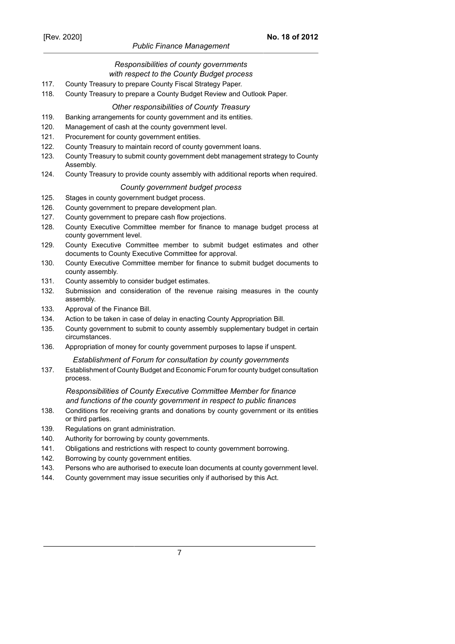# *Public Finance Management*

### *Responsibilities of county governments with respect to the County Budget process*

- 117. County Treasury to prepare County Fiscal Strategy Paper.
- 118. County Treasury to prepare a County Budget Review and Outlook Paper.

## *Other responsibilities of County Treasury*

- 119. Banking arrangements for county government and its entities.
- 120. Management of cash at the county government level.
- 121. Procurement for county government entities.
- 122. County Treasury to maintain record of county government loans.
- 123. County Treasury to submit county government debt management strategy to County Assembly.
- 124. County Treasury to provide county assembly with additional reports when required.

#### *County government budget process*

- 125. Stages in county government budget process.
- 126. County government to prepare development plan.
- 127. County government to prepare cash flow projections.
- 128. County Executive Committee member for finance to manage budget process at county government level.
- 129. County Executive Committee member to submit budget estimates and other documents to County Executive Committee for approval.
- 130. County Executive Committee member for finance to submit budget documents to county assembly.
- 131. County assembly to consider budget estimates.
- 132. Submission and consideration of the revenue raising measures in the county assembly.
- 133. Approval of the Finance Bill.
- 134. Action to be taken in case of delay in enacting County Appropriation Bill.
- 135. County government to submit to county assembly supplementary budget in certain circumstances.
- 136. Appropriation of money for county government purposes to lapse if unspent.

#### *Establishment of Forum for consultation by county governments*

137. Establishment of County Budget and Economic Forum for county budget consultation process.

# *Responsibilities of County Executive Committee Member for finance and functions of the county government in respect to public finances*

- 138. Conditions for receiving grants and donations by county government or its entities or third parties.
- 139. Regulations on grant administration.
- 140. Authority for borrowing by county governments.
- 141. Obligations and restrictions with respect to county government borrowing.
- 142. Borrowing by county government entities.
- 143. Persons who are authorised to execute loan documents at county government level.
- 144. County government may issue securities only if authorised by this Act.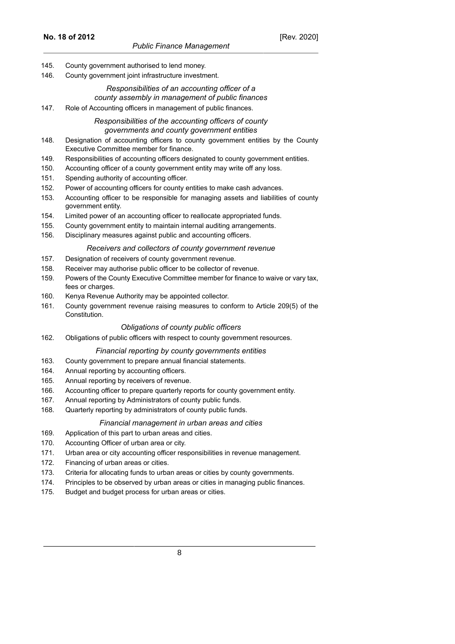- 145. County government authorised to lend money.
- 146. County government joint infrastructure investment.

# *Responsibilities of an accounting officer of a county assembly in management of public finances*

147. Role of Accounting officers in management of public finances.

# *Responsibilities of the accounting officers of county governments and county government entities*

- 148. Designation of accounting officers to county government entities by the County Executive Committee member for finance.
- 149. Responsibilities of accounting officers designated to county government entities.
- 150. Accounting officer of a county government entity may write off any loss.
- 151. Spending authority of accounting officer.
- 152. Power of accounting officers for county entities to make cash advances.
- 153. Accounting officer to be responsible for managing assets and liabilities of county government entity.
- 154. Limited power of an accounting officer to reallocate appropriated funds.
- 155. County government entity to maintain internal auditing arrangements.
- 156. Disciplinary measures against public and accounting officers.

#### *Receivers and collectors of county government revenue*

- 157. Designation of receivers of county government revenue.
- 158. Receiver may authorise public officer to be collector of revenue.
- 159. Powers of the County Executive Committee member for finance to waive or vary tax, fees or charges.
- 160. Kenya Revenue Authority may be appointed collector.
- 161. County government revenue raising measures to conform to Article 209(5) of the Constitution.

#### *Obligations of county public officers*

162. Obligations of public officers with respect to county government resources.

#### *Financial reporting by county governments entities*

- 163. County government to prepare annual financial statements.
- 164. Annual reporting by accounting officers.
- 165. Annual reporting by receivers of revenue.
- 166. Accounting officer to prepare quarterly reports for county government entity.
- 167. Annual reporting by Administrators of county public funds.
- 168. Quarterly reporting by administrators of county public funds.

#### *Financial management in urban areas and cities*

- 169. Application of this part to urban areas and cities.
- 170. Accounting Officer of urban area or city.
- 171. Urban area or city accounting officer responsibilities in revenue management.
- 172. Financing of urban areas or cities.
- 173. Criteria for allocating funds to urban areas or cities by county governments.
- 174. Principles to be observed by urban areas or cities in managing public finances.
- 175. Budget and budget process for urban areas or cities.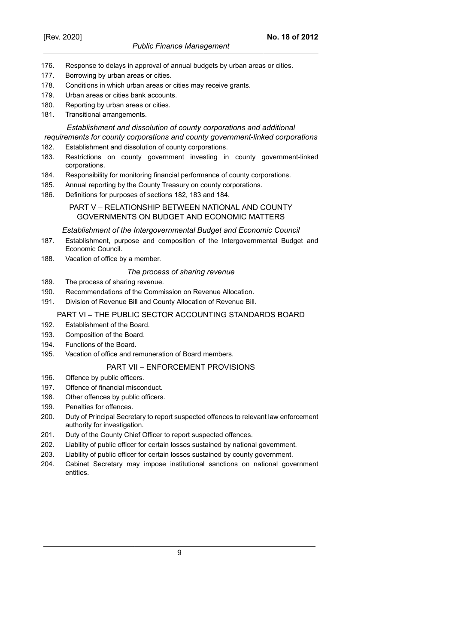- 176. Response to delays in approval of annual budgets by urban areas or cities.
- 177. Borrowing by urban areas or cities.
- 178. Conditions in which urban areas or cities may receive grants.
- 179. Urban areas or cities bank accounts.
- 180. Reporting by urban areas or cities.
- 181. Transitional arrangements.

# *Establishment and dissolution of county corporations and additional*

# *requirements for county corporations and county government-linked corporations*

- 182. Establishment and dissolution of county corporations.
- 183. Restrictions on county government investing in county government-linked corporations.
- 184. Responsibility for monitoring financial performance of county corporations.
- 185. Annual reporting by the County Treasury on county corporations.
- 186. Definitions for purposes of sections 182, 183 and 184.

# PART V – RELATIONSHIP BETWEEN NATIONAL AND COUNTY GOVERNMENTS ON BUDGET AND ECONOMIC MATTERS

#### *Establishment of the Intergovernmental Budget and Economic Council*

- 187. Establishment, purpose and composition of the Intergovernmental Budget and Economic Council.
- 188. Vacation of office by a member.

# *The process of sharing revenue*

- 189. The process of sharing revenue.
- 190. Recommendations of the Commission on Revenue Allocation.
- 191. Division of Revenue Bill and County Allocation of Revenue Bill.

# PART VI – THE PUBLIC SECTOR ACCOUNTING STANDARDS BOARD

- 192. Establishment of the Board.
- 193. Composition of the Board.
- 194. Functions of the Board.
- 195. Vacation of office and remuneration of Board members.

#### PART VII – ENFORCEMENT PROVISIONS

- 196. Offence by public officers.
- 197. Offence of financial misconduct.
- 198. Other offences by public officers.
- 199. Penalties for offences.
- 200. Duty of Principal Secretary to report suspected offences to relevant law enforcement authority for investigation.
- 201. Duty of the County Chief Officer to report suspected offences.
- 202. Liability of public officer for certain losses sustained by national government.
- 203. Liability of public officer for certain losses sustained by county government.
- 204. Cabinet Secretary may impose institutional sanctions on national government entities.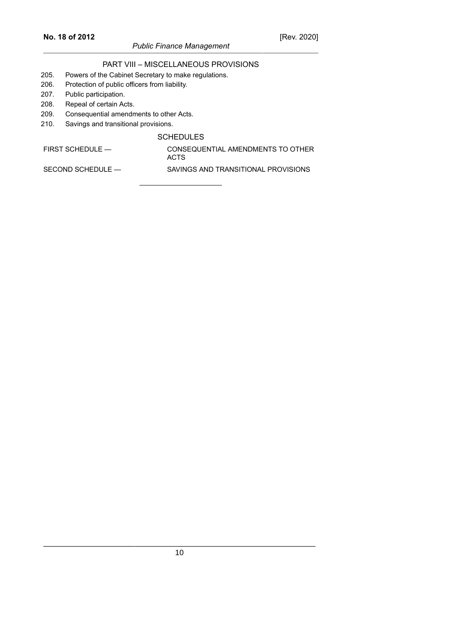# *Public Finance Management*

# PART VIII – MISCELLANEOUS PROVISIONS

- 205. Powers of the Cabinet Secretary to make regulations.
- 206. Protection of public officers from liability.
- 207. Public participation.
- 208. Repeal of certain Acts.
- 209. Consequential amendments to other Acts.
- 210. Savings and transitional provisions.

#### **SCHEDULES**

FIRST SCHEDULE — CONSEQUENTIAL AMENDMENTS TO OTHER

ACTS SECOND SCHEDULE — SAVINGS AND TRANSITIONAL PROVISIONS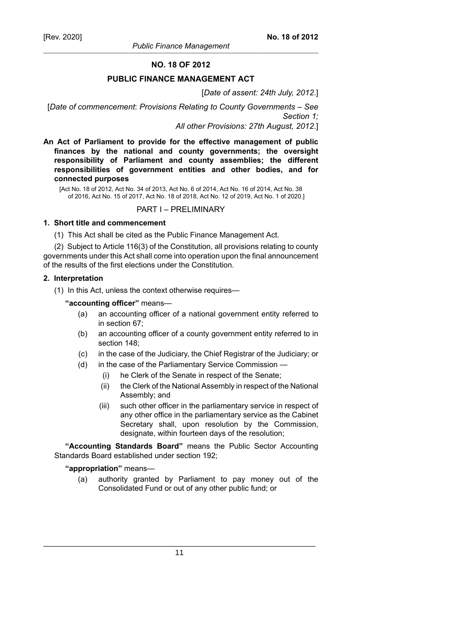# **NO. 18 OF 2012**

#### **PUBLIC FINANCE MANAGEMENT ACT**

#### [*Date of assent: 24th July, 2012*.]

[*Date of commencement*: *Provisions Relating to County Governments – See Section 1; All other Provisions: 27th August, 2012*.]

**An Act of Parliament to provide for the effective management of public finances by the national and county governments; the oversight responsibility of Parliament and county assemblies; the different responsibilities of government entities and other bodies, and for connected purposes**

[Act No. 18 of 2012, Act No. 34 of 2013, Act No. 6 of 2014, Act No. 16 of 2014, Act No. 38 of 2016, Act No. 15 of 2017, Act No. 18 of 2018, Act No. 12 of 2019, Act No. 1 of 2020.]

### PART I – PRELIMINARY

#### **1. Short title and commencement**

(1) This Act shall be cited as the Public Finance Management Act.

(2) Subject to Article 116(3) of the Constitution, all provisions relating to county governments under this Act shall come into operation upon the final announcement of the results of the first elections under the Constitution.

#### **2. Interpretation**

(1) In this Act, unless the context otherwise requires—

#### **"accounting officer"** means—

- (a) an accounting officer of a national government entity referred to in section 67;
- (b) an accounting officer of a county government entity referred to in section 148;
- (c) in the case of the Judiciary, the Chief Registrar of the Judiciary; or
- (d) in the case of the Parliamentary Service Commission
	- (i) he Clerk of the Senate in respect of the Senate;
	- (ii) the Clerk of the National Assembly in respect of the National Assembly; and
	- (iii) such other officer in the parliamentary service in respect of any other office in the parliamentary service as the Cabinet Secretary shall, upon resolution by the Commission, designate, within fourteen days of the resolution;

**"Accounting Standards Board"** means the Public Sector Accounting Standards Board established under section 192;

#### **"appropriation"** means—

(a) authority granted by Parliament to pay money out of the Consolidated Fund or out of any other public fund; or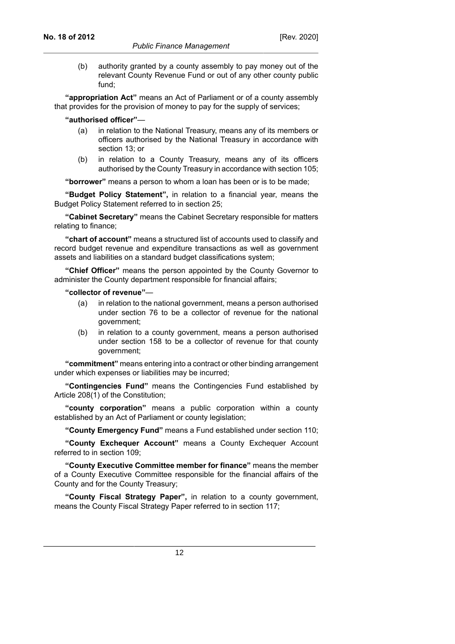(b) authority granted by a county assembly to pay money out of the relevant County Revenue Fund or out of any other county public fund;

**"appropriation Act"** means an Act of Parliament or of a county assembly that provides for the provision of money to pay for the supply of services;

**"authorised officer"**—

- (a) in relation to the National Treasury, means any of its members or officers authorised by the National Treasury in accordance with section 13; or
- (b) in relation to a County Treasury, means any of its officers authorised by the County Treasury in accordance with section 105;

**"borrower"** means a person to whom a loan has been or is to be made;

**"Budget Policy Statement",** in relation to a financial year, means the Budget Policy Statement referred to in section 25;

**"Cabinet Secretary"** means the Cabinet Secretary responsible for matters relating to finance;

**"chart of account"** means a structured list of accounts used to classify and record budget revenue and expenditure transactions as well as government assets and liabilities on a standard budget classifications system;

**"Chief Officer"** means the person appointed by the County Governor to administer the County department responsible for financial affairs;

**"collector of revenue"**—

- (a) in relation to the national government, means a person authorised under section 76 to be a collector of revenue for the national government;
- (b) in relation to a county government, means a person authorised under section 158 to be a collector of revenue for that county government;

**"commitment"** means entering into a contract or other binding arrangement under which expenses or liabilities may be incurred;

**"Contingencies Fund"** means the Contingencies Fund established by Article 208(1) of the Constitution;

**"county corporation"** means a public corporation within a county established by an Act of Parliament or county legislation;

**"County Emergency Fund"** means a Fund established under section 110;

**"County Exchequer Account"** means a County Exchequer Account referred to in section 109;

**"County Executive Committee member for finance"** means the member of a County Executive Committee responsible for the financial affairs of the County and for the County Treasury;

**"County Fiscal Strategy Paper",** in relation to a county government, means the County Fiscal Strategy Paper referred to in section 117;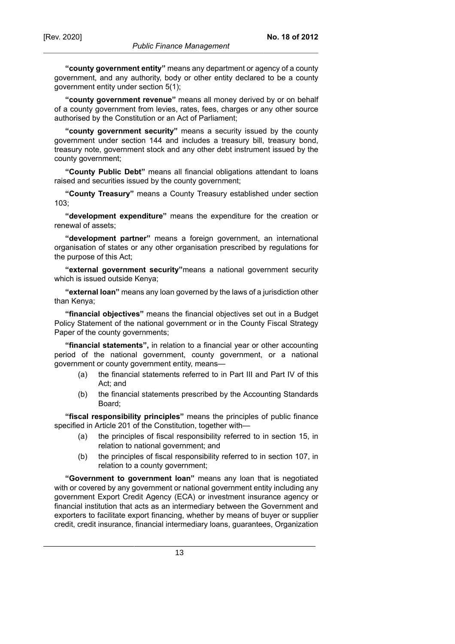**"county government entity"** means any department or agency of a county government, and any authority, body or other entity declared to be a county government entity under section 5(1);

**"county government revenue"** means all money derived by or on behalf of a county government from levies, rates, fees, charges or any other source authorised by the Constitution or an Act of Parliament;

**"county government security"** means a security issued by the county government under section 144 and includes a treasury bill, treasury bond, treasury note, government stock and any other debt instrument issued by the county government;

**"County Public Debt"** means all financial obligations attendant to loans raised and securities issued by the county government;

**"County Treasury"** means a County Treasury established under section 103;

**"development expenditure"** means the expenditure for the creation or renewal of assets;

**"development partner"** means a foreign government, an international organisation of states or any other organisation prescribed by regulations for the purpose of this Act;

**"external government security"**means a national government security which is issued outside Kenya;

**"external loan"** means any loan governed by the laws of a jurisdiction other than Kenya;

**"financial objectives"** means the financial objectives set out in a Budget Policy Statement of the national government or in the County Fiscal Strategy Paper of the county governments;

**"financial statements",** in relation to a financial year or other accounting period of the national government, county government, or a national government or county government entity, means—

- (a) the financial statements referred to in Part III and Part IV of this Act; and
- (b) the financial statements prescribed by the Accounting Standards Board;

**"fiscal responsibility principles"** means the principles of public finance specified in Article 201 of the Constitution, together with—

- (a) the principles of fiscal responsibility referred to in section 15, in relation to national government; and
- (b) the principles of fiscal responsibility referred to in section 107, in relation to a county government;

**"Government to government loan"** means any loan that is negotiated with or covered by any government or national government entity including any government Export Credit Agency (ECA) or investment insurance agency or financial institution that acts as an intermediary between the Government and exporters to facilitate export financing, whether by means of buyer or supplier credit, credit insurance, financial intermediary loans, guarantees, Organization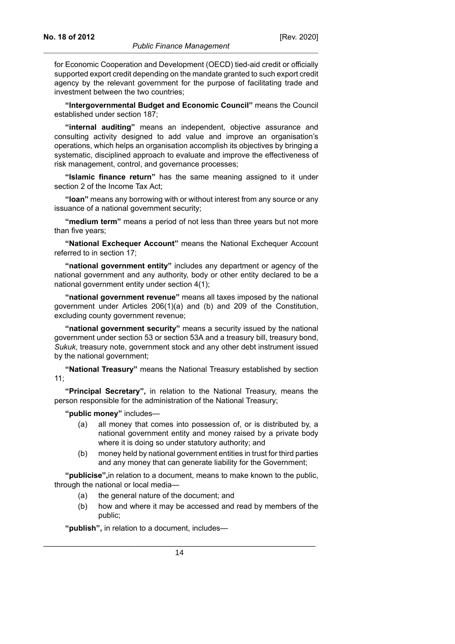for Economic Cooperation and Development (OECD) tied-aid credit or officially supported export credit depending on the mandate granted to such export credit agency by the relevant government for the purpose of facilitating trade and investment between the two countries;

**"Intergovernmental Budget and Economic Council"** means the Council established under section 187;

**"internal auditing"** means an independent, objective assurance and consulting activity designed to add value and improve an organisation's operations, which helps an organisation accomplish its objectives by bringing a systematic, disciplined approach to evaluate and improve the effectiveness of risk management, control, and governance processes;

**"Islamic finance return"** has the same meaning assigned to it under section 2 of the Income Tax Act;

**"loan"** means any borrowing with or without interest from any source or any issuance of a national government security;

**"medium term"** means a period of not less than three years but not more than five years;

**"National Exchequer Account"** means the National Exchequer Account referred to in section 17;

**"national government entity"** includes any department or agency of the national government and any authority, body or other entity declared to be a national government entity under section 4(1);

**"national government revenue"** means all taxes imposed by the national government under Articles 206(1)(a) and (b) and 209 of the Constitution, excluding county government revenue;

**"national government security"** means a security issued by the national government under section 53 or section 53A and a treasury bill, treasury bond, *Sukuk*, treasury note, government stock and any other debt instrument issued by the national government;

**"National Treasury"** means the National Treasury established by section 11;

**"Principal Secretary",** in relation to the National Treasury, means the person responsible for the administration of the National Treasury;

**"public money"** includes—

- (a) all money that comes into possession of, or is distributed by, a national government entity and money raised by a private body where it is doing so under statutory authority; and
- (b) money held by national government entities in trust for third parties and any money that can generate liability for the Government;

**"publicise",**in relation to a document, means to make known to the public, through the national or local media—

- (a) the general nature of the document; and
- (b) how and where it may be accessed and read by members of the public;

**"publish",** in relation to a document, includes—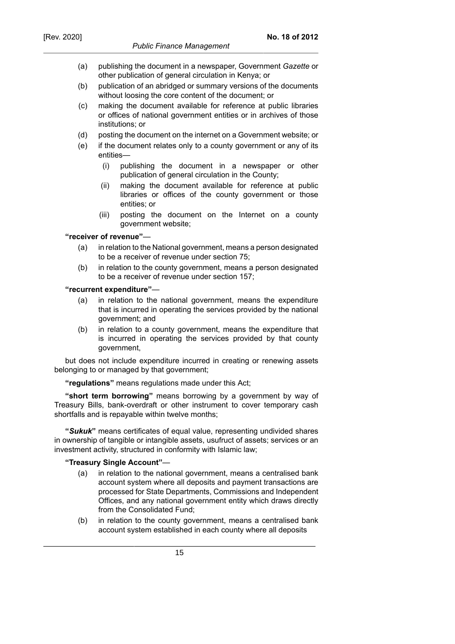- (a) publishing the document in a newspaper, Government *Gazette* or other publication of general circulation in Kenya; or
- (b) publication of an abridged or summary versions of the documents without loosing the core content of the document; or
- (c) making the document available for reference at public libraries or offices of national government entities or in archives of those institutions; or
- (d) posting the document on the internet on a Government website; or
- (e) if the document relates only to a county government or any of its entities—
	- (i) publishing the document in a newspaper or other publication of general circulation in the County;
	- (ii) making the document available for reference at public libraries or offices of the county government or those entities; or
	- (iii) posting the document on the Internet on a county government website;

#### **"receiver of revenue"**—

- (a) in relation to the National government, means a person designated to be a receiver of revenue under section 75;
- (b) in relation to the county government, means a person designated to be a receiver of revenue under section 157;

#### **"recurrent expenditure"**—

- (a) in relation to the national government, means the expenditure that is incurred in operating the services provided by the national government; and
- (b) in relation to a county government, means the expenditure that is incurred in operating the services provided by that county government,

but does not include expenditure incurred in creating or renewing assets belonging to or managed by that government;

**"regulations"** means regulations made under this Act;

**"short term borrowing"** means borrowing by a government by way of Treasury Bills, bank-overdraft or other instrument to cover temporary cash shortfalls and is repayable within twelve months;

**"***Sukuk***"** means certificates of equal value, representing undivided shares in ownership of tangible or intangible assets, usufruct of assets; services or an investment activity, structured in conformity with Islamic law;

#### **"Treasury Single Account"**—

- (a) in relation to the national government, means a centralised bank account system where all deposits and payment transactions are processed for State Departments, Commissions and Independent Offices, and any national government entity which draws directly from the Consolidated Fund;
- (b) in relation to the county government, means a centralised bank account system established in each county where all deposits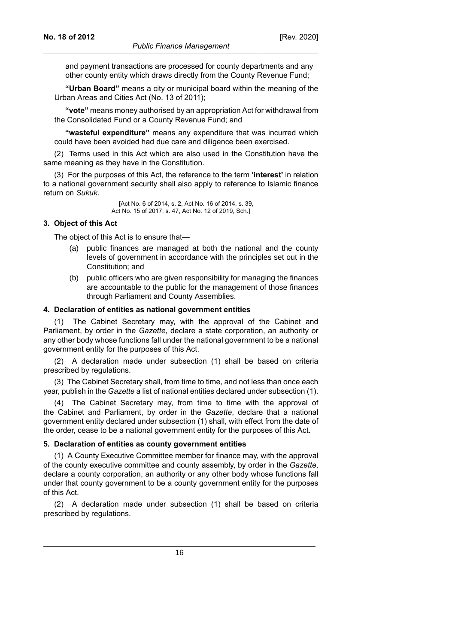and payment transactions are processed for county departments and any other county entity which draws directly from the County Revenue Fund;

**"Urban Board"** means a city or municipal board within the meaning of the Urban Areas and Cities Act (No. 13 of 2011);

**"vote"** means money authorised by an appropriation Act for withdrawal from the Consolidated Fund or a County Revenue Fund; and

**"wasteful expenditure"** means any expenditure that was incurred which could have been avoided had due care and diligence been exercised.

(2) Terms used in this Act which are also used in the Constitution have the same meaning as they have in the Constitution.

(3) For the purposes of this Act, the reference to the term **'interest'** in relation to a national government security shall also apply to reference to Islamic finance return on *Sukuk*.

> [Act No. 6 of 2014, s. 2, Act No. 16 of 2014, s. 39, Act No. 15 of 2017, s. 47, Act No. 12 of 2019, Sch.]

#### **3. Object of this Act**

The object of this Act is to ensure that—

- (a) public finances are managed at both the national and the county levels of government in accordance with the principles set out in the Constitution; and
- (b) public officers who are given responsibility for managing the finances are accountable to the public for the management of those finances through Parliament and County Assemblies.

#### **4. Declaration of entities as national government entities**

(1) The Cabinet Secretary may, with the approval of the Cabinet and Parliament, by order in the *Gazette*, declare a state corporation, an authority or any other body whose functions fall under the national government to be a national government entity for the purposes of this Act.

(2) A declaration made under subsection (1) shall be based on criteria prescribed by regulations.

(3) The Cabinet Secretary shall, from time to time, and not less than once each year, publish in the *Gazette* a list of national entities declared under subsection (1).

(4) The Cabinet Secretary may, from time to time with the approval of the Cabinet and Parliament, by order in the *Gazette*, declare that a national government entity declared under subsection (1) shall, with effect from the date of the order, cease to be a national government entity for the purposes of this Act.

#### **5. Declaration of entities as county government entities**

(1) A County Executive Committee member for finance may, with the approval of the county executive committee and county assembly, by order in the *Gazette*, declare a county corporation, an authority or any other body whose functions fall under that county government to be a county government entity for the purposes of this Act.

(2) A declaration made under subsection (1) shall be based on criteria prescribed by regulations.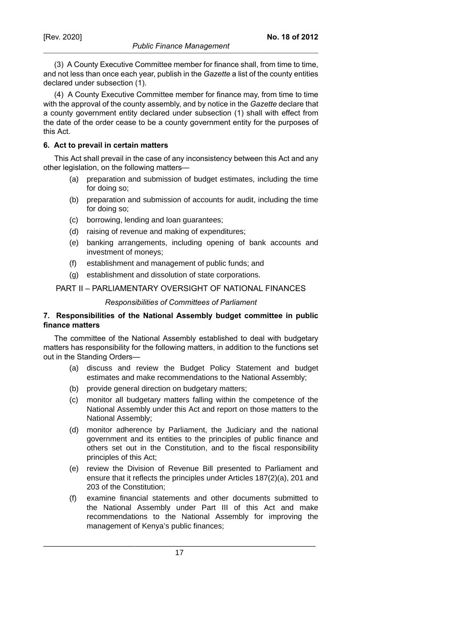**No. 18 of 2012**

(4) A County Executive Committee member for finance may, from time to time with the approval of the county assembly, and by notice in the *Gazette* declare that a county government entity declared under subsection (1) shall with effect from the date of the order cease to be a county government entity for the purposes of this Act.

# **6. Act to prevail in certain matters**

This Act shall prevail in the case of any inconsistency between this Act and any other legislation, on the following matters—

- (a) preparation and submission of budget estimates, including the time for doing so;
- (b) preparation and submission of accounts for audit, including the time for doing so;
- (c) borrowing, lending and loan guarantees;
- (d) raising of revenue and making of expenditures;
- (e) banking arrangements, including opening of bank accounts and investment of moneys;
- (f) establishment and management of public funds; and
- (g) establishment and dissolution of state corporations.

# PART II – PARLIAMENTARY OVERSIGHT OF NATIONAL FINANCES

#### *Responsibilities of Committees of Parliament*

# **7. Responsibilities of the National Assembly budget committee in public finance matters**

The committee of the National Assembly established to deal with budgetary matters has responsibility for the following matters, in addition to the functions set out in the Standing Orders—

- (a) discuss and review the Budget Policy Statement and budget estimates and make recommendations to the National Assembly;
- (b) provide general direction on budgetary matters;
- (c) monitor all budgetary matters falling within the competence of the National Assembly under this Act and report on those matters to the National Assembly;
- (d) monitor adherence by Parliament, the Judiciary and the national government and its entities to the principles of public finance and others set out in the Constitution, and to the fiscal responsibility principles of this Act;
- (e) review the Division of Revenue Bill presented to Parliament and ensure that it reflects the principles under Articles 187(2)(a), 201 and 203 of the Constitution;
- (f) examine financial statements and other documents submitted to the National Assembly under Part III of this Act and make recommendations to the National Assembly for improving the management of Kenya's public finances;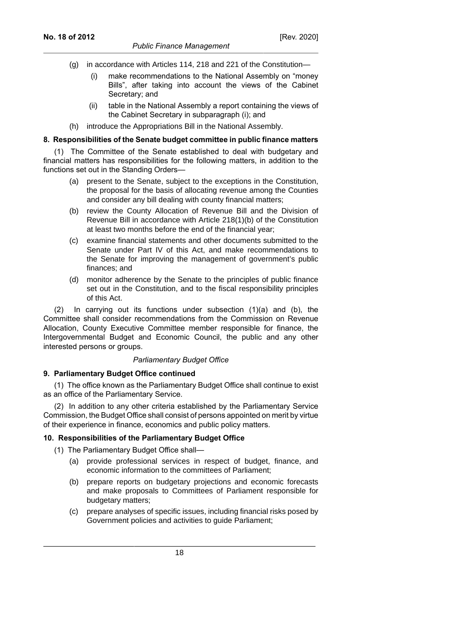- (g) in accordance with Articles 114, 218 and 221 of the Constitution—
	- (i) make recommendations to the National Assembly on "money Bills", after taking into account the views of the Cabinet Secretary; and
	- (ii) table in the National Assembly a report containing the views of the Cabinet Secretary in subparagraph (i); and
- (h) introduce the Appropriations Bill in the National Assembly.

# **8. Responsibilities of the Senate budget committee in public finance matters**

(1) The Committee of the Senate established to deal with budgetary and financial matters has responsibilities for the following matters, in addition to the functions set out in the Standing Orders—

- (a) present to the Senate, subject to the exceptions in the Constitution, the proposal for the basis of allocating revenue among the Counties and consider any bill dealing with county financial matters;
- (b) review the County Allocation of Revenue Bill and the Division of Revenue Bill in accordance with Article 218(1)(b) of the Constitution at least two months before the end of the financial year;
- (c) examine financial statements and other documents submitted to the Senate under Part IV of this Act, and make recommendations to the Senate for improving the management of government's public finances; and
- (d) monitor adherence by the Senate to the principles of public finance set out in the Constitution, and to the fiscal responsibility principles of this Act.

(2) In carrying out its functions under subsection (1)(a) and (b), the Committee shall consider recommendations from the Commission on Revenue Allocation, County Executive Committee member responsible for finance, the Intergovernmental Budget and Economic Council, the public and any other interested persons or groups.

# *Parliamentary Budget Office*

#### **9. Parliamentary Budget Office continued**

(1) The office known as the Parliamentary Budget Office shall continue to exist as an office of the Parliamentary Service.

(2) In addition to any other criteria established by the Parliamentary Service Commission, the Budget Office shall consist of persons appointed on merit by virtue of their experience in finance, economics and public policy matters.

# **10. Responsibilities of the Parliamentary Budget Office**

- (1) The Parliamentary Budget Office shall—
	- (a) provide professional services in respect of budget, finance, and economic information to the committees of Parliament;
	- (b) prepare reports on budgetary projections and economic forecasts and make proposals to Committees of Parliament responsible for budgetary matters;
	- (c) prepare analyses of specific issues, including financial risks posed by Government policies and activities to guide Parliament;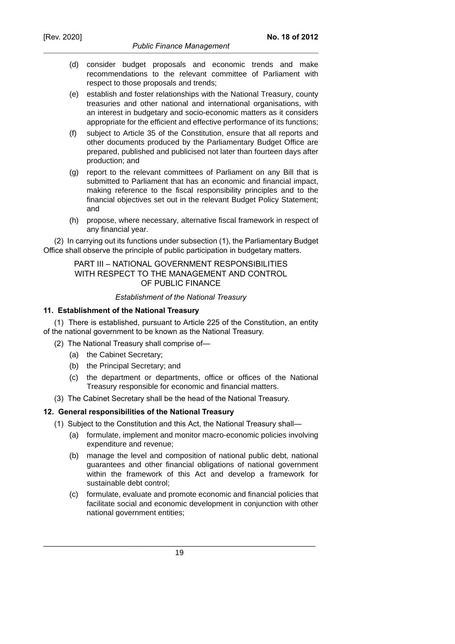- (d) consider budget proposals and economic trends and make recommendations to the relevant committee of Parliament with respect to those proposals and trends;
- (e) establish and foster relationships with the National Treasury, county treasuries and other national and international organisations, with an interest in budgetary and socio-economic matters as it considers appropriate for the efficient and effective performance of its functions;
- (f) subject to Article 35 of the Constitution, ensure that all reports and other documents produced by the Parliamentary Budget Office are prepared, published and publicised not later than fourteen days after production; and
- (g) report to the relevant committees of Parliament on any Bill that is submitted to Parliament that has an economic and financial impact, making reference to the fiscal responsibility principles and to the financial objectives set out in the relevant Budget Policy Statement; and
- (h) propose, where necessary, alternative fiscal framework in respect of any financial year.

(2) In carrying out its functions under subsection (1), the Parliamentary Budget Office shall observe the principle of public participation in budgetary matters.

# PART III – NATIONAL GOVERNMENT RESPONSIBILITIES WITH RESPECT TO THE MANAGEMENT AND CONTROL OF PUBLIC FINANCE

# *Establishment of the National Treasury*

# **11. Establishment of the National Treasury**

(1) There is established, pursuant to Article 225 of the Constitution, an entity of the national government to be known as the National Treasury.

- (2) The National Treasury shall comprise of—
	- (a) the Cabinet Secretary;
	- (b) the Principal Secretary; and
	- (c) the department or departments, office or offices of the National Treasury responsible for economic and financial matters.
- (3) The Cabinet Secretary shall be the head of the National Treasury.

# **12. General responsibilities of the National Treasury**

- (1) Subject to the Constitution and this Act, the National Treasury shall—
	- (a) formulate, implement and monitor macro-economic policies involving expenditure and revenue;
	- (b) manage the level and composition of national public debt, national guarantees and other financial obligations of national government within the framework of this Act and develop a framework for sustainable debt control;
	- (c) formulate, evaluate and promote economic and financial policies that facilitate social and economic development in conjunction with other national government entities;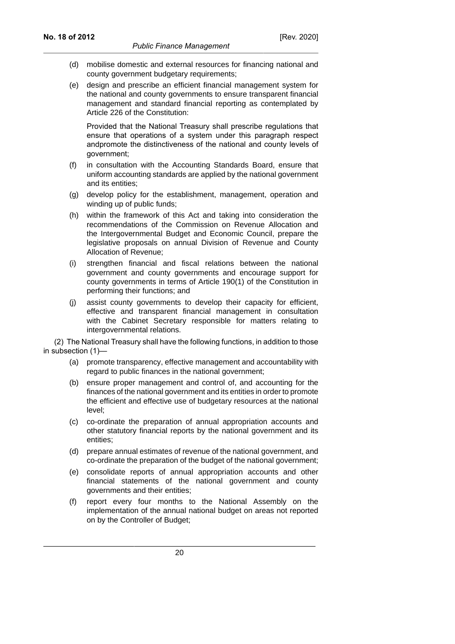- (d) mobilise domestic and external resources for financing national and county government budgetary requirements;
- (e) design and prescribe an efficient financial management system for the national and county governments to ensure transparent financial management and standard financial reporting as contemplated by Article 226 of the Constitution:

Provided that the National Treasury shall prescribe regulations that ensure that operations of a system under this paragraph respect andpromote the distinctiveness of the national and county levels of government;

- (f) in consultation with the Accounting Standards Board, ensure that uniform accounting standards are applied by the national government and its entities;
- (g) develop policy for the establishment, management, operation and winding up of public funds;
- (h) within the framework of this Act and taking into consideration the recommendations of the Commission on Revenue Allocation and the Intergovernmental Budget and Economic Council, prepare the legislative proposals on annual Division of Revenue and County Allocation of Revenue;
- (i) strengthen financial and fiscal relations between the national government and county governments and encourage support for county governments in terms of Article 190(1) of the Constitution in performing their functions; and
- (j) assist county governments to develop their capacity for efficient, effective and transparent financial management in consultation with the Cabinet Secretary responsible for matters relating to intergovernmental relations.

(2) The National Treasury shall have the following functions, in addition to those in subsection (1)-

- (a) promote transparency, effective management and accountability with regard to public finances in the national government;
- (b) ensure proper management and control of, and accounting for the finances of the national government and its entities in order to promote the efficient and effective use of budgetary resources at the national level;
- (c) co-ordinate the preparation of annual appropriation accounts and other statutory financial reports by the national government and its entities;
- (d) prepare annual estimates of revenue of the national government, and co-ordinate the preparation of the budget of the national government;
- (e) consolidate reports of annual appropriation accounts and other financial statements of the national government and county governments and their entities;
- (f) report every four months to the National Assembly on the implementation of the annual national budget on areas not reported on by the Controller of Budget;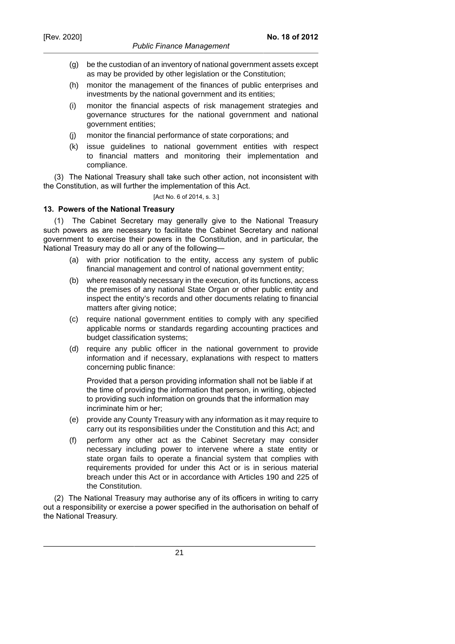- (g) be the custodian of an inventory of national government assets except as may be provided by other legislation or the Constitution;
- (h) monitor the management of the finances of public enterprises and investments by the national government and its entities;
- (i) monitor the financial aspects of risk management strategies and governance structures for the national government and national government entities;
- (j) monitor the financial performance of state corporations; and
- (k) issue guidelines to national government entities with respect to financial matters and monitoring their implementation and compliance.

(3) The National Treasury shall take such other action, not inconsistent with the Constitution, as will further the implementation of this Act.

[Act No. 6 of 2014, s. 3.]

# **13. Powers of the National Treasury**

(1) The Cabinet Secretary may generally give to the National Treasury such powers as are necessary to facilitate the Cabinet Secretary and national government to exercise their powers in the Constitution, and in particular, the National Treasury may do all or any of the following—

- (a) with prior notification to the entity, access any system of public financial management and control of national government entity;
- (b) where reasonably necessary in the execution, of its functions, access the premises of any national State Organ or other public entity and inspect the entity's records and other documents relating to financial matters after giving notice;
- (c) require national government entities to comply with any specified applicable norms or standards regarding accounting practices and budget classification systems;
- (d) require any public officer in the national government to provide information and if necessary, explanations with respect to matters concerning public finance:

Provided that a person providing information shall not be liable if at the time of providing the information that person, in writing, objected to providing such information on grounds that the information may incriminate him or her;

- (e) provide any County Treasury with any information as it may require to carry out its responsibilities under the Constitution and this Act; and
- (f) perform any other act as the Cabinet Secretary may consider necessary including power to intervene where a state entity or state organ fails to operate a financial system that complies with requirements provided for under this Act or is in serious material breach under this Act or in accordance with Articles 190 and 225 of the Constitution.

(2) The National Treasury may authorise any of its officers in writing to carry out a responsibility or exercise a power specified in the authorisation on behalf of the National Treasury.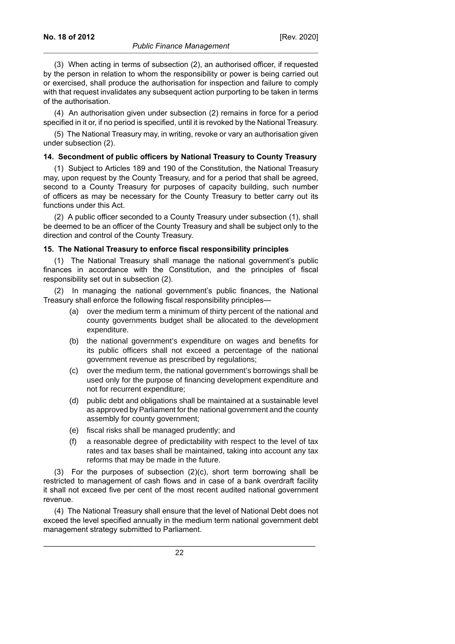(3) When acting in terms of subsection (2), an authorised officer, if requested by the person in relation to whom the responsibility or power is being carried out or exercised, shall produce the authorisation for inspection and failure to comply with that request invalidates any subsequent action purporting to be taken in terms of the authorisation.

(4) An authorisation given under subsection (2) remains in force for a period specified in it or, if no period is specified, until it is revoked by the National Treasury.

(5) The National Treasury may, in writing, revoke or vary an authorisation given under subsection (2).

## **14. Secondment of public officers by National Treasury to County Treasury**

(1) Subject to Articles 189 and 190 of the Constitution, the National Treasury may, upon request by the County Treasury, and for a period that shall be agreed, second to a County Treasury for purposes of capacity building, such number of officers as may be necessary for the County Treasury to better carry out its functions under this Act.

(2) A public officer seconded to a County Treasury under subsection (1), shall be deemed to be an officer of the County Treasury and shall be subject only to the direction and control of the County Treasury.

# **15. The National Treasury to enforce fiscal responsibility principles**

(1) The National Treasury shall manage the national government's public finances in accordance with the Constitution, and the principles of fiscal responsibility set out in subsection (2).

(2) In managing the national government's public finances, the National Treasury shall enforce the following fiscal responsibility principles—

- (a) over the medium term a minimum of thirty percent of the national and county governments budget shall be allocated to the development expenditure.
- (b) the national government's expenditure on wages and benefits for its public officers shall not exceed a percentage of the national government revenue as prescribed by regulations;
- (c) over the medium term, the national government's borrowings shall be used only for the purpose of financing development expenditure and not for recurrent expenditure;
- (d) public debt and obligations shall be maintained at a sustainable level as approved by Parliament for the national government and the county assembly for county government;
- (e) fiscal risks shall be managed prudently; and
- (f) a reasonable degree of predictability with respect to the level of tax rates and tax bases shall be maintained, taking into account any tax reforms that may be made in the future.

(3) For the purposes of subsection (2)(c), short term borrowing shall be restricted to management of cash flows and in case of a bank overdraft facility it shall not exceed five per cent of the most recent audited national government revenue.

(4) The National Treasury shall ensure that the level of National Debt does not exceed the level specified annually in the medium term national government debt management strategy submitted to Parliament.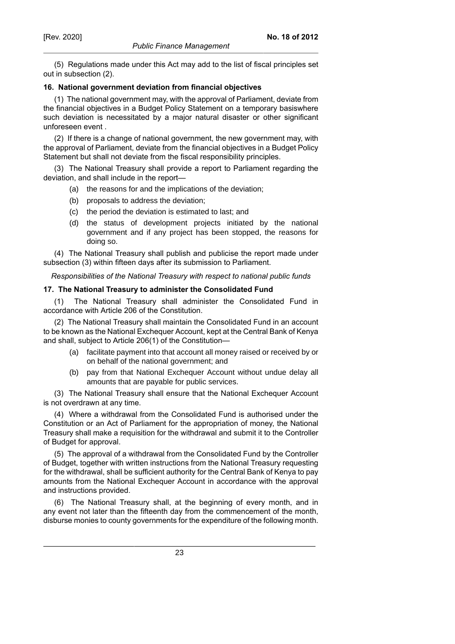(5) Regulations made under this Act may add to the list of fiscal principles set out in subsection (2).

# **16. National government deviation from financial objectives**

(1) The national government may, with the approval of Parliament, deviate from the financial objectives in a Budget Policy Statement on a temporary basiswhere such deviation is necessitated by a major natural disaster or other significant unforeseen event .

(2) If there is a change of national government, the new government may, with the approval of Parliament, deviate from the financial objectives in a Budget Policy Statement but shall not deviate from the fiscal responsibility principles.

(3) The National Treasury shall provide a report to Parliament regarding the deviation, and shall include in the report—

- (a) the reasons for and the implications of the deviation;
- (b) proposals to address the deviation;
- (c) the period the deviation is estimated to last; and
- (d) the status of development projects initiated by the national government and if any project has been stopped, the reasons for doing so.

(4) The National Treasury shall publish and publicise the report made under subsection (3) within fifteen days after its submission to Parliament.

*Responsibilities of the National Treasury with respect to national public funds*

# **17. The National Treasury to administer the Consolidated Fund**

(1) The National Treasury shall administer the Consolidated Fund in accordance with Article 206 of the Constitution.

(2) The National Treasury shall maintain the Consolidated Fund in an account to be known as the National Exchequer Account, kept at the Central Bank of Kenya and shall, subject to Article 206(1) of the Constitution—

- (a) facilitate payment into that account all money raised or received by or on behalf of the national government; and
- (b) pay from that National Exchequer Account without undue delay all amounts that are payable for public services.

(3) The National Treasury shall ensure that the National Exchequer Account is not overdrawn at any time.

(4) Where a withdrawal from the Consolidated Fund is authorised under the Constitution or an Act of Parliament for the appropriation of money, the National Treasury shall make a requisition for the withdrawal and submit it to the Controller of Budget for approval.

(5) The approval of a withdrawal from the Consolidated Fund by the Controller of Budget, together with written instructions from the National Treasury requesting for the withdrawal, shall be sufficient authority for the Central Bank of Kenya to pay amounts from the National Exchequer Account in accordance with the approval and instructions provided.

(6) The National Treasury shall, at the beginning of every month, and in any event not later than the fifteenth day from the commencement of the month, disburse monies to county governments for the expenditure of the following month.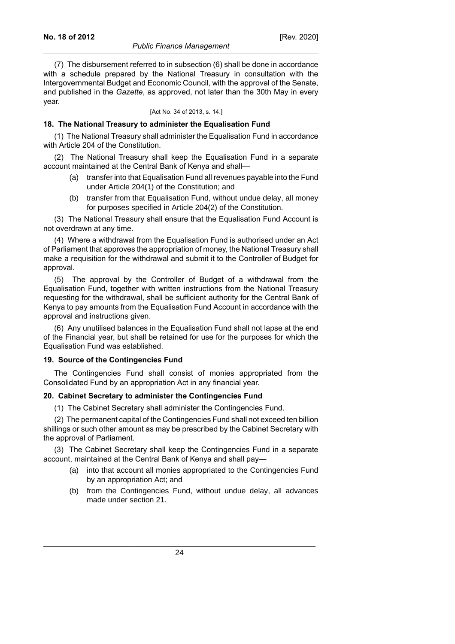#### *Public Finance Management*

(7) The disbursement referred to in subsection (6) shall be done in accordance with a schedule prepared by the National Treasury in consultation with the Intergovernmental Budget and Economic Council, with the approval of the Senate, and published in the *Gazette*, as approved, not later than the 30th May in every year.

#### [Act No. 34 of 2013, s. 14.]

# **18. The National Treasury to administer the Equalisation Fund**

(1) The National Treasury shall administer the Equalisation Fund in accordance with Article 204 of the Constitution.

(2) The National Treasury shall keep the Equalisation Fund in a separate account maintained at the Central Bank of Kenya and shall—

- (a) transfer into that Equalisation Fund all revenues payable into the Fund under Article 204(1) of the Constitution; and
- (b) transfer from that Equalisation Fund, without undue delay, all money for purposes specified in Article 204(2) of the Constitution.

(3) The National Treasury shall ensure that the Equalisation Fund Account is not overdrawn at any time.

(4) Where a withdrawal from the Equalisation Fund is authorised under an Act of Parliament that approves the appropriation of money, the National Treasury shall make a requisition for the withdrawal and submit it to the Controller of Budget for approval.

(5) The approval by the Controller of Budget of a withdrawal from the Equalisation Fund, together with written instructions from the National Treasury requesting for the withdrawal, shall be sufficient authority for the Central Bank of Kenya to pay amounts from the Equalisation Fund Account in accordance with the approval and instructions given.

(6) Any unutilised balances in the Equalisation Fund shall not lapse at the end of the Financial year, but shall be retained for use for the purposes for which the Equalisation Fund was established.

#### **19. Source of the Contingencies Fund**

The Contingencies Fund shall consist of monies appropriated from the Consolidated Fund by an appropriation Act in any financial year.

#### **20. Cabinet Secretary to administer the Contingencies Fund**

(1) The Cabinet Secretary shall administer the Contingencies Fund.

(2) The permanent capital of the Contingencies Fund shall not exceed ten billion shillings or such other amount as may be prescribed by the Cabinet Secretary with the approval of Parliament.

(3) The Cabinet Secretary shall keep the Contingencies Fund in a separate account, maintained at the Central Bank of Kenya and shall pay—

- (a) into that account all monies appropriated to the Contingencies Fund by an appropriation Act; and
- (b) from the Contingencies Fund, without undue delay, all advances made under section 21.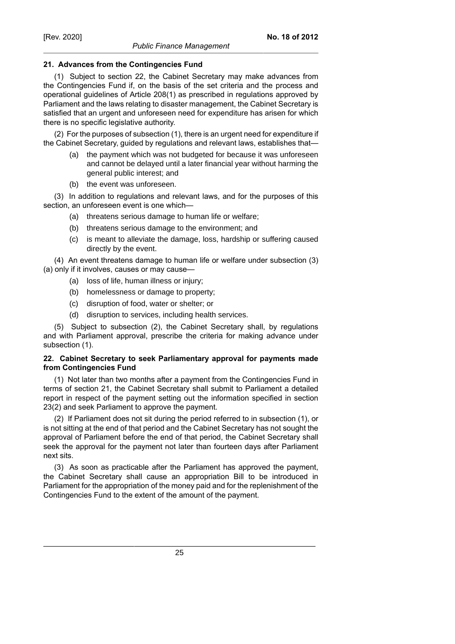# **21. Advances from the Contingencies Fund**

(1) Subject to section 22, the Cabinet Secretary may make advances from the Contingencies Fund if, on the basis of the set criteria and the process and operational guidelines of Article 208(1) as prescribed in regulations approved by Parliament and the laws relating to disaster management, the Cabinet Secretary is satisfied that an urgent and unforeseen need for expenditure has arisen for which there is no specific legislative authority.

(2) For the purposes of subsection (1), there is an urgent need for expenditure if the Cabinet Secretary, guided by regulations and relevant laws, establishes that—

- (a) the payment which was not budgeted for because it was unforeseen and cannot be delayed until a later financial year without harming the general public interest; and
- (b) the event was unforeseen.

(3) In addition to regulations and relevant laws, and for the purposes of this section, an unforeseen event is one which—

- (a) threatens serious damage to human life or welfare;
- (b) threatens serious damage to the environment; and
- (c) is meant to alleviate the damage, loss, hardship or suffering caused directly by the event.

(4) An event threatens damage to human life or welfare under subsection (3) (a) only if it involves, causes or may cause—

- (a) loss of life, human illness or injury;
- (b) homelessness or damage to property;
- (c) disruption of food, water or shelter; or
- (d) disruption to services, including health services.

(5) Subject to subsection (2), the Cabinet Secretary shall, by regulations and with Parliament approval, prescribe the criteria for making advance under subsection (1).

# **22. Cabinet Secretary to seek Parliamentary approval for payments made from Contingencies Fund**

(1) Not later than two months after a payment from the Contingencies Fund in terms of section 21, the Cabinet Secretary shall submit to Parliament a detailed report in respect of the payment setting out the information specified in section 23(2) and seek Parliament to approve the payment.

(2) If Parliament does not sit during the period referred to in subsection (1), or is not sitting at the end of that period and the Cabinet Secretary has not sought the approval of Parliament before the end of that period, the Cabinet Secretary shall seek the approval for the payment not later than fourteen days after Parliament next sits.

(3) As soon as practicable after the Parliament has approved the payment, the Cabinet Secretary shall cause an appropriation Bill to be introduced in Parliament for the appropriation of the money paid and for the replenishment of the Contingencies Fund to the extent of the amount of the payment.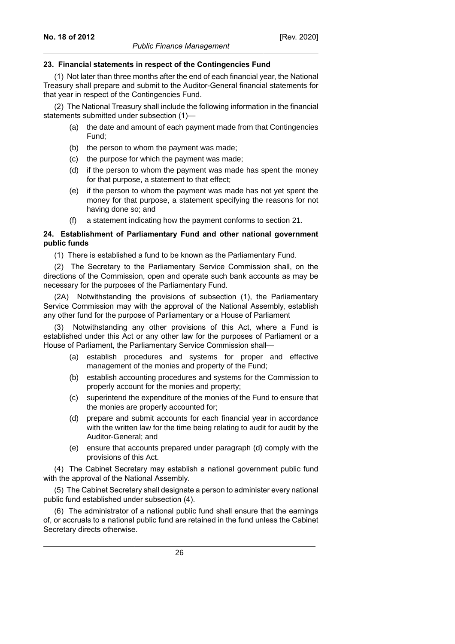# **23. Financial statements in respect of the Contingencies Fund**

(1) Not later than three months after the end of each financial year, the National Treasury shall prepare and submit to the Auditor-General financial statements for that year in respect of the Contingencies Fund.

(2) The National Treasury shall include the following information in the financial statements submitted under subsection (1)—

- (a) the date and amount of each payment made from that Contingencies Fund;
- (b) the person to whom the payment was made;
- (c) the purpose for which the payment was made;
- (d) if the person to whom the payment was made has spent the money for that purpose, a statement to that effect;
- (e) if the person to whom the payment was made has not yet spent the money for that purpose, a statement specifying the reasons for not having done so; and
- a statement indicating how the payment conforms to section 21.

# **24. Establishment of Parliamentary Fund and other national government public funds**

(1) There is established a fund to be known as the Parliamentary Fund.

(2) The Secretary to the Parliamentary Service Commission shall, on the directions of the Commission, open and operate such bank accounts as may be necessary for the purposes of the Parliamentary Fund.

(2A) Notwithstanding the provisions of subsection (1), the Parliamentary Service Commission may with the approval of the National Assembly, establish any other fund for the purpose of Parliamentary or a House of Parliament

(3) Notwithstanding any other provisions of this Act, where a Fund is established under this Act or any other law for the purposes of Parliament or a House of Parliament, the Parliamentary Service Commission shall—

- (a) establish procedures and systems for proper and effective management of the monies and property of the Fund;
- (b) establish accounting procedures and systems for the Commission to properly account for the monies and property;
- (c) superintend the expenditure of the monies of the Fund to ensure that the monies are properly accounted for;
- (d) prepare and submit accounts for each financial year in accordance with the written law for the time being relating to audit for audit by the Auditor-General; and
- (e) ensure that accounts prepared under paragraph (d) comply with the provisions of this Act.

(4) The Cabinet Secretary may establish a national government public fund with the approval of the National Assembly.

(5) The Cabinet Secretary shall designate a person to administer every national public fund established under subsection (4).

(6) The administrator of a national public fund shall ensure that the earnings of, or accruals to a national public fund are retained in the fund unless the Cabinet Secretary directs otherwise.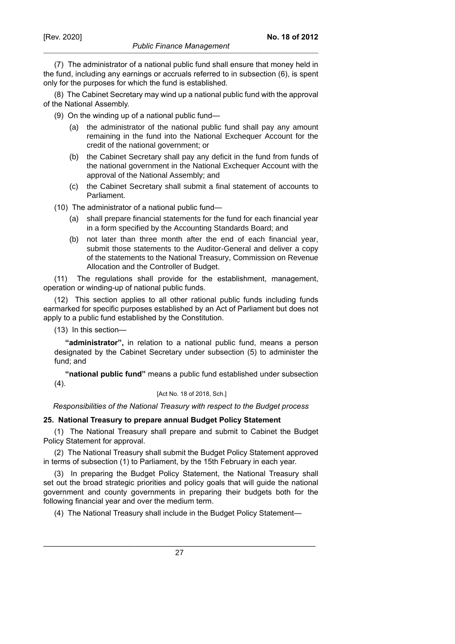(7) The administrator of a national public fund shall ensure that money held in the fund, including any earnings or accruals referred to in subsection (6), is spent only for the purposes for which the fund is established.

(8) The Cabinet Secretary may wind up a national public fund with the approval of the National Assembly.

(9) On the winding up of a national public fund—

- (a) the administrator of the national public fund shall pay any amount remaining in the fund into the National Exchequer Account for the credit of the national government; or
- (b) the Cabinet Secretary shall pay any deficit in the fund from funds of the national government in the National Exchequer Account with the approval of the National Assembly; and
- (c) the Cabinet Secretary shall submit a final statement of accounts to Parliament.

(10) The administrator of a national public fund—

- (a) shall prepare financial statements for the fund for each financial year in a form specified by the Accounting Standards Board; and
- (b) not later than three month after the end of each financial year, submit those statements to the Auditor-General and deliver a copy of the statements to the National Treasury, Commission on Revenue Allocation and the Controller of Budget.

(11) The regulations shall provide for the establishment, management, operation or winding-up of national public funds.

(12) This section applies to all other rational public funds including funds earmarked for specific purposes established by an Act of Parliament but does not apply to a public fund established by the Constitution.

(13) In this section—

**"administrator",** in relation to a national public fund, means a person designated by the Cabinet Secretary under subsection (5) to administer the fund; and

**"national public fund"** means a public fund established under subsection  $(4).$ 

[Act No. 18 of 2018, Sch.]

*Responsibilities of the National Treasury with respect to the Budget process*

#### **25. National Treasury to prepare annual Budget Policy Statement**

(1) The National Treasury shall prepare and submit to Cabinet the Budget Policy Statement for approval.

(2) The National Treasury shall submit the Budget Policy Statement approved in terms of subsection (1) to Parliament, by the 15th February in each year.

(3) In preparing the Budget Policy Statement, the National Treasury shall set out the broad strategic priorities and policy goals that will guide the national government and county governments in preparing their budgets both for the following financial year and over the medium term.

(4) The National Treasury shall include in the Budget Policy Statement—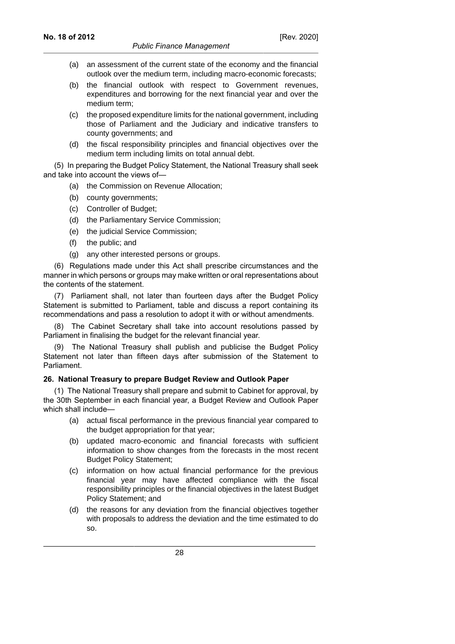- (a) an assessment of the current state of the economy and the financial outlook over the medium term, including macro-economic forecasts;
- (b) the financial outlook with respect to Government revenues, expenditures and borrowing for the next financial year and over the medium term;
- (c) the proposed expenditure limits for the national government, including those of Parliament and the Judiciary and indicative transfers to county governments; and
- (d) the fiscal responsibility principles and financial objectives over the medium term including limits on total annual debt.

(5) In preparing the Budget Policy Statement, the National Treasury shall seek and take into account the views of—

- (a) the Commission on Revenue Allocation;
- (b) county governments;
- (c) Controller of Budget;
- (d) the Parliamentary Service Commission;
- (e) the judicial Service Commission;
- (f) the public; and
- (g) any other interested persons or groups.

(6) Regulations made under this Act shall prescribe circumstances and the manner in which persons or groups may make written or oral representations about the contents of the statement.

(7) Parliament shall, not later than fourteen days after the Budget Policy Statement is submitted to Parliament, table and discuss a report containing its recommendations and pass a resolution to adopt it with or without amendments.

(8) The Cabinet Secretary shall take into account resolutions passed by Parliament in finalising the budget for the relevant financial year.

(9) The National Treasury shall publish and publicise the Budget Policy Statement not later than fifteen days after submission of the Statement to Parliament.

#### **26. National Treasury to prepare Budget Review and Outlook Paper**

(1) The National Treasury shall prepare and submit to Cabinet for approval, by the 30th September in each financial year, a Budget Review and Outlook Paper which shall include—

- (a) actual fiscal performance in the previous financial year compared to the budget appropriation for that year;
- (b) updated macro-economic and financial forecasts with sufficient information to show changes from the forecasts in the most recent Budget Policy Statement;
- (c) information on how actual financial performance for the previous financial year may have affected compliance with the fiscal responsibility principles or the financial objectives in the latest Budget Policy Statement; and
- (d) the reasons for any deviation from the financial objectives together with proposals to address the deviation and the time estimated to do so.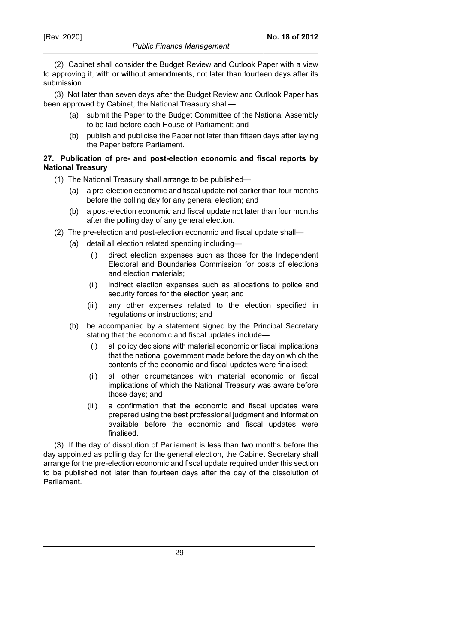**No. 18 of 2012**

(2) Cabinet shall consider the Budget Review and Outlook Paper with a view to approving it, with or without amendments, not later than fourteen days after its submission.

(3) Not later than seven days after the Budget Review and Outlook Paper has been approved by Cabinet, the National Treasury shall—

- (a) submit the Paper to the Budget Committee of the National Assembly to be laid before each House of Parliament; and
- (b) publish and publicise the Paper not later than fifteen days after laying the Paper before Parliament.

# **27. Publication of pre- and post-election economic and fiscal reports by National Treasury**

- (1) The National Treasury shall arrange to be published—
	- (a) a pre-election economic and fiscal update not earlier than four months before the polling day for any general election; and
	- (b) a post-election economic and fiscal update not later than four months after the polling day of any general election.
- (2) The pre-election and post-election economic and fiscal update shall—
	- (a) detail all election related spending including—
		- (i) direct election expenses such as those for the Independent Electoral and Boundaries Commission for costs of elections and election materials;
		- (ii) indirect election expenses such as allocations to police and security forces for the election year; and
		- (iii) any other expenses related to the election specified in regulations or instructions; and
	- (b) be accompanied by a statement signed by the Principal Secretary stating that the economic and fiscal updates include—
		- (i) all policy decisions with material economic or fiscal implications that the national government made before the day on which the contents of the economic and fiscal updates were finalised;
		- (ii) all other circumstances with material economic or fiscal implications of which the National Treasury was aware before those days; and
		- (iii) a confirmation that the economic and fiscal updates were prepared using the best professional judgment and information available before the economic and fiscal updates were finalised.

(3) If the day of dissolution of Parliament is less than two months before the day appointed as polling day for the general election, the Cabinet Secretary shall arrange for the pre-election economic and fiscal update required under this section to be published not later than fourteen days after the day of the dissolution of Parliament.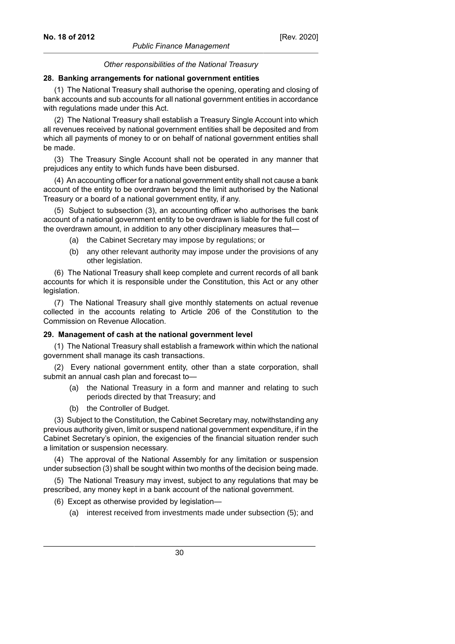#### *Other responsibilities of the National Treasury*

#### **28. Banking arrangements for national government entities**

(1) The National Treasury shall authorise the opening, operating and closing of bank accounts and sub accounts for all national government entities in accordance with regulations made under this Act.

(2) The National Treasury shall establish a Treasury Single Account into which all revenues received by national government entities shall be deposited and from which all payments of money to or on behalf of national government entities shall be made.

(3) The Treasury Single Account shall not be operated in any manner that prejudices any entity to which funds have been disbursed.

(4) An accounting officer for a national government entity shall not cause a bank account of the entity to be overdrawn beyond the limit authorised by the National Treasury or a board of a national government entity, if any.

(5) Subject to subsection (3), an accounting officer who authorises the bank account of a national government entity to be overdrawn is liable for the full cost of the overdrawn amount, in addition to any other disciplinary measures that—

- (a) the Cabinet Secretary may impose by regulations; or
- (b) any other relevant authority may impose under the provisions of any other legislation.

(6) The National Treasury shall keep complete and current records of all bank accounts for which it is responsible under the Constitution, this Act or any other legislation.

(7) The National Treasury shall give monthly statements on actual revenue collected in the accounts relating to Article 206 of the Constitution to the Commission on Revenue Allocation.

#### **29. Management of cash at the national government level**

(1) The National Treasury shall establish a framework within which the national government shall manage its cash transactions.

(2) Every national government entity, other than a state corporation, shall submit an annual cash plan and forecast to—

- (a) the National Treasury in a form and manner and relating to such periods directed by that Treasury; and
- (b) the Controller of Budget.

(3) Subject to the Constitution, the Cabinet Secretary may, notwithstanding any previous authority given, limit or suspend national government expenditure, if in the Cabinet Secretary's opinion, the exigencies of the financial situation render such a limitation or suspension necessary.

(4) The approval of the National Assembly for any limitation or suspension under subsection (3) shall be sought within two months of the decision being made.

(5) The National Treasury may invest, subject to any regulations that may be prescribed, any money kept in a bank account of the national government.

(6) Except as otherwise provided by legislation—

(a) interest received from investments made under subsection (5); and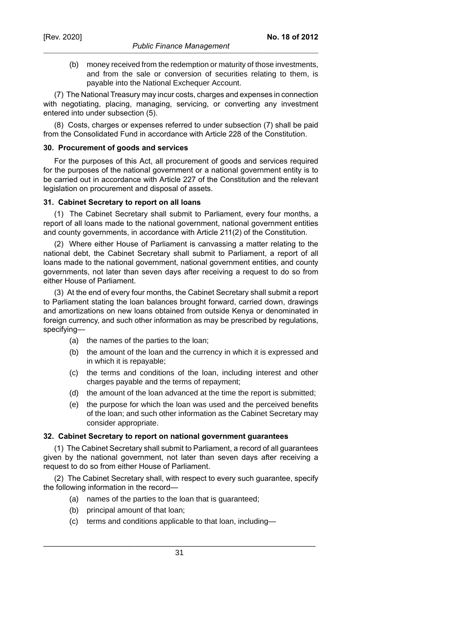(b) money received from the redemption or maturity of those investments, and from the sale or conversion of securities relating to them, is payable into the National Exchequer Account.

(7) The National Treasury may incur costs, charges and expenses in connection with negotiating, placing, managing, servicing, or converting any investment entered into under subsection (5).

(8) Costs, charges or expenses referred to under subsection (7) shall be paid from the Consolidated Fund in accordance with Article 228 of the Constitution.

#### **30. Procurement of goods and services**

For the purposes of this Act, all procurement of goods and services required for the purposes of the national government or a national government entity is to be carried out in accordance with Article 227 of the Constitution and the relevant legislation on procurement and disposal of assets.

# **31. Cabinet Secretary to report on all loans**

(1) The Cabinet Secretary shall submit to Parliament, every four months, a report of all loans made to the national government, national government entities and county governments, in accordance with Article 211(2) of the Constitution.

(2) Where either House of Parliament is canvassing a matter relating to the national debt, the Cabinet Secretary shall submit to Parliament, a report of all loans made to the national government, national government entities, and county governments, not later than seven days after receiving a request to do so from either House of Parliament.

(3) At the end of every four months, the Cabinet Secretary shall submit a report to Parliament stating the loan balances brought forward, carried down, drawings and amortizations on new loans obtained from outside Kenya or denominated in foreign currency, and such other information as may be prescribed by regulations, specifying—

- (a) the names of the parties to the loan;
- (b) the amount of the loan and the currency in which it is expressed and in which it is repayable;
- (c) the terms and conditions of the loan, including interest and other charges payable and the terms of repayment;
- (d) the amount of the loan advanced at the time the report is submitted;
- (e) the purpose for which the loan was used and the perceived benefits of the loan; and such other information as the Cabinet Secretary may consider appropriate.

#### **32. Cabinet Secretary to report on national government guarantees**

(1) The Cabinet Secretary shall submit to Parliament, a record of all guarantees given by the national government, not later than seven days after receiving a request to do so from either House of Parliament.

(2) The Cabinet Secretary shall, with respect to every such guarantee, specify the following information in the record—

- (a) names of the parties to the loan that is guaranteed;
- (b) principal amount of that loan;
- (c) terms and conditions applicable to that loan, including—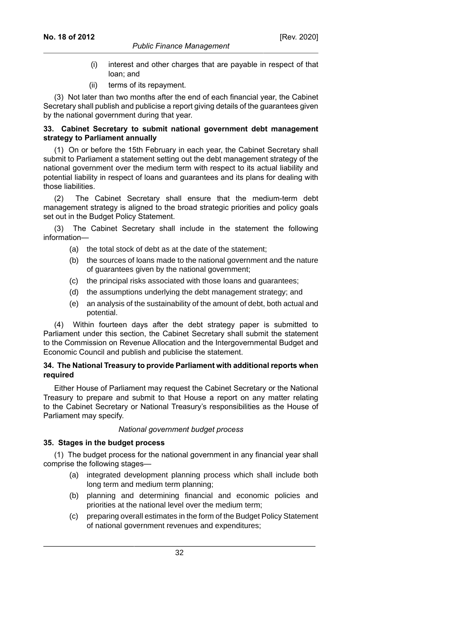#### *Public Finance Management*

- (i) interest and other charges that are payable in respect of that loan; and
- (ii) terms of its repayment.

(3) Not later than two months after the end of each financial year, the Cabinet Secretary shall publish and publicise a report giving details of the guarantees given by the national government during that year.

# **33. Cabinet Secretary to submit national government debt management strategy to Parliament annually**

(1) On or before the 15th February in each year, the Cabinet Secretary shall submit to Parliament a statement setting out the debt management strategy of the national government over the medium term with respect to its actual liability and potential liability in respect of loans and guarantees and its plans for dealing with those liabilities.

(2) The Cabinet Secretary shall ensure that the medium-term debt management strategy is aligned to the broad strategic priorities and policy goals set out in the Budget Policy Statement.

(3) The Cabinet Secretary shall include in the statement the following information—

- (a) the total stock of debt as at the date of the statement;
- (b) the sources of loans made to the national government and the nature of guarantees given by the national government;
- (c) the principal risks associated with those loans and guarantees;
- (d) the assumptions underlying the debt management strategy; and
- (e) an analysis of the sustainability of the amount of debt, both actual and potential.

(4) Within fourteen days after the debt strategy paper is submitted to Parliament under this section, the Cabinet Secretary shall submit the statement to the Commission on Revenue Allocation and the Intergovernmental Budget and Economic Council and publish and publicise the statement.

# **34. The National Treasury to provide Parliament with additional reports when required**

Either House of Parliament may request the Cabinet Secretary or the National Treasury to prepare and submit to that House a report on any matter relating to the Cabinet Secretary or National Treasury's responsibilities as the House of Parliament may specify.

# *National government budget process*

# **35. Stages in the budget process**

(1) The budget process for the national government in any financial year shall comprise the following stages—

- (a) integrated development planning process which shall include both long term and medium term planning;
- (b) planning and determining financial and economic policies and priorities at the national level over the medium term;
- (c) preparing overall estimates in the form of the Budget Policy Statement of national government revenues and expenditures;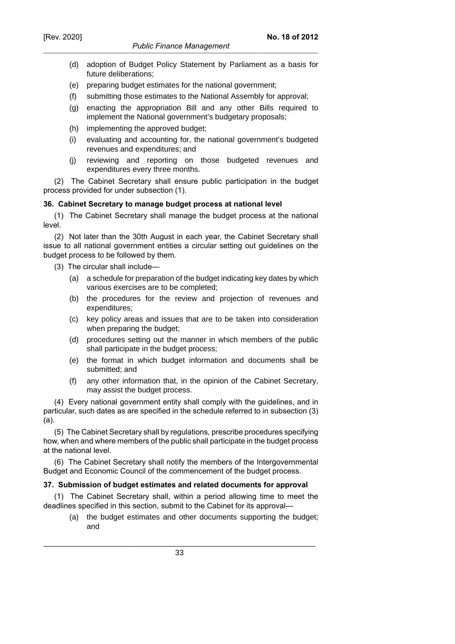- (d) adoption of Budget Policy Statement by Parliament as a basis for future deliberations;
- (e) preparing budget estimates for the national government;
- (f) submitting those estimates to the National Assembly for approval;
- (g) enacting the appropriation Bill and any other Bills required to implement the National government's budgetary proposals;
- (h) implementing the approved budget;
- (i) evaluating and accounting for, the national government's budgeted revenues and expenditures; and
- (j) reviewing and reporting on those budgeted revenues and expenditures every three months.

(2) The Cabinet Secretary shall ensure public participation in the budget process provided for under subsection (1).

# **36. Cabinet Secretary to manage budget process at national level**

(1) The Cabinet Secretary shall manage the budget process at the national level.

(2) Not later than the 30th August in each year, the Cabinet Secretary shall issue to all national government entities a circular setting out guidelines on the budget process to be followed by them.

(3) The circular shall include—

- (a) a schedule for preparation of the budget indicating key dates by which various exercises are to be completed;
- (b) the procedures for the review and projection of revenues and expenditures;
- (c) key policy areas and issues that are to be taken into consideration when preparing the budget;
- (d) procedures setting out the manner in which members of the public shall participate in the budget process;
- (e) the format in which budget information and documents shall be submitted; and
- (f) any other information that, in the opinion of the Cabinet Secretary, may assist the budget process.

(4) Every national government entity shall comply with the guidelines, and in particular, such dates as are specified in the schedule referred to in subsection (3) (a).

(5) The Cabinet Secretary shall by regulations, prescribe procedures specifying how, when and where members of the public shall participate in the budget process at the national level.

(6) The Cabinet Secretary shall notify the members of the Intergovernmental Budget and Economic Council of the commencement of the budget process.

# **37. Submission of budget estimates and related documents for approval**

(1) The Cabinet Secretary shall, within a period allowing time to meet the deadlines specified in this section, submit to the Cabinet for its approval—

(a) the budget estimates and other documents supporting the budget; and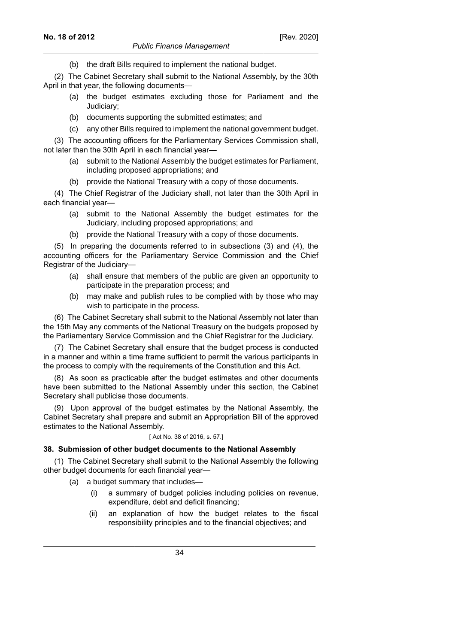(b) the draft Bills required to implement the national budget.

(2) The Cabinet Secretary shall submit to the National Assembly, by the 30th April in that year, the following documents—

- (a) the budget estimates excluding those for Parliament and the Judiciary;
- (b) documents supporting the submitted estimates; and
- (c) any other Bills required to implement the national government budget.

(3) The accounting officers for the Parliamentary Services Commission shall, not later than the 30th April in each financial year—

- (a) submit to the National Assembly the budget estimates for Parliament, including proposed appropriations; and
- (b) provide the National Treasury with a copy of those documents.

(4) The Chief Registrar of the Judiciary shall, not later than the 30th April in each financial year—

- (a) submit to the National Assembly the budget estimates for the Judiciary, including proposed appropriations; and
- (b) provide the National Treasury with a copy of those documents.

(5) In preparing the documents referred to in subsections (3) and (4), the accounting officers for the Parliamentary Service Commission and the Chief Registrar of the Judiciary—

- (a) shall ensure that members of the public are given an opportunity to participate in the preparation process; and
- (b) may make and publish rules to be complied with by those who may wish to participate in the process.

(6) The Cabinet Secretary shall submit to the National Assembly not later than the 15th May any comments of the National Treasury on the budgets proposed by the Parliamentary Service Commission and the Chief Registrar for the Judiciary.

(7) The Cabinet Secretary shall ensure that the budget process is conducted in a manner and within a time frame sufficient to permit the various participants in the process to comply with the requirements of the Constitution and this Act.

(8) As soon as practicable after the budget estimates and other documents have been submitted to the National Assembly under this section, the Cabinet Secretary shall publicise those documents.

(9) Upon approval of the budget estimates by the National Assembly, the Cabinet Secretary shall prepare and submit an Appropriation Bill of the approved estimates to the National Assembly.

#### [ Act No. 38 of 2016, s. 57.]

#### **38. Submission of other budget documents to the National Assembly**

(1) The Cabinet Secretary shall submit to the National Assembly the following other budget documents for each financial year—

- (a) a budget summary that includes—
	- (i) a summary of budget policies including policies on revenue, expenditure, debt and deficit financing;
	- (ii) an explanation of how the budget relates to the fiscal responsibility principles and to the financial objectives; and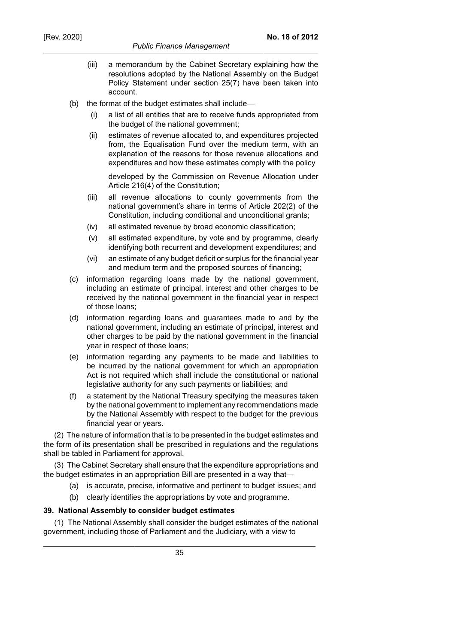- (iii) a memorandum by the Cabinet Secretary explaining how the resolutions adopted by the National Assembly on the Budget Policy Statement under section 25(7) have been taken into account.
- (b) the format of the budget estimates shall include—
	- (i) a list of all entities that are to receive funds appropriated from the budget of the national government;
	- (ii) estimates of revenue allocated to, and expenditures projected from, the Equalisation Fund over the medium term, with an explanation of the reasons for those revenue allocations and expenditures and how these estimates comply with the policy

developed by the Commission on Revenue Allocation under Article 216(4) of the Constitution;

- (iii) all revenue allocations to county governments from the national government's share in terms of Article 202(2) of the Constitution, including conditional and unconditional grants;
- (iv) all estimated revenue by broad economic classification;
- (v) all estimated expenditure, by vote and by programme, clearly identifying both recurrent and development expenditures; and
- (vi) an estimate of any budget deficit or surplus for the financial year and medium term and the proposed sources of financing;
- (c) information regarding loans made by the national government, including an estimate of principal, interest and other charges to be received by the national government in the financial year in respect of those loans;
- (d) information regarding loans and guarantees made to and by the national government, including an estimate of principal, interest and other charges to be paid by the national government in the financial year in respect of those loans;
- (e) information regarding any payments to be made and liabilities to be incurred by the national government for which an appropriation Act is not required which shall include the constitutional or national legislative authority for any such payments or liabilities; and
- (f) a statement by the National Treasury specifying the measures taken by the national government to implement any recommendations made by the National Assembly with respect to the budget for the previous financial year or years.

(2) The nature of information that is to be presented in the budget estimates and the form of its presentation shall be prescribed in regulations and the regulations shall be tabled in Parliament for approval.

(3) The Cabinet Secretary shall ensure that the expenditure appropriations and the budget estimates in an appropriation Bill are presented in a way that—

- (a) is accurate, precise, informative and pertinent to budget issues; and
- (b) clearly identifies the appropriations by vote and programme.

# **39. National Assembly to consider budget estimates**

(1) The National Assembly shall consider the budget estimates of the national government, including those of Parliament and the Judiciary, with a view to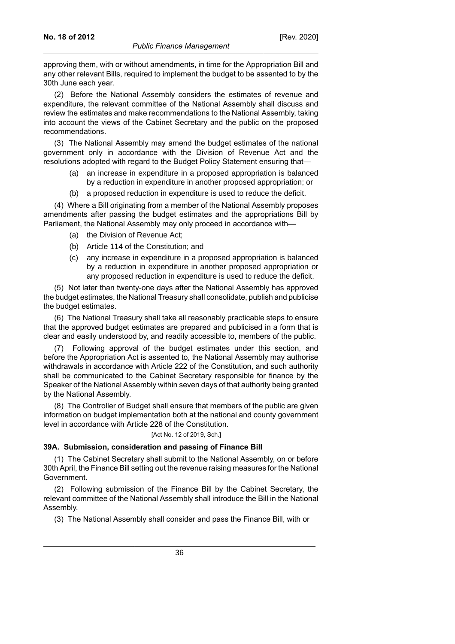approving them, with or without amendments, in time for the Appropriation Bill and any other relevant Bills, required to implement the budget to be assented to by the 30th June each year.

(2) Before the National Assembly considers the estimates of revenue and expenditure, the relevant committee of the National Assembly shall discuss and review the estimates and make recommendations to the National Assembly, taking into account the views of the Cabinet Secretary and the public on the proposed recommendations.

(3) The National Assembly may amend the budget estimates of the national government only in accordance with the Division of Revenue Act and the resolutions adopted with regard to the Budget Policy Statement ensuring that—

- (a) an increase in expenditure in a proposed appropriation is balanced by a reduction in expenditure in another proposed appropriation; or
- (b) a proposed reduction in expenditure is used to reduce the deficit.

(4) Where a Bill originating from a member of the National Assembly proposes amendments after passing the budget estimates and the appropriations Bill by Parliament, the National Assembly may only proceed in accordance with—

- (a) the Division of Revenue Act;
- (b) Article 114 of the Constitution; and
- (c) any increase in expenditure in a proposed appropriation is balanced by a reduction in expenditure in another proposed appropriation or any proposed reduction in expenditure is used to reduce the deficit.

(5) Not later than twenty-one days after the National Assembly has approved the budget estimates, the National Treasury shall consolidate, publish and publicise the budget estimates.

(6) The National Treasury shall take all reasonably practicable steps to ensure that the approved budget estimates are prepared and publicised in a form that is clear and easily understood by, and readily accessible to, members of the public.

(7) Following approval of the budget estimates under this section, and before the Appropriation Act is assented to, the National Assembly may authorise withdrawals in accordance with Article 222 of the Constitution, and such authority shall be communicated to the Cabinet Secretary responsible for finance by the Speaker of the National Assembly within seven days of that authority being granted by the National Assembly.

(8) The Controller of Budget shall ensure that members of the public are given information on budget implementation both at the national and county government level in accordance with Article 228 of the Constitution.

#### [Act No. 12 of 2019, Sch.]

### **39A. Submission, consideration and passing of Finance Bill**

(1) The Cabinet Secretary shall submit to the National Assembly, on or before 30th April, the Finance Bill setting out the revenue raising measures for the National Government.

(2) Following submission of the Finance Bill by the Cabinet Secretary, the relevant committee of the National Assembly shall introduce the Bill in the National Assembly.

(3) The National Assembly shall consider and pass the Finance Bill, with or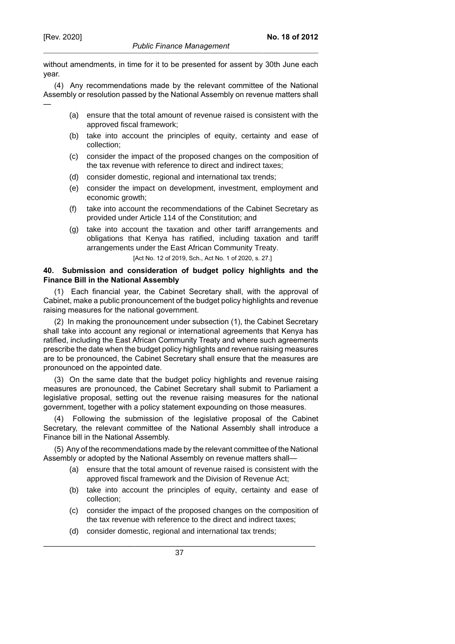—

without amendments, in time for it to be presented for assent by 30th June each year.

(4) Any recommendations made by the relevant committee of the National Assembly or resolution passed by the National Assembly on revenue matters shall

- (a) ensure that the total amount of revenue raised is consistent with the approved fiscal framework;
- (b) take into account the principles of equity, certainty and ease of collection;
- (c) consider the impact of the proposed changes on the composition of the tax revenue with reference to direct and indirect taxes;
- (d) consider domestic, regional and international tax trends;
- (e) consider the impact on development, investment, employment and economic growth;
- (f) take into account the recommendations of the Cabinet Secretary as provided under Article 114 of the Constitution; and
- (g) take into account the taxation and other tariff arrangements and obligations that Kenya has ratified, including taxation and tariff arrangements under the East African Community Treaty.

[Act No. 12 of 2019, Sch., Act No. 1 of 2020, s. 27.]

### **40. Submission and consideration of budget policy highlights and the Finance Bill in the National Assembly**

(1) Each financial year, the Cabinet Secretary shall, with the approval of Cabinet, make a public pronouncement of the budget policy highlights and revenue raising measures for the national government.

(2) In making the pronouncement under subsection (1), the Cabinet Secretary shall take into account any regional or international agreements that Kenya has ratified, including the East African Community Treaty and where such agreements prescribe the date when the budget policy highlights and revenue raising measures are to be pronounced, the Cabinet Secretary shall ensure that the measures are pronounced on the appointed date.

(3) On the same date that the budget policy highlights and revenue raising measures are pronounced, the Cabinet Secretary shall submit to Parliament a legislative proposal, setting out the revenue raising measures for the national government, together with a policy statement expounding on those measures.

(4) Following the submission of the legislative proposal of the Cabinet Secretary, the relevant committee of the National Assembly shall introduce a Finance bill in the National Assembly.

(5) Any of the recommendations made by the relevant committee of the National Assembly or adopted by the National Assembly on revenue matters shall—

- (a) ensure that the total amount of revenue raised is consistent with the approved fiscal framework and the Division of Revenue Act;
- (b) take into account the principles of equity, certainty and ease of collection;
- (c) consider the impact of the proposed changes on the composition of the tax revenue with reference to the direct and indirect taxes;
- (d) consider domestic, regional and international tax trends;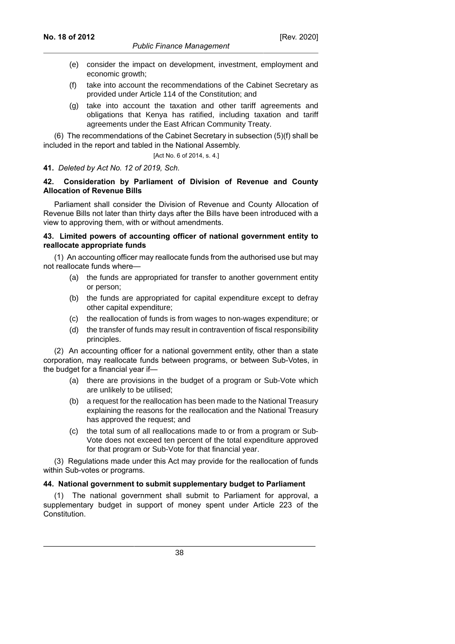- (e) consider the impact on development, investment, employment and economic growth:
- (f) take into account the recommendations of the Cabinet Secretary as provided under Article 114 of the Constitution; and
- (g) take into account the taxation and other tariff agreements and obligations that Kenya has ratified, including taxation and tariff agreements under the East African Community Treaty.

(6) The recommendations of the Cabinet Secretary in subsection (5)(f) shall be included in the report and tabled in the National Assembly.

[Act No. 6 of 2014, s. 4.]

#### **41.** *Deleted by Act No. 12 of 2019, Sch.*

### **42. Consideration by Parliament of Division of Revenue and County Allocation of Revenue Bills**

Parliament shall consider the Division of Revenue and County Allocation of Revenue Bills not later than thirty days after the Bills have been introduced with a view to approving them, with or without amendments.

#### **43. Limited powers of accounting officer of national government entity to reallocate appropriate funds**

(1) An accounting officer may reallocate funds from the authorised use but may not reallocate funds where—

- (a) the funds are appropriated for transfer to another government entity or person;
- (b) the funds are appropriated for capital expenditure except to defray other capital expenditure;
- (c) the reallocation of funds is from wages to non-wages expenditure; or
- (d) the transfer of funds may result in contravention of fiscal responsibility principles.

(2) An accounting officer for a national government entity, other than a state corporation, may reallocate funds between programs, or between Sub-Votes, in the budget for a financial year if—

- (a) there are provisions in the budget of a program or Sub-Vote which are unlikely to be utilised;
- (b) a request for the reallocation has been made to the National Treasury explaining the reasons for the reallocation and the National Treasury has approved the request; and
- (c) the total sum of all reallocations made to or from a program or Sub-Vote does not exceed ten percent of the total expenditure approved for that program or Sub-Vote for that financial year.

(3) Regulations made under this Act may provide for the reallocation of funds within Sub-votes or programs.

#### **44. National government to submit supplementary budget to Parliament**

The national government shall submit to Parliament for approval, a supplementary budget in support of money spent under Article 223 of the Constitution.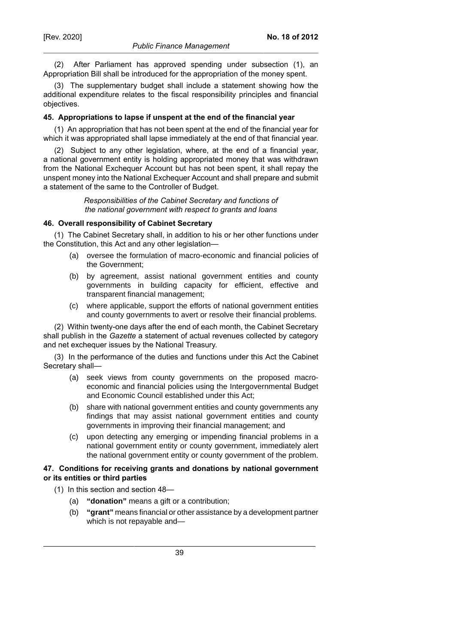(2) After Parliament has approved spending under subsection (1), an Appropriation Bill shall be introduced for the appropriation of the money spent.

(3) The supplementary budget shall include a statement showing how the additional expenditure relates to the fiscal responsibility principles and financial objectives.

### **45. Appropriations to lapse if unspent at the end of the financial year**

(1) An appropriation that has not been spent at the end of the financial year for which it was appropriated shall lapse immediately at the end of that financial year.

(2) Subject to any other legislation, where, at the end of a financial year, a national government entity is holding appropriated money that was withdrawn from the National Exchequer Account but has not been spent, it shall repay the unspent money into the National Exchequer Account and shall prepare and submit a statement of the same to the Controller of Budget.

> *Responsibilities of the Cabinet Secretary and functions of the national government with respect to grants and loans*

#### **46. Overall responsibility of Cabinet Secretary**

(1) The Cabinet Secretary shall, in addition to his or her other functions under the Constitution, this Act and any other legislation—

- (a) oversee the formulation of macro-economic and financial policies of the Government;
- (b) by agreement, assist national government entities and county governments in building capacity for efficient, effective and transparent financial management;
- (c) where applicable, support the efforts of national government entities and county governments to avert or resolve their financial problems.

(2) Within twenty-one days after the end of each month, the Cabinet Secretary shall publish in the *Gazette* a statement of actual revenues collected by category and net exchequer issues by the National Treasury.

(3) In the performance of the duties and functions under this Act the Cabinet Secretary shall—

- (a) seek views from county governments on the proposed macroeconomic and financial policies using the Intergovernmental Budget and Economic Council established under this Act;
- (b) share with national government entities and county governments any findings that may assist national government entities and county governments in improving their financial management; and
- (c) upon detecting any emerging or impending financial problems in a national government entity or county government, immediately alert the national government entity or county government of the problem.

#### **47. Conditions for receiving grants and donations by national government or its entities or third parties**

- (1) In this section and section 48—
	- (a) **"donation"** means a gift or a contribution;
	- (b) **"grant"** means financial or other assistance by a development partner which is not repayable and—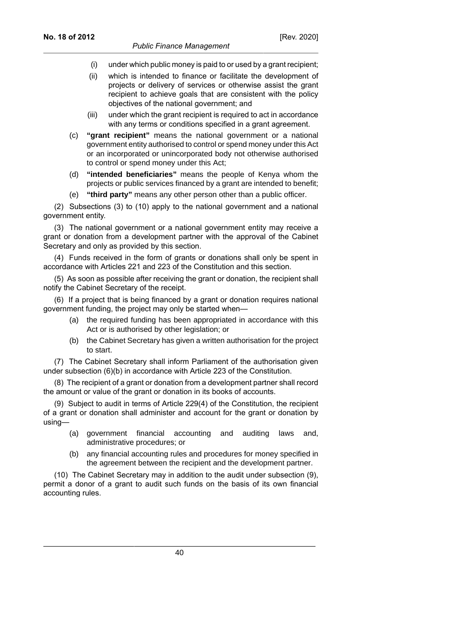- (i) under which public money is paid to or used by a grant recipient;
- (ii) which is intended to finance or facilitate the development of projects or delivery of services or otherwise assist the grant recipient to achieve goals that are consistent with the policy objectives of the national government; and
- (iii) under which the grant recipient is required to act in accordance with any terms or conditions specified in a grant agreement.
- (c) **"grant recipient"** means the national government or a national government entity authorised to control or spend money under this Act or an incorporated or unincorporated body not otherwise authorised to control or spend money under this Act;
- (d) **"intended beneficiaries"** means the people of Kenya whom the projects or public services financed by a grant are intended to benefit;
- (e) **"third party"** means any other person other than a public officer.

(2) Subsections (3) to (10) apply to the national government and a national government entity.

(3) The national government or a national government entity may receive a grant or donation from a development partner with the approval of the Cabinet Secretary and only as provided by this section.

(4) Funds received in the form of grants or donations shall only be spent in accordance with Articles 221 and 223 of the Constitution and this section.

(5) As soon as possible after receiving the grant or donation, the recipient shall notify the Cabinet Secretary of the receipt.

(6) If a project that is being financed by a grant or donation requires national government funding, the project may only be started when—

- (a) the required funding has been appropriated in accordance with this Act or is authorised by other legislation; or
- (b) the Cabinet Secretary has given a written authorisation for the project to start.

(7) The Cabinet Secretary shall inform Parliament of the authorisation given under subsection (6)(b) in accordance with Article 223 of the Constitution.

(8) The recipient of a grant or donation from a development partner shall record the amount or value of the grant or donation in its books of accounts.

(9) Subject to audit in terms of Article 229(4) of the Constitution, the recipient of a grant or donation shall administer and account for the grant or donation by using—

- (a) government financial accounting and auditing laws and, administrative procedures; or
- (b) any financial accounting rules and procedures for money specified in the agreement between the recipient and the development partner.

(10) The Cabinet Secretary may in addition to the audit under subsection (9), permit a donor of a grant to audit such funds on the basis of its own financial accounting rules.

40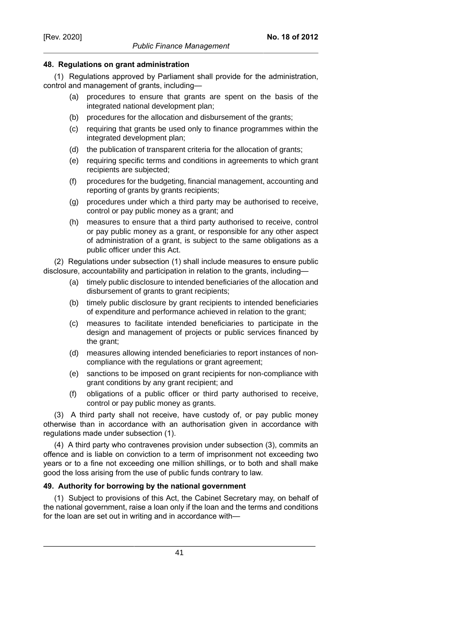## **48. Regulations on grant administration**

(1) Regulations approved by Parliament shall provide for the administration, control and management of grants, including—

- (a) procedures to ensure that grants are spent on the basis of the integrated national development plan;
- (b) procedures for the allocation and disbursement of the grants;
- (c) requiring that grants be used only to finance programmes within the integrated development plan;
- (d) the publication of transparent criteria for the allocation of grants;
- (e) requiring specific terms and conditions in agreements to which grant recipients are subjected;
- (f) procedures for the budgeting, financial management, accounting and reporting of grants by grants recipients;
- (g) procedures under which a third party may be authorised to receive, control or pay public money as a grant; and
- (h) measures to ensure that a third party authorised to receive, control or pay public money as a grant, or responsible for any other aspect of administration of a grant, is subject to the same obligations as a public officer under this Act.

(2) Regulations under subsection (1) shall include measures to ensure public disclosure, accountability and participation in relation to the grants, including—

- (a) timely public disclosure to intended beneficiaries of the allocation and disbursement of grants to grant recipients;
- (b) timely public disclosure by grant recipients to intended beneficiaries of expenditure and performance achieved in relation to the grant;
- (c) measures to facilitate intended beneficiaries to participate in the design and management of projects or public services financed by the grant;
- (d) measures allowing intended beneficiaries to report instances of noncompliance with the regulations or grant agreement;
- (e) sanctions to be imposed on grant recipients for non-compliance with grant conditions by any grant recipient; and
- (f) obligations of a public officer or third party authorised to receive, control or pay public money as grants.

(3) A third party shall not receive, have custody of, or pay public money otherwise than in accordance with an authorisation given in accordance with regulations made under subsection (1).

(4) A third party who contravenes provision under subsection (3), commits an offence and is liable on conviction to a term of imprisonment not exceeding two years or to a fine not exceeding one million shillings, or to both and shall make good the loss arising from the use of public funds contrary to law.

## **49. Authority for borrowing by the national government**

(1) Subject to provisions of this Act, the Cabinet Secretary may, on behalf of the national government, raise a loan only if the loan and the terms and conditions for the loan are set out in writing and in accordance with—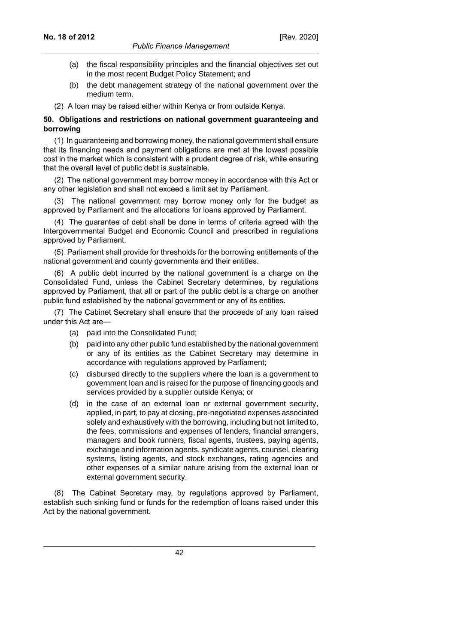- (a) the fiscal responsibility principles and the financial objectives set out in the most recent Budget Policy Statement; and
- (b) the debt management strategy of the national government over the medium term.
- (2) A loan may be raised either within Kenya or from outside Kenya.

## **50. Obligations and restrictions on national government guaranteeing and borrowing**

(1) In guaranteeing and borrowing money, the national government shall ensure that its financing needs and payment obligations are met at the lowest possible cost in the market which is consistent with a prudent degree of risk, while ensuring that the overall level of public debt is sustainable.

(2) The national government may borrow money in accordance with this Act or any other legislation and shall not exceed a limit set by Parliament.

(3) The national government may borrow money only for the budget as approved by Parliament and the allocations for loans approved by Parliament.

(4) The guarantee of debt shall be done in terms of criteria agreed with the Intergovernmental Budget and Economic Council and prescribed in regulations approved by Parliament.

(5) Parliament shall provide for thresholds for the borrowing entitlements of the national government and county governments and their entities.

(6) A public debt incurred by the national government is a charge on the Consolidated Fund, unless the Cabinet Secretary determines, by regulations approved by Parliament, that all or part of the public debt is a charge on another public fund established by the national government or any of its entities.

(7) The Cabinet Secretary shall ensure that the proceeds of any loan raised under this Act are—

- (a) paid into the Consolidated Fund;
- (b) paid into any other public fund established by the national government or any of its entities as the Cabinet Secretary may determine in accordance with regulations approved by Parliament;
- (c) disbursed directly to the suppliers where the loan is a government to government loan and is raised for the purpose of financing goods and services provided by a supplier outside Kenya; or
- (d) in the case of an external loan or external government security, applied, in part, to pay at closing, pre-negotiated expenses associated solely and exhaustively with the borrowing, including but not limited to, the fees, commissions and expenses of lenders, financial arrangers, managers and book runners, fiscal agents, trustees, paying agents, exchange and information agents, syndicate agents, counsel, clearing systems, listing agents, and stock exchanges, rating agencies and other expenses of a similar nature arising from the external loan or external government security.

(8) The Cabinet Secretary may, by regulations approved by Parliament, establish such sinking fund or funds for the redemption of loans raised under this Act by the national government.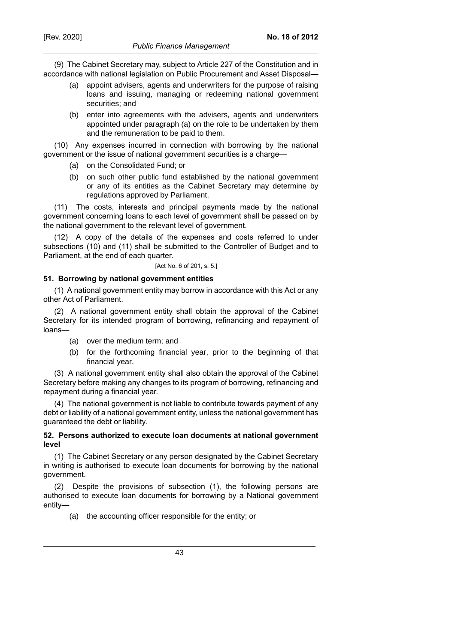(9) The Cabinet Secretary may, subject to Article 227 of the Constitution and in accordance with national legislation on Public Procurement and Asset Disposal—

- (a) appoint advisers, agents and underwriters for the purpose of raising loans and issuing, managing or redeeming national government securities; and
- (b) enter into agreements with the advisers, agents and underwriters appointed under paragraph (a) on the role to be undertaken by them and the remuneration to be paid to them.

(10) Any expenses incurred in connection with borrowing by the national government or the issue of national government securities is a charge—

- (a) on the Consolidated Fund; or
- (b) on such other public fund established by the national government or any of its entities as the Cabinet Secretary may determine by regulations approved by Parliament.

(11) The costs, interests and principal payments made by the national government concerning loans to each level of government shall be passed on by the national government to the relevant level of government.

(12) A copy of the details of the expenses and costs referred to under subsections (10) and (11) shall be submitted to the Controller of Budget and to Parliament, at the end of each quarter.

[Act No. 6 of 201, s. 5.]

#### **51. Borrowing by national government entities**

(1) A national government entity may borrow in accordance with this Act or any other Act of Parliament.

(2) A national government entity shall obtain the approval of the Cabinet Secretary for its intended program of borrowing, refinancing and repayment of loans—

- (a) over the medium term; and
- (b) for the forthcoming financial year, prior to the beginning of that financial year.

(3) A national government entity shall also obtain the approval of the Cabinet Secretary before making any changes to its program of borrowing, refinancing and repayment during a financial year.

(4) The national government is not liable to contribute towards payment of any debt or liability of a national government entity, unless the national government has guaranteed the debt or liability.

## **52. Persons authorized to execute loan documents at national government level**

(1) The Cabinet Secretary or any person designated by the Cabinet Secretary in writing is authorised to execute loan documents for borrowing by the national government.

(2) Despite the provisions of subsection (1), the following persons are authorised to execute loan documents for borrowing by a National government entity—

(a) the accounting officer responsible for the entity; or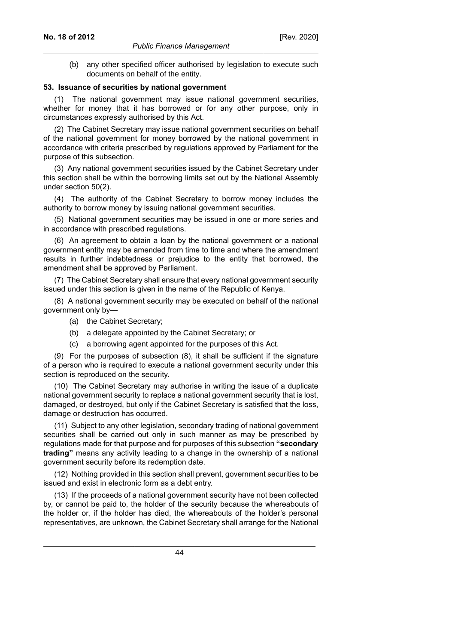(b) any other specified officer authorised by legislation to execute such documents on behalf of the entity.

#### **53. Issuance of securities by national government**

(1) The national government may issue national government securities, whether for money that it has borrowed or for any other purpose, only in circumstances expressly authorised by this Act.

(2) The Cabinet Secretary may issue national government securities on behalf of the national government for money borrowed by the national government in accordance with criteria prescribed by regulations approved by Parliament for the purpose of this subsection.

(3) Any national government securities issued by the Cabinet Secretary under this section shall be within the borrowing limits set out by the National Assembly under section 50(2).

(4) The authority of the Cabinet Secretary to borrow money includes the authority to borrow money by issuing national government securities.

(5) National government securities may be issued in one or more series and in accordance with prescribed regulations.

(6) An agreement to obtain a loan by the national government or a national government entity may be amended from time to time and where the amendment results in further indebtedness or prejudice to the entity that borrowed, the amendment shall be approved by Parliament.

(7) The Cabinet Secretary shall ensure that every national government security issued under this section is given in the name of the Republic of Kenya.

(8) A national government security may be executed on behalf of the national government only by—

(a) the Cabinet Secretary;

- (b) a delegate appointed by the Cabinet Secretary; or
- (c) a borrowing agent appointed for the purposes of this Act.

(9) For the purposes of subsection (8), it shall be sufficient if the signature of a person who is required to execute a national government security under this section is reproduced on the security.

(10) The Cabinet Secretary may authorise in writing the issue of a duplicate national government security to replace a national government security that is lost, damaged, or destroyed, but only if the Cabinet Secretary is satisfied that the loss, damage or destruction has occurred.

(11) Subject to any other legislation, secondary trading of national government securities shall be carried out only in such manner as may be prescribed by regulations made for that purpose and for purposes of this subsection **"secondary trading"** means any activity leading to a change in the ownership of a national government security before its redemption date.

(12) Nothing provided in this section shall prevent, government securities to be issued and exist in electronic form as a debt entry.

(13) If the proceeds of a national government security have not been collected by, or cannot be paid to, the holder of the security because the whereabouts of the holder or, if the holder has died, the whereabouts of the holder's personal representatives, are unknown, the Cabinet Secretary shall arrange for the National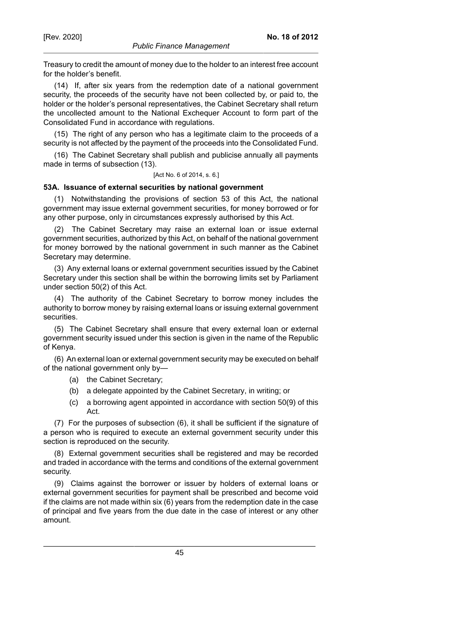Treasury to credit the amount of money due to the holder to an interest free account for the holder's benefit.

(14) If, after six years from the redemption date of a national government security, the proceeds of the security have not been collected by, or paid to, the holder or the holder's personal representatives, the Cabinet Secretary shall return the uncollected amount to the National Exchequer Account to form part of the Consolidated Fund in accordance with regulations.

(15) The right of any person who has a legitimate claim to the proceeds of a security is not affected by the payment of the proceeds into the Consolidated Fund.

(16) The Cabinet Secretary shall publish and publicise annually all payments made in terms of subsection (13).

#### [Act No. 6 of 2014, s. 6.]

## **53A. Issuance of external securities by national government**

(1) Notwithstanding the provisions of section 53 of this Act, the national government may issue external government securities, for money borrowed or for any other purpose, only in circumstances expressly authorised by this Act.

(2) The Cabinet Secretary may raise an external loan or issue external government securities, authorized by this Act, on behalf of the national government for money borrowed by the national government in such manner as the Cabinet Secretary may determine.

(3) Any external loans or external government securities issued by the Cabinet Secretary under this section shall be within the borrowing limits set by Parliament under section 50(2) of this Act.

(4) The authority of the Cabinet Secretary to borrow money includes the authority to borrow money by raising external loans or issuing external government securities.

(5) The Cabinet Secretary shall ensure that every external loan or external government security issued under this section is given in the name of the Republic of Kenya.

(6) An external loan or external government security may be executed on behalf of the national government only by—

- (a) the Cabinet Secretary;
- (b) a delegate appointed by the Cabinet Secretary, in writing; or
- (c) a borrowing agent appointed in accordance with section 50(9) of this Act.

(7) For the purposes of subsection (6), it shall be sufficient if the signature of a person who is required to execute an external government security under this section is reproduced on the security.

(8) External government securities shall be registered and may be recorded and traded in accordance with the terms and conditions of the external government security.

(9) Claims against the borrower or issuer by holders of external loans or external government securities for payment shall be prescribed and become void if the claims are not made within six (6) years from the redemption date in the case of principal and five years from the due date in the case of interest or any other amount.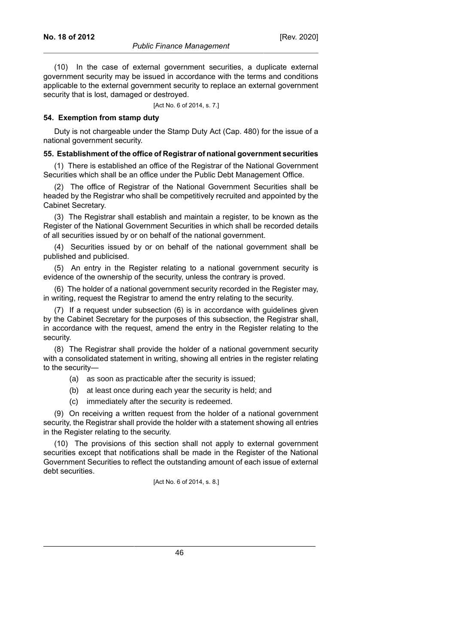(10) In the case of external government securities, a duplicate external government security may be issued in accordance with the terms and conditions applicable to the external government security to replace an external government security that is lost, damaged or destroyed.

[Act No. 6 of 2014, s. 7.]

#### **54. Exemption from stamp duty**

Duty is not chargeable under the Stamp Duty Act (Cap. 480) for the issue of a national government security.

#### **55. Establishment of the office of Registrar of national government securities**

(1) There is established an office of the Registrar of the National Government Securities which shall be an office under the Public Debt Management Office.

(2) The office of Registrar of the National Government Securities shall be headed by the Registrar who shall be competitively recruited and appointed by the Cabinet Secretary.

(3) The Registrar shall establish and maintain a register, to be known as the Register of the National Government Securities in which shall be recorded details of all securities issued by or on behalf of the national government.

(4) Securities issued by or on behalf of the national government shall be published and publicised.

(5) An entry in the Register relating to a national government security is evidence of the ownership of the security, unless the contrary is proved.

(6) The holder of a national government security recorded in the Register may, in writing, request the Registrar to amend the entry relating to the security.

(7) If a request under subsection (6) is in accordance with guidelines given by the Cabinet Secretary for the purposes of this subsection, the Registrar shall, in accordance with the request, amend the entry in the Register relating to the security.

(8) The Registrar shall provide the holder of a national government security with a consolidated statement in writing, showing all entries in the register relating to the security—

- (a) as soon as practicable after the security is issued;
- (b) at least once during each year the security is held; and
- (c) immediately after the security is redeemed.

(9) On receiving a written request from the holder of a national government security, the Registrar shall provide the holder with a statement showing all entries in the Register relating to the security.

(10) The provisions of this section shall not apply to external government securities except that notifications shall be made in the Register of the National Government Securities to reflect the outstanding amount of each issue of external debt securities.

[Act No. 6 of 2014, s. 8.]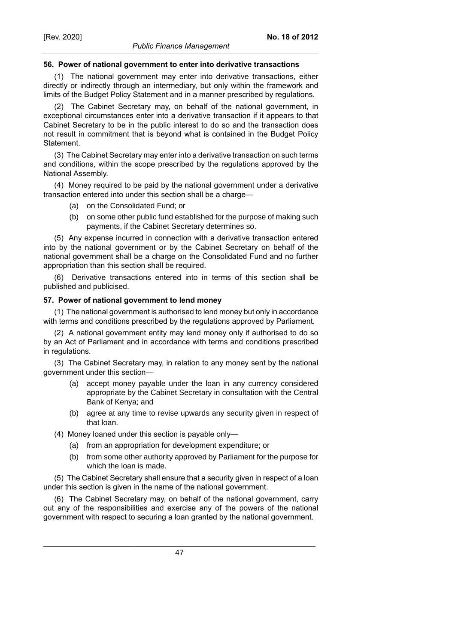## **56. Power of national government to enter into derivative transactions**

(1) The national government may enter into derivative transactions, either directly or indirectly through an intermediary, but only within the framework and limits of the Budget Policy Statement and in a manner prescribed by regulations.

(2) The Cabinet Secretary may, on behalf of the national government, in exceptional circumstances enter into a derivative transaction if it appears to that Cabinet Secretary to be in the public interest to do so and the transaction does not result in commitment that is beyond what is contained in the Budget Policy Statement.

(3) The Cabinet Secretary may enter into a derivative transaction on such terms and conditions, within the scope prescribed by the regulations approved by the National Assembly.

(4) Money required to be paid by the national government under a derivative transaction entered into under this section shall be a charge—

- (a) on the Consolidated Fund; or
- (b) on some other public fund established for the purpose of making such payments, if the Cabinet Secretary determines so.

(5) Any expense incurred in connection with a derivative transaction entered into by the national government or by the Cabinet Secretary on behalf of the national government shall be a charge on the Consolidated Fund and no further appropriation than this section shall be required.

(6) Derivative transactions entered into in terms of this section shall be published and publicised.

#### **57. Power of national government to lend money**

(1) The national government is authorised to lend money but only in accordance with terms and conditions prescribed by the regulations approved by Parliament.

(2) A national government entity may lend money only if authorised to do so by an Act of Parliament and in accordance with terms and conditions prescribed in regulations.

(3) The Cabinet Secretary may, in relation to any money sent by the national government under this section—

- (a) accept money payable under the loan in any currency considered appropriate by the Cabinet Secretary in consultation with the Central Bank of Kenya; and
- (b) agree at any time to revise upwards any security given in respect of that loan.

(4) Money loaned under this section is payable only—

- (a) from an appropriation for development expenditure; or
- (b) from some other authority approved by Parliament for the purpose for which the loan is made.

(5) The Cabinet Secretary shall ensure that a security given in respect of a loan under this section is given in the name of the national government.

(6) The Cabinet Secretary may, on behalf of the national government, carry out any of the responsibilities and exercise any of the powers of the national government with respect to securing a loan granted by the national government.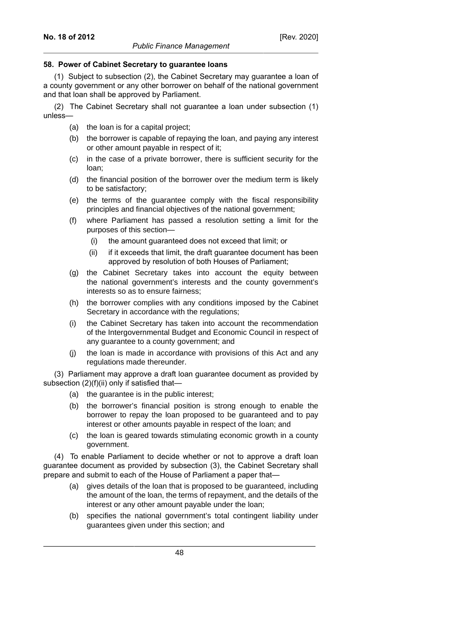#### **58. Power of Cabinet Secretary to guarantee loans**

(1) Subject to subsection (2), the Cabinet Secretary may guarantee a loan of a county government or any other borrower on behalf of the national government and that loan shall be approved by Parliament.

(2) The Cabinet Secretary shall not guarantee a loan under subsection (1) unless—

- (a) the loan is for a capital project;
- (b) the borrower is capable of repaying the loan, and paying any interest or other amount payable in respect of it;
- (c) in the case of a private borrower, there is sufficient security for the loan;
- (d) the financial position of the borrower over the medium term is likely to be satisfactory;
- (e) the terms of the guarantee comply with the fiscal responsibility principles and financial objectives of the national government;
- (f) where Parliament has passed a resolution setting a limit for the purposes of this section—
	- (i) the amount guaranteed does not exceed that limit; or
	- (ii) if it exceeds that limit, the draft guarantee document has been approved by resolution of both Houses of Parliament;
- (g) the Cabinet Secretary takes into account the equity between the national government's interests and the county government's interests so as to ensure fairness;
- (h) the borrower complies with any conditions imposed by the Cabinet Secretary in accordance with the regulations;
- (i) the Cabinet Secretary has taken into account the recommendation of the Intergovernmental Budget and Economic Council in respect of any guarantee to a county government; and
- (j) the loan is made in accordance with provisions of this Act and any regulations made thereunder.

(3) Parliament may approve a draft loan guarantee document as provided by subsection (2)(f)(ii) only if satisfied that-

- (a) the guarantee is in the public interest;
- (b) the borrower's financial position is strong enough to enable the borrower to repay the loan proposed to be guaranteed and to pay interest or other amounts payable in respect of the loan; and
- (c) the loan is geared towards stimulating economic growth in a county government.

(4) To enable Parliament to decide whether or not to approve a draft loan guarantee document as provided by subsection (3), the Cabinet Secretary shall prepare and submit to each of the House of Parliament a paper that—

- (a) gives details of the loan that is proposed to be guaranteed, including the amount of the loan, the terms of repayment, and the details of the interest or any other amount payable under the loan;
- (b) specifies the national government's total contingent liability under guarantees given under this section; and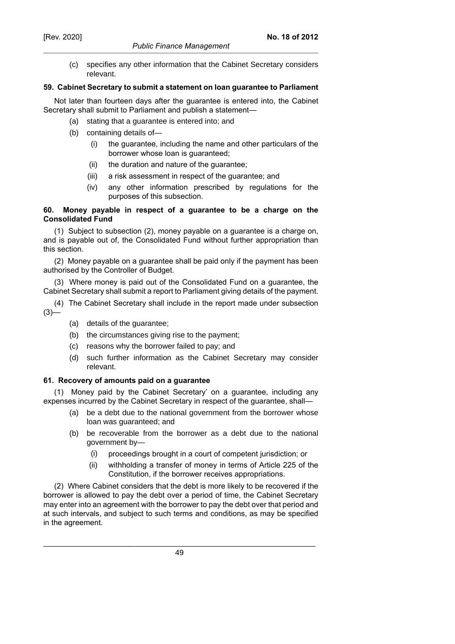(c) specifies any other information that the Cabinet Secretary considers relevant.

### **59. Cabinet Secretary to submit a statement on loan guarantee to Parliament**

Not later than fourteen days after the guarantee is entered into, the Cabinet Secretary shall submit to Parliament and publish a statement—

- (a) stating that a guarantee is entered into; and
- (b) containing details of—
	- (i) the guarantee, including the name and other particulars of the borrower whose loan is guaranteed;
	- (ii) the duration and nature of the guarantee;
	- (iii) a risk assessment in respect of the guarantee; and
	- (iv) any other information prescribed by regulations for the purposes of this subsection.

### **60. Money payable in respect of a guarantee to be a charge on the Consolidated Fund**

(1) Subject to subsection (2), money payable on a guarantee is a charge on, and is payable out of, the Consolidated Fund without further appropriation than this section.

(2) Money payable on a guarantee shall be paid only if the payment has been authorised by the Controller of Budget.

(3) Where money is paid out of the Consolidated Fund on a guarantee, the Cabinet Secretary shall submit a report to Parliament giving details of the payment.

- (4) The Cabinet Secretary shall include in the report made under subsection  $(3)$ —
	- (a) details of the guarantee;
	- (b) the circumstances giving rise to the payment;
	- (c) reasons why the borrower failed to pay; and
	- (d) such further information as the Cabinet Secretary may consider relevant.

## **61. Recovery of amounts paid on a guarantee**

(1) Money paid by the Cabinet Secretary' on a guarantee, including any expenses incurred by the Cabinet Secretary in respect of the guarantee, shall—

- (a) be a debt due to the national government from the borrower whose loan was guaranteed; and
- (b) be recoverable from the borrower as a debt due to the national government by—
	- (i) proceedings brought in a court of competent jurisdiction; or
	- (ii) withholding a transfer of money in terms of Article 225 of the Constitution, if the borrower receives appropriations.

(2) Where Cabinet considers that the debt is more likely to be recovered if the borrower is allowed to pay the debt over a period of time, the Cabinet Secretary may enter into an agreement with the borrower to pay the debt over that period and at such intervals, and subject to such terms and conditions, as may be specified in the agreement.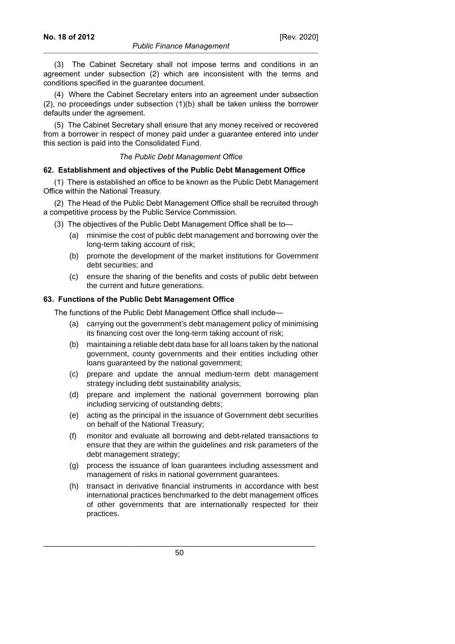(3) The Cabinet Secretary shall not impose terms and conditions in an agreement under subsection (2) which are inconsistent with the terms and conditions specified in the guarantee document.

(4) Where the Cabinet Secretary enters into an agreement under subsection (2), no proceedings under subsection (1)(b) shall be taken unless the borrower defaults under the agreement.

(5) The Cabinet Secretary shall ensure that any money received or recovered from a borrower in respect of money paid under a guarantee entered into under this section is paid into the Consolidated Fund.

#### *The Public Debt Management Office*

#### **62. Establishment and objectives of the Public Debt Management Office**

(1) There is established an office to be known as the Public Debt Management Office within the National Treasury.

(2) The Head of the Public Debt Management Office shall be recruited through a competitive process by the Public Service Commission.

(3) The objectives of the Public Debt Management Office shall be to—

- (a) minimise the cost of public debt management and borrowing over the long-term taking account of risk;
- (b) promote the development of the market institutions for Government debt securities; and
- (c) ensure the sharing of the benefits and costs of public debt between the current and future generations.

## **63. Functions of the Public Debt Management Office**

The functions of the Public Debt Management Office shall include—

- (a) carrying out the government's debt management policy of minimising its financing cost over the long-term taking account of risk;
- (b) maintaining a reliable debt data base for all loans taken by the national government, county governments and their entities including other loans guaranteed by the national government;
- (c) prepare and update the annual medium-term debt management strategy including debt sustainability analysis;
- (d) prepare and implement the national government borrowing plan including servicing of outstanding debts;
- (e) acting as the principal in the issuance of Government debt securities on behalf of the National Treasury;
- (f) monitor and evaluate all borrowing and debt-related transactions to ensure that they are within the guidelines and risk parameters of the debt management strategy;
- (g) process the issuance of loan guarantees including assessment and management of risks in national government guarantees.
- (h) transact in derivative financial instruments in accordance with best international practices benchmarked to the debt management offices of other governments that are internationally respected for their practices.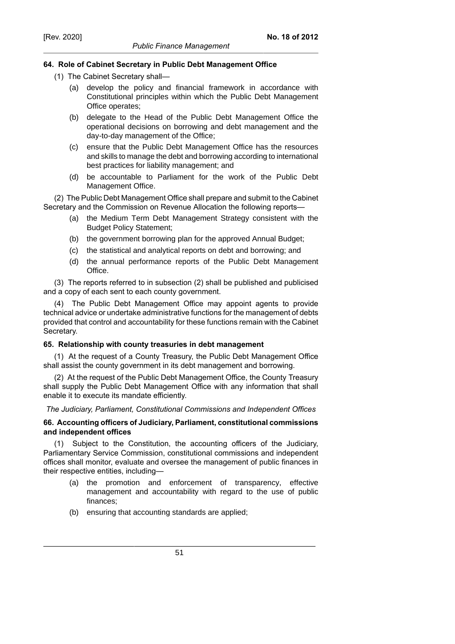### **64. Role of Cabinet Secretary in Public Debt Management Office**

- (1) The Cabinet Secretary shall—
	- (a) develop the policy and financial framework in accordance with Constitutional principles within which the Public Debt Management Office operates;
	- (b) delegate to the Head of the Public Debt Management Office the operational decisions on borrowing and debt management and the day-to-day management of the Office;
	- (c) ensure that the Public Debt Management Office has the resources and skills to manage the debt and borrowing according to international best practices for liability management; and
	- (d) be accountable to Parliament for the work of the Public Debt Management Office.

(2) The Public Debt Management Office shall prepare and submit to the Cabinet Secretary and the Commission on Revenue Allocation the following reports—

- (a) the Medium Term Debt Management Strategy consistent with the Budget Policy Statement;
- (b) the government borrowing plan for the approved Annual Budget;
- (c) the statistical and analytical reports on debt and borrowing; and
- (d) the annual performance reports of the Public Debt Management Office.

(3) The reports referred to in subsection (2) shall be published and publicised and a copy of each sent to each county government.

(4) The Public Debt Management Office may appoint agents to provide technical advice or undertake administrative functions for the management of debts provided that control and accountability for these functions remain with the Cabinet Secretary.

#### **65. Relationship with county treasuries in debt management**

(1) At the request of a County Treasury, the Public Debt Management Office shall assist the county government in its debt management and borrowing.

(2) At the request of the Public Debt Management Office, the County Treasury shall supply the Public Debt Management Office with any information that shall enable it to execute its mandate efficiently.

*The Judiciary, Parliament, Constitutional Commissions and Independent Offices*

#### **66. Accounting officers of Judiciary, Parliament, constitutional commissions and independent offices**

(1) Subject to the Constitution, the accounting officers of the Judiciary, Parliamentary Service Commission, constitutional commissions and independent offices shall monitor, evaluate and oversee the management of public finances in their respective entities, including—

- (a) the promotion and enforcement of transparency, effective management and accountability with regard to the use of public finances;
- (b) ensuring that accounting standards are applied;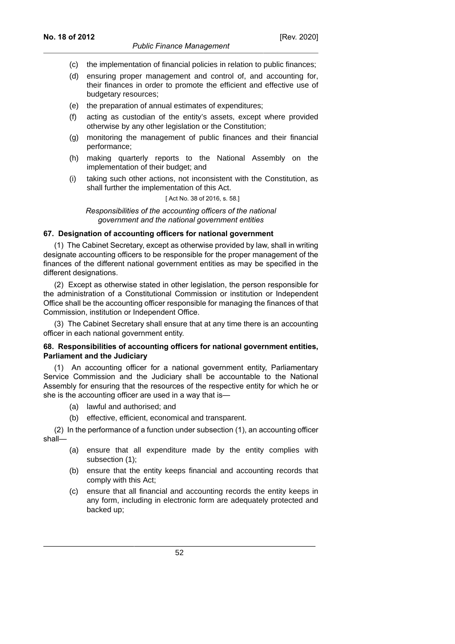#### *Public Finance Management*

- (c) the implementation of financial policies in relation to public finances;
- (d) ensuring proper management and control of, and accounting for, their finances in order to promote the efficient and effective use of budgetary resources;
- (e) the preparation of annual estimates of expenditures;
- (f) acting as custodian of the entity's assets, except where provided otherwise by any other legislation or the Constitution;
- (g) monitoring the management of public finances and their financial performance;
- (h) making quarterly reports to the National Assembly on the implementation of their budget; and
- (i) taking such other actions, not inconsistent with the Constitution, as shall further the implementation of this Act.

[ Act No. 38 of 2016, s. 58.]

*Responsibilities of the accounting officers of the national government and the national government entities*

## **67. Designation of accounting officers for national government**

(1) The Cabinet Secretary, except as otherwise provided by law, shall in writing designate accounting officers to be responsible for the proper management of the finances of the different national government entities as may be specified in the different designations.

(2) Except as otherwise stated in other legislation, the person responsible for the administration of a Constitutional Commission or institution or Independent Office shall be the accounting officer responsible for managing the finances of that Commission, institution or Independent Office.

(3) The Cabinet Secretary shall ensure that at any time there is an accounting officer in each national government entity.

#### **68. Responsibilities of accounting officers for national government entities, Parliament and the Judiciary**

(1) An accounting officer for a national government entity, Parliamentary Service Commission and the Judiciary shall be accountable to the National Assembly for ensuring that the resources of the respective entity for which he or she is the accounting officer are used in a way that is—

- (a) lawful and authorised; and
- (b) effective, efficient, economical and transparent.

(2) In the performance of a function under subsection (1), an accounting officer shall—

- (a) ensure that all expenditure made by the entity complies with subsection (1);
- (b) ensure that the entity keeps financial and accounting records that comply with this Act;
- (c) ensure that all financial and accounting records the entity keeps in any form, including in electronic form are adequately protected and backed up;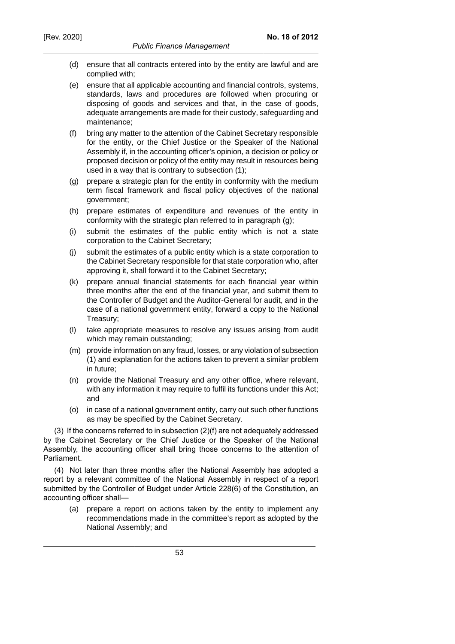- (d) ensure that all contracts entered into by the entity are lawful and are complied with;
- (e) ensure that all applicable accounting and financial controls, systems, standards, laws and procedures are followed when procuring or disposing of goods and services and that, in the case of goods, adequate arrangements are made for their custody, safeguarding and maintenance;
- (f) bring any matter to the attention of the Cabinet Secretary responsible for the entity, or the Chief Justice or the Speaker of the National Assembly if, in the accounting officer's opinion, a decision or policy or proposed decision or policy of the entity may result in resources being used in a way that is contrary to subsection (1);
- (g) prepare a strategic plan for the entity in conformity with the medium term fiscal framework and fiscal policy objectives of the national government;
- (h) prepare estimates of expenditure and revenues of the entity in conformity with the strategic plan referred to in paragraph (g);
- (i) submit the estimates of the public entity which is not a state corporation to the Cabinet Secretary;
- (j) submit the estimates of a public entity which is a state corporation to the Cabinet Secretary responsible for that state corporation who, after approving it, shall forward it to the Cabinet Secretary;
- (k) prepare annual financial statements for each financial year within three months after the end of the financial year, and submit them to the Controller of Budget and the Auditor-General for audit, and in the case of a national government entity, forward a copy to the National Treasury;
- (l) take appropriate measures to resolve any issues arising from audit which may remain outstanding;
- (m) provide information on any fraud, losses, or any violation of subsection (1) and explanation for the actions taken to prevent a similar problem in future;
- (n) provide the National Treasury and any other office, where relevant, with any information it may require to fulfil its functions under this Act; and
- (o) in case of a national government entity, carry out such other functions as may be specified by the Cabinet Secretary.

(3) If the concerns referred to in subsection (2)(f) are not adequately addressed by the Cabinet Secretary or the Chief Justice or the Speaker of the National Assembly, the accounting officer shall bring those concerns to the attention of Parliament.

(4) Not later than three months after the National Assembly has adopted a report by a relevant committee of the National Assembly in respect of a report submitted by the Controller of Budget under Article 228(6) of the Constitution, an accounting officer shall—

(a) prepare a report on actions taken by the entity to implement any recommendations made in the committee's report as adopted by the National Assembly; and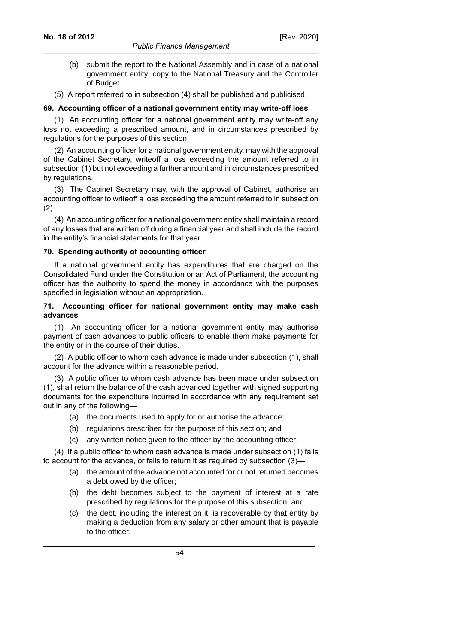- (b) submit the report to the National Assembly and in case of a national government entity, copy to the National Treasury and the Controller of Budget.
- (5) A report referred to in subsection (4) shall be published and publicised.

#### **69. Accounting officer of a national government entity may write-off loss**

(1) An accounting officer for a national government entity may write-off any loss not exceeding a prescribed amount, and in circumstances prescribed by regulations for the purposes of this section.

(2) An accounting officer for a national government entity, may with the approval of the Cabinet Secretary, writeoff a loss exceeding the amount referred to in subsection (1) but not exceeding a further amount and in circumstances prescribed by regulations.

(3) The Cabinet Secretary may, with the approval of Cabinet, authorise an accounting officer to writeoff a loss exceeding the amount referred to in subsection  $(2)$ .

(4) An accounting officer for a national government entity shall maintain a record of any losses that are written off during a financial year and shall include the record in the entity's financial statements for that year.

#### **70. Spending authority of accounting officer**

If a national government entity has expenditures that are charged on the Consolidated Fund under the Constitution or an Act of Parliament, the accounting officer has the authority to spend the money in accordance with the purposes specified in legislation without an appropriation.

#### **71. Accounting officer for national government entity may make cash advances**

(1) An accounting officer for a national government entity may authorise payment of cash advances to public officers to enable them make payments for the entity or in the course of their duties.

(2) A public officer to whom cash advance is made under subsection (1), shall account for the advance within a reasonable period.

(3) A public officer to whom cash advance has been made under subsection (1), shall return the balance of the cash advanced together with signed supporting documents for the expenditure incurred in accordance with any requirement set out in any of the following—

- (a) the documents used to apply for or authorise the advance;
- (b) regulations prescribed for the purpose of this section; and
- (c) any written notice given to the officer by the accounting officer.

(4) If a public officer to whom cash advance is made under subsection (1) fails to account for the advance, or fails to return it as required by subsection (3)—

- (a) the amount of the advance not accounted for or not returned becomes a debt owed by the officer;
- (b) the debt becomes subject to the payment of interest at a rate prescribed by regulations for the purpose of this subsection; and
- (c) the debt, including the interest on it, is recoverable by that entity by making a deduction from any salary or other amount that is payable to the officer.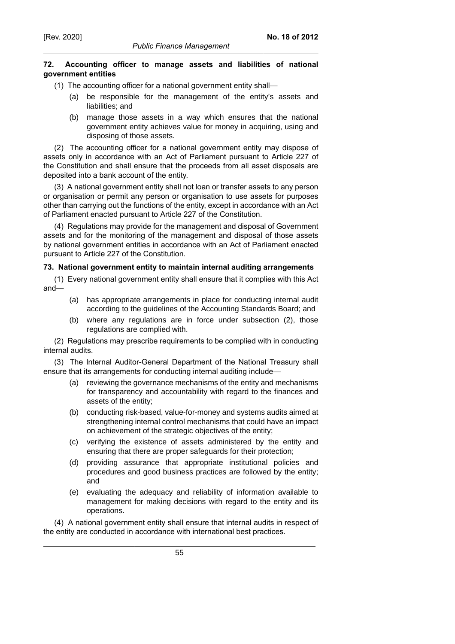### **72. Accounting officer to manage assets and liabilities of national government entities**

- (1) The accounting officer for a national government entity shall—
	- (a) be responsible for the management of the entity's assets and liabilities; and
	- (b) manage those assets in a way which ensures that the national government entity achieves value for money in acquiring, using and disposing of those assets.

(2) The accounting officer for a national government entity may dispose of assets only in accordance with an Act of Parliament pursuant to Article 227 of the Constitution and shall ensure that the proceeds from all asset disposals are deposited into a bank account of the entity.

(3) A national government entity shall not loan or transfer assets to any person or organisation or permit any person or organisation to use assets for purposes other than carrying out the functions of the entity, except in accordance with an Act of Parliament enacted pursuant to Article 227 of the Constitution.

(4) Regulations may provide for the management and disposal of Government assets and for the monitoring of the management and disposal of those assets by national government entities in accordance with an Act of Parliament enacted pursuant to Article 227 of the Constitution.

# **73. National government entity to maintain internal auditing arrangements**

(1) Every national government entity shall ensure that it complies with this Act and—

- (a) has appropriate arrangements in place for conducting internal audit according to the guidelines of the Accounting Standards Board; and
- (b) where any regulations are in force under subsection (2), those regulations are complied with.

(2) Regulations may prescribe requirements to be complied with in conducting internal audits.

(3) The Internal Auditor-General Department of the National Treasury shall ensure that its arrangements for conducting internal auditing include—

- (a) reviewing the governance mechanisms of the entity and mechanisms for transparency and accountability with regard to the finances and assets of the entity;
- (b) conducting risk-based, value-for-money and systems audits aimed at strengthening internal control mechanisms that could have an impact on achievement of the strategic objectives of the entity;
- (c) verifying the existence of assets administered by the entity and ensuring that there are proper safeguards for their protection;
- (d) providing assurance that appropriate institutional policies and procedures and good business practices are followed by the entity; and
- (e) evaluating the adequacy and reliability of information available to management for making decisions with regard to the entity and its operations.

(4) A national government entity shall ensure that internal audits in respect of the entity are conducted in accordance with international best practices.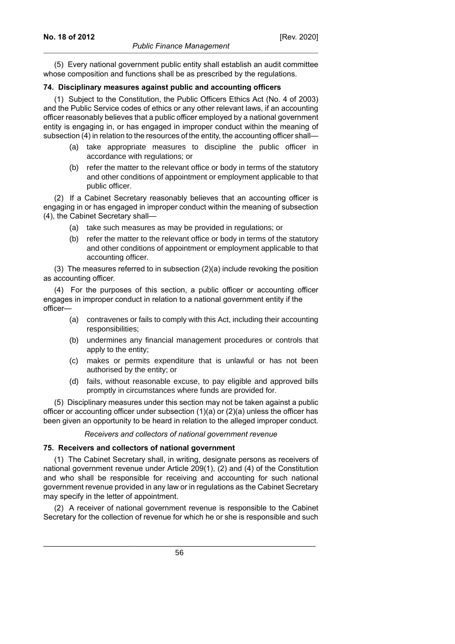(5) Every national government public entity shall establish an audit committee whose composition and functions shall be as prescribed by the regulations.

#### **74. Disciplinary measures against public and accounting officers**

(1) Subject to the Constitution, the Public Officers Ethics Act (No. 4 of 2003) and the Public Service codes of ethics or any other relevant laws, if an accounting officer reasonably believes that a public officer employed by a national government entity is engaging in, or has engaged in improper conduct within the meaning of subsection (4) in relation to the resources of the entity, the accounting officer shall—

- (a) take appropriate measures to discipline the public officer in accordance with regulations; or
- (b) refer the matter to the relevant office or body in terms of the statutory and other conditions of appointment or employment applicable to that public officer.

(2) If a Cabinet Secretary reasonably believes that an accounting officer is engaging in or has engaged in improper conduct within the meaning of subsection (4), the Cabinet Secretary shall—

- (a) take such measures as may be provided in regulations; or
- (b) refer the matter to the relevant office or body in terms of the statutory and other conditions of appointment or employment applicable to that accounting officer.

(3) The measures referred to in subsection (2)(a) include revoking the position as accounting officer.

(4) For the purposes of this section, a public officer or accounting officer engages in improper conduct in relation to a national government entity if the officer—

- (a) contravenes or fails to comply with this Act, including their accounting responsibilities;
- (b) undermines any financial management procedures or controls that apply to the entity;
- (c) makes or permits expenditure that is unlawful or has not been authorised by the entity; or
- (d) fails, without reasonable excuse, to pay eligible and approved bills promptly in circumstances where funds are provided for.

(5) Disciplinary measures under this section may not be taken against a public officer or accounting officer under subsection  $(1)(a)$  or  $(2)(a)$  unless the officer has been given an opportunity to be heard in relation to the alleged improper conduct.

*Receivers and collectors of national government revenue*

## **75. Receivers and collectors of national government**

(1) The Cabinet Secretary shall, in writing, designate persons as receivers of national government revenue under Article 209(1), (2) and (4) of the Constitution and who shall be responsible for receiving and accounting for such national government revenue provided in any law or in regulations as the Cabinet Secretary may specify in the letter of appointment.

(2) A receiver of national government revenue is responsible to the Cabinet Secretary for the collection of revenue for which he or she is responsible and such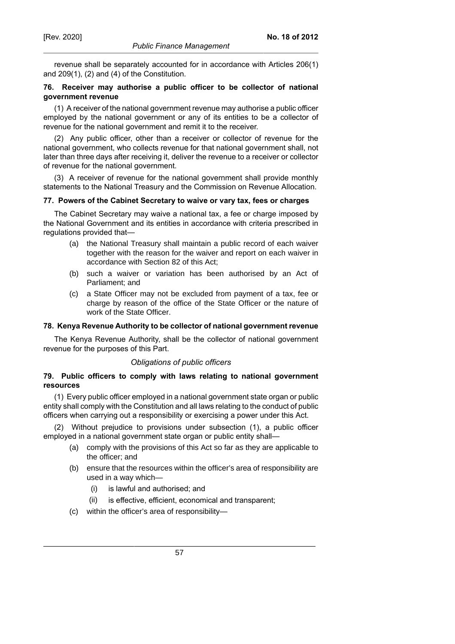revenue shall be separately accounted for in accordance with Articles 206(1) and 209(1), (2) and (4) of the Constitution.

## **76. Receiver may authorise a public officer to be collector of national government revenue**

(1) A receiver of the national government revenue may authorise a public officer employed by the national government or any of its entities to be a collector of revenue for the national government and remit it to the receiver.

(2) Any public officer, other than a receiver or collector of revenue for the national government, who collects revenue for that national government shall, not later than three days after receiving it, deliver the revenue to a receiver or collector of revenue for the national government.

(3) A receiver of revenue for the national government shall provide monthly statements to the National Treasury and the Commission on Revenue Allocation.

#### **77. Powers of the Cabinet Secretary to waive or vary tax, fees or charges**

The Cabinet Secretary may waive a national tax, a fee or charge imposed by the National Government and its entities in accordance with criteria prescribed in regulations provided that—

- (a) the National Treasury shall maintain a public record of each waiver together with the reason for the waiver and report on each waiver in accordance with Section 82 of this Act;
- (b) such a waiver or variation has been authorised by an Act of Parliament; and
- (c) a State Officer may not be excluded from payment of a tax, fee or charge by reason of the office of the State Officer or the nature of work of the State Officer.

## **78. Kenya Revenue Authority to be collector of national government revenue**

The Kenya Revenue Authority, shall be the collector of national government revenue for the purposes of this Part.

## *Obligations of public officers*

## **79. Public officers to comply with laws relating to national government resources**

(1) Every public officer employed in a national government state organ or public entity shall comply with the Constitution and all laws relating to the conduct of public officers when carrying out a responsibility or exercising a power under this Act.

(2) Without prejudice to provisions under subsection (1), a public officer employed in a national government state organ or public entity shall—

- (a) comply with the provisions of this Act so far as they are applicable to the officer; and
- (b) ensure that the resources within the officer's area of responsibility are used in a way which—
	- (i) is lawful and authorised; and
	- (ii) is effective, efficient, economical and transparent;
- (c) within the officer's area of responsibility—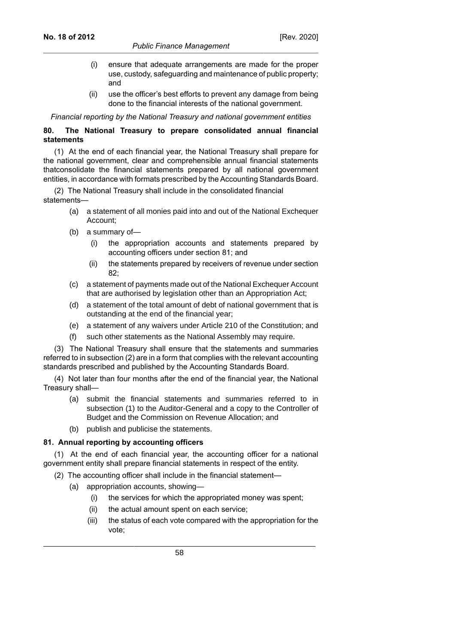- (i) ensure that adequate arrangements are made for the proper use, custody, safeguarding and maintenance of public property; and
- (ii) use the officer's best efforts to prevent any damage from being done to the financial interests of the national government.

*Financial reporting by the National Treasury and national government entities*

## **80. The National Treasury to prepare consolidated annual financial statements**

(1) At the end of each financial year, the National Treasury shall prepare for the national government, clear and comprehensible annual financial statements thatconsolidate the financial statements prepared by all national government entities, in accordance with formats prescribed by the Accounting Standards Board.

(2) The National Treasury shall include in the consolidated financial statements—

- (a) a statement of all monies paid into and out of the National Exchequer Account;
- (b) a summary of—
	- (i) the appropriation accounts and statements prepared by accounting officers under section 81; and
	- (ii) the statements prepared by receivers of revenue under section 82;
- (c) a statement of payments made out of the National Exchequer Account that are authorised by legislation other than an Appropriation Act;
- (d) a statement of the total amount of debt of national government that is outstanding at the end of the financial year;
- (e) a statement of any waivers under Article 210 of the Constitution; and
- such other statements as the National Assembly may require.

(3) The National Treasury shall ensure that the statements and summaries referred to in subsection (2) are in a form that complies with the relevant accounting standards prescribed and published by the Accounting Standards Board.

(4) Not later than four months after the end of the financial year, the National Treasury shall—

- (a) submit the financial statements and summaries referred to in subsection (1) to the Auditor-General and a copy to the Controller of Budget and the Commission on Revenue Allocation; and
- (b) publish and publicise the statements.

## **81. Annual reporting by accounting officers**

(1) At the end of each financial year, the accounting officer for a national government entity shall prepare financial statements in respect of the entity.

- (2) The accounting officer shall include in the financial statement—
	- (a) appropriation accounts, showing—
		- (i) the services for which the appropriated money was spent;
		- (ii) the actual amount spent on each service;
		- (iii) the status of each vote compared with the appropriation for the vote;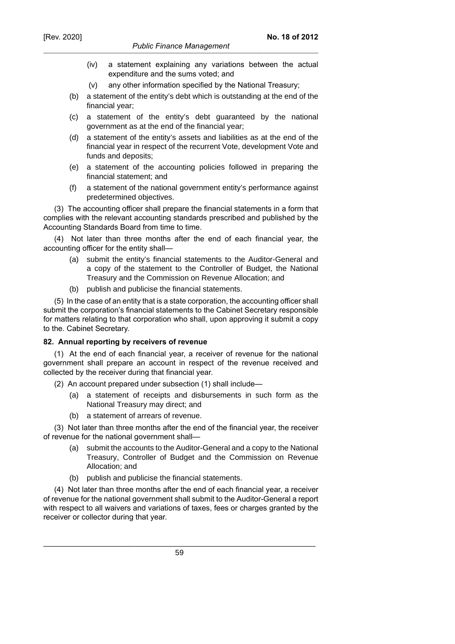#### *Public Finance Management*

- (iv) a statement explaining any variations between the actual expenditure and the sums voted; and
- (v) any other information specified by the National Treasury;
- (b) a statement of the entity's debt which is outstanding at the end of the financial year;
- (c) a statement of the entity's debt guaranteed by the national government as at the end of the financial year;
- (d) a statement of the entity's assets and liabilities as at the end of the financial year in respect of the recurrent Vote, development Vote and funds and deposits;
- (e) a statement of the accounting policies followed in preparing the financial statement; and
- (f) a statement of the national government entity's performance against predetermined objectives.

(3) The accounting officer shall prepare the financial statements in a form that complies with the relevant accounting standards prescribed and published by the Accounting Standards Board from time to time.

(4) Not later than three months after the end of each financial year, the accounting officer for the entity shall—

- (a) submit the entity's financial statements to the Auditor-General and a copy of the statement to the Controller of Budget, the National Treasury and the Commission on Revenue Allocation; and
- (b) publish and publicise the financial statements.

(5) In the case of an entity that is a state corporation, the accounting officer shall submit the corporation's financial statements to the Cabinet Secretary responsible for matters relating to that corporation who shall, upon approving it submit a copy to the. Cabinet Secretary.

## **82. Annual reporting by receivers of revenue**

(1) At the end of each financial year, a receiver of revenue for the national government shall prepare an account in respect of the revenue received and collected by the receiver during that financial year.

- (2) An account prepared under subsection (1) shall include—
	- (a) a statement of receipts and disbursements in such form as the National Treasury may direct; and
	- (b) a statement of arrears of revenue.

(3) Not later than three months after the end of the financial year, the receiver of revenue for the national government shall—

- (a) submit the accounts to the Auditor-General and a copy to the National Treasury, Controller of Budget and the Commission on Revenue Allocation; and
- (b) publish and publicise the financial statements.

(4) Not later than three months after the end of each financial year, a receiver of revenue for the national government shall submit to the Auditor-General a report with respect to all waivers and variations of taxes, fees or charges granted by the receiver or collector during that year.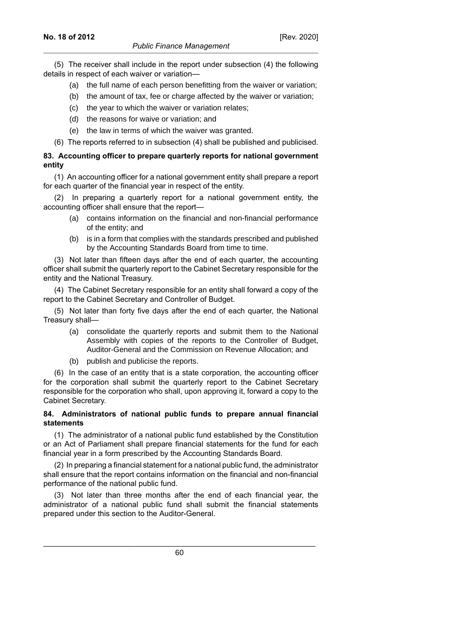(5) The receiver shall include in the report under subsection (4) the following details in respect of each waiver or variation—

- (a) the full name of each person benefitting from the waiver or variation;
- (b) the amount of tax, fee or charge affected by the waiver or variation;
- (c) the year to which the waiver or variation relates;
- (d) the reasons for waive or variation; and
- (e) the law in terms of which the waiver was granted.
- (6) The reports referred to in subsection (4) shall be published and publicised.

# **83. Accounting officer to prepare quarterly reports for national government entity**

(1) An accounting officer for a national government entity shall prepare a report for each quarter of the financial year in respect of the entity.

(2) In preparing a quarterly report for a national government entity, the accounting officer shall ensure that the report—

- (a) contains information on the financial and non-financial performance of the entity; and
- (b) is in a form that complies with the standards prescribed and published by the Accounting Standards Board from time to time.

(3) Not later than fifteen days after the end of each quarter, the accounting officer shall submit the quarterly report to the Cabinet Secretary responsible for the entity and the National Treasury.

(4) The Cabinet Secretary responsible for an entity shall forward a copy of the report to the Cabinet Secretary and Controller of Budget.

(5) Not later than forty five days after the end of each quarter, the National Treasury shall—

- (a) consolidate the quarterly reports and submit them to the National Assembly with copies of the reports to the Controller of Budget, Auditor-General and the Commission on Revenue Allocation; and
- (b) publish and publicise the reports.

(6) In the case of an entity that is a state corporation, the accounting officer for the corporation shall submit the quarterly report to the Cabinet Secretary responsible for the corporation who shall, upon approving it, forward a copy to the Cabinet Secretary.

#### **84. Administrators of national public funds to prepare annual financial statements**

(1) The administrator of a national public fund established by the Constitution or an Act of Parliament shall prepare financial statements for the fund for each financial year in a form prescribed by the Accounting Standards Board.

(2) In preparing a financial statement for a national public fund, the administrator shall ensure that the report contains information on the financial and non-financial performance of the national public fund.

(3) Not later than three months after the end of each financial year, the administrator of a national public fund shall submit the financial statements prepared under this section to the Auditor-General.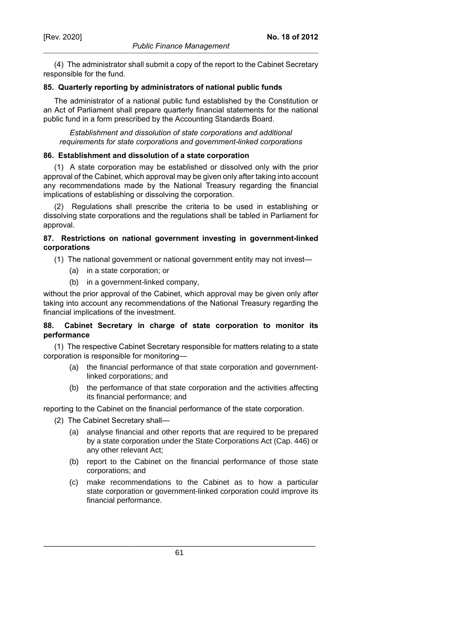(4) The administrator shall submit a copy of the report to the Cabinet Secretary responsible for the fund.

### **85. Quarterly reporting by administrators of national public funds**

The administrator of a national public fund established by the Constitution or an Act of Parliament shall prepare quarterly financial statements for the national public fund in a form prescribed by the Accounting Standards Board.

*Establishment and dissolution of state corporations and additional requirements for state corporations and government-linked corporations*

## **86. Establishment and dissolution of a state corporation**

(1) A state corporation may be established or dissolved only with the prior approval of the Cabinet, which approval may be given only after taking into account any recommendations made by the National Treasury regarding the financial implications of establishing or dissolving the corporation.

(2) Regulations shall prescribe the criteria to be used in establishing or dissolving state corporations and the regulations shall be tabled in Parliament for approval.

## **87. Restrictions on national government investing in government-linked corporations**

- (1) The national government or national government entity may not invest—
	- (a) in a state corporation; or
	- (b) in a government-linked company,

without the prior approval of the Cabinet, which approval may be given only after taking into account any recommendations of the National Treasury regarding the financial implications of the investment.

## **88. Cabinet Secretary in charge of state corporation to monitor its performance**

(1) The respective Cabinet Secretary responsible for matters relating to a state corporation is responsible for monitoring—

- (a) the financial performance of that state corporation and governmentlinked corporations; and
- (b) the performance of that state corporation and the activities affecting its financial performance; and

reporting to the Cabinet on the financial performance of the state corporation.

- (2) The Cabinet Secretary shall—
	- (a) analyse financial and other reports that are required to be prepared by a state corporation under the State Corporations Act (Cap. 446) or any other relevant Act;
	- (b) report to the Cabinet on the financial performance of those state corporations; and
	- (c) make recommendations to the Cabinet as to how a particular state corporation or government-linked corporation could improve its financial performance.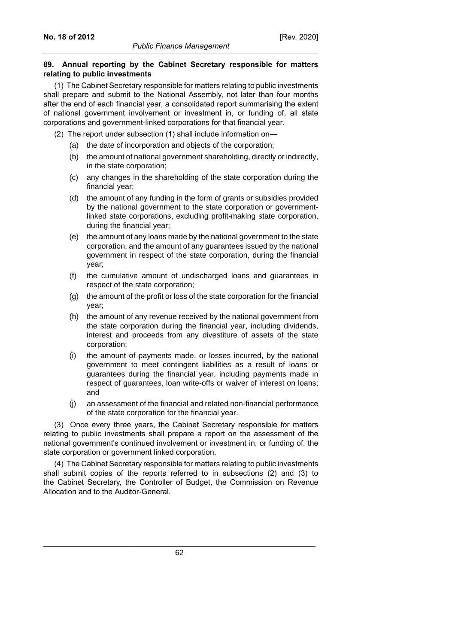## **89. Annual reporting by the Cabinet Secretary responsible for matters relating to public investments**

(1) The Cabinet Secretary responsible for matters relating to public investments shall prepare and submit to the National Assembly, not later than four months after the end of each financial year, a consolidated report summarising the extent of national government involvement or investment in, or funding of, all state corporations and government-linked corporations for that financial year.

- (2) The report under subsection (1) shall include information on—
	- (a) the date of incorporation and objects of the corporation;
	- (b) the amount of national government shareholding, directly or indirectly, in the state corporation;
	- (c) any changes in the shareholding of the state corporation during the financial year;
	- (d) the amount of any funding in the form of grants or subsidies provided by the national government to the state corporation or governmentlinked state corporations, excluding profit-making state corporation, during the financial year;
	- (e) the amount of any loans made by the national government to the state corporation, and the amount of any guarantees issued by the national government in respect of the state corporation, during the financial year;
	- (f) the cumulative amount of undischarged loans and guarantees in respect of the state corporation;
	- (g) the amount of the profit or loss of the state corporation for the financial year;
	- (h) the amount of any revenue received by the national government from the state corporation during the financial year, including dividends, interest and proceeds from any divestiture of assets of the state corporation;
	- (i) the amount of payments made, or losses incurred, by the national government to meet contingent liabilities as a result of loans or guarantees during the financial year, including payments made in respect of guarantees, loan write-offs or waiver of interest on loans; and
	- (j) an assessment of the financial and related non-financial performance of the state corporation for the financial year.

(3) Once every three years, the Cabinet Secretary responsible for matters relating to public investments shall prepare a report on the assessment of the national government's continued involvement or investment in, or funding of, the state corporation or government linked corporation.

(4) The Cabinet Secretary responsible for matters relating to public investments shall submit copies of the reports referred to in subsections (2) and (3) to the Cabinet Secretary, the Controller of Budget, the Commission on Revenue Allocation and to the Auditor-General.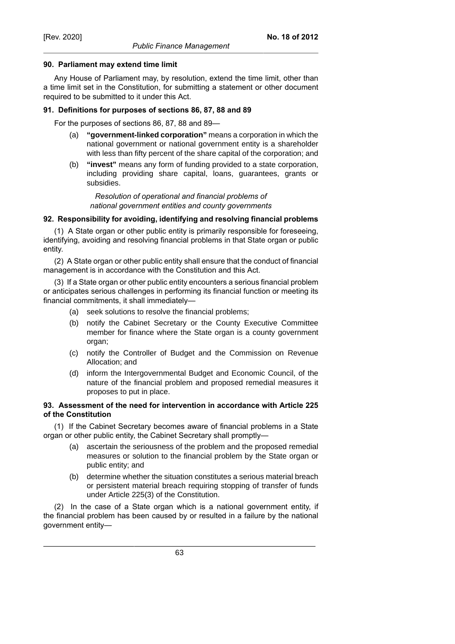#### **90. Parliament may extend time limit**

Any House of Parliament may, by resolution, extend the time limit, other than a time limit set in the Constitution, for submitting a statement or other document required to be submitted to it under this Act.

#### **91. Definitions for purposes of sections 86, 87, 88 and 89**

For the purposes of sections 86, 87, 88 and 89—

- (a) **"government-linked corporation"** means a corporation in which the national government or national government entity is a shareholder with less than fifty percent of the share capital of the corporation; and
- (b) **"invest"** means any form of funding provided to a state corporation, including providing share capital, loans, guarantees, grants or subsidies.

*Resolution of operational and financial problems of national government entities and county governments*

#### **92. Responsibility for avoiding, identifying and resolving financial problems**

(1) A State organ or other public entity is primarily responsible for foreseeing, identifying, avoiding and resolving financial problems in that State organ or public entity.

(2) A State organ or other public entity shall ensure that the conduct of financial management is in accordance with the Constitution and this Act.

(3) If a State organ or other public entity encounters a serious financial problem or anticipates serious challenges in performing its financial function or meeting its financial commitments, it shall immediately—

- (a) seek solutions to resolve the financial problems;
- (b) notify the Cabinet Secretary or the County Executive Committee member for finance where the State organ is a county government organ;
- (c) notify the Controller of Budget and the Commission on Revenue Allocation; and
- (d) inform the Intergovernmental Budget and Economic Council, of the nature of the financial problem and proposed remedial measures it proposes to put in place.

### **93. Assessment of the need for intervention in accordance with Article 225 of the Constitution**

(1) If the Cabinet Secretary becomes aware of financial problems in a State organ or other public entity, the Cabinet Secretary shall promptly—

- (a) ascertain the seriousness of the problem and the proposed remedial measures or solution to the financial problem by the State organ or public entity; and
- (b) determine whether the situation constitutes a serious material breach or persistent material breach requiring stopping of transfer of funds under Article 225(3) of the Constitution.

(2) In the case of a State organ which is a national government entity, if the financial problem has been caused by or resulted in a failure by the national government entity—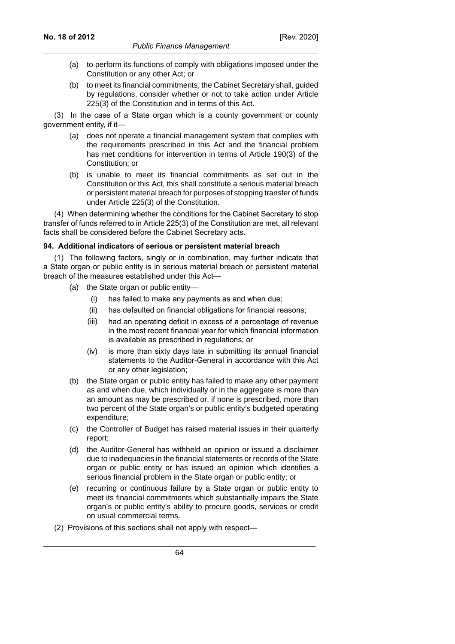- (a) to perform its functions of comply with obligations imposed under the Constitution or any other Act; or
- (b) to meet its financial commitments, the Cabinet Secretary shall, guided by regulations, consider whether or not to take action under Article 225(3) of the Constitution and in terms of this Act.

(3) In the case of a State organ which is a county government or county government entity, if it—

- (a) does not operate a financial management system that complies with the requirements prescribed in this Act and the financial problem has met conditions for intervention in terms of Article 190(3) of the Constitution; or
- (b) is unable to meet its financial commitments as set out in the Constitution or this Act, this shall constitute a serious material breach or persistent material breach for purposes of stopping transfer of funds under Article 225(3) of the Constitution.

(4) When determining whether the conditions for the Cabinet Secretary to stop transfer of funds referred to in Article 225(3) of the Constitution are met, all relevant facts shall be considered before the Cabinet Secretary acts.

#### **94. Additional indicators of serious or persistent material breach**

(1) The following factors, singly or in combination, may further indicate that a State organ or public entity is in serious material breach or persistent material breach of the measures established under this Act—

- (a) the State organ or public entity—
	- (i) has failed to make any payments as and when due;
	- (ii) has defaulted on financial obligations for financial reasons;
	- (iii) had an operating deficit in excess of a percentage of revenue in the most recent financial year for which financial information is available as prescribed in regulations; or
	- (iv) is more than sixty days late in submitting its annual financial statements to the Auditor-General in accordance with this Act or any other legislation;
- (b) the State organ or public entity has failed to make any other payment as and when due, which individually or in the aggregate is more than an amount as may be prescribed or, if none is prescribed, more than two percent of the State organ's or public entity's budgeted operating expenditure;
- (c) the Controller of Budget has raised material issues in their quarterly report;
- (d) the Auditor-General has withheld an opinion or issued a disclaimer due to inadequacies in the financial statements or records of the State organ or public entity or has issued an opinion which identifies a serious financial problem in the State organ or public entity; or
- (e) recurring or continuous failure by a State organ or public entity to meet its financial commitments which substantially impairs the State organ's or public entity's ability to procure goods, services or credit on usual commercial terms.
- (2) Provisions of this sections shall not apply with respect—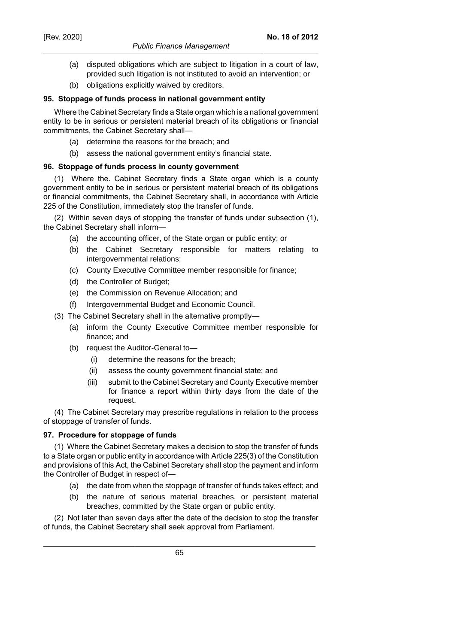- (a) disputed obligations which are subject to litigation in a court of law, provided such litigation is not instituted to avoid an intervention; or
- (b) obligations explicitly waived by creditors.

#### **95. Stoppage of funds process in national government entity**

Where the Cabinet Secretary finds a State organ which is a national government entity to be in serious or persistent material breach of its obligations or financial commitments, the Cabinet Secretary shall—

- (a) determine the reasons for the breach; and
- (b) assess the national government entity's financial state.

## **96. Stoppage of funds process in county government**

(1) Where the. Cabinet Secretary finds a State organ which is a county government entity to be in serious or persistent material breach of its obligations or financial commitments, the Cabinet Secretary shall, in accordance with Article 225 of the Constitution, immediately stop the transfer of funds.

(2) Within seven days of stopping the transfer of funds under subsection (1), the Cabinet Secretary shall inform—

- (a) the accounting officer, of the State organ or public entity; or
- (b) the Cabinet Secretary responsible for matters relating to intergovernmental relations;
- (c) County Executive Committee member responsible for finance;
- (d) the Controller of Budget;
- (e) the Commission on Revenue Allocation; and
- (f) Intergovernmental Budget and Economic Council.
- (3) The Cabinet Secretary shall in the alternative promptly—
	- (a) inform the County Executive Committee member responsible for finance; and
	- (b) request the Auditor-General to—
		- (i) determine the reasons for the breach;
		- (ii) assess the county government financial state; and
		- (iii) submit to the Cabinet Secretary and County Executive member for finance a report within thirty days from the date of the request.

(4) The Cabinet Secretary may prescribe regulations in relation to the process of stoppage of transfer of funds.

#### **97. Procedure for stoppage of funds**

(1) Where the Cabinet Secretary makes a decision to stop the transfer of funds to a State organ or public entity in accordance with Article 225(3) of the Constitution and provisions of this Act, the Cabinet Secretary shall stop the payment and inform the Controller of Budget in respect of—

- (a) the date from when the stoppage of transfer of funds takes effect; and
- (b) the nature of serious material breaches, or persistent material breaches, committed by the State organ or public entity.

(2) Not later than seven days after the date of the decision to stop the transfer of funds, the Cabinet Secretary shall seek approval from Parliament.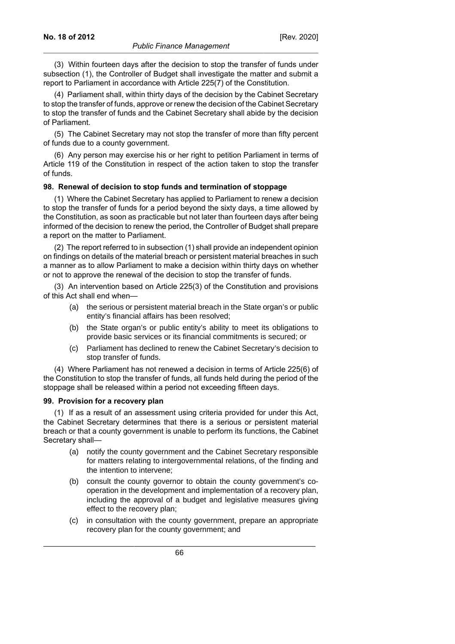(3) Within fourteen days after the decision to stop the transfer of funds under subsection (1), the Controller of Budget shall investigate the matter and submit a report to Parliament in accordance with Article 225(7) of the Constitution.

(4) Parliament shall, within thirty days of the decision by the Cabinet Secretary to stop the transfer of funds, approve or renew the decision of the Cabinet Secretary to stop the transfer of funds and the Cabinet Secretary shall abide by the decision of Parliament.

(5) The Cabinet Secretary may not stop the transfer of more than fifty percent of funds due to a county government.

(6) Any person may exercise his or her right to petition Parliament in terms of Article 119 of the Constitution in respect of the action taken to stop the transfer of funds.

#### **98. Renewal of decision to stop funds and termination of stoppage**

(1) Where the Cabinet Secretary has applied to Parliament to renew a decision to stop the transfer of funds for a period beyond the sixty days, a time allowed by the Constitution, as soon as practicable but not later than fourteen days after being informed of the decision to renew the period, the Controller of Budget shall prepare a report on the matter to Parliament.

(2) The report referred to in subsection (1) shall provide an independent opinion on findings on details of the material breach or persistent material breaches in such a manner as to allow Parliament to make a decision within thirty days on whether or not to approve the renewal of the decision to stop the transfer of funds.

(3) An intervention based on Article 225(3) of the Constitution and provisions of this Act shall end when—

- (a) the serious or persistent material breach in the State organ's or public entity's financial affairs has been resolved;
- (b) the State organ's or public entity's ability to meet its obligations to provide basic services or its financial commitments is secured; or
- (c) Parliament has declined to renew the Cabinet Secretary's decision to stop transfer of funds.

(4) Where Parliament has not renewed a decision in terms of Article 225(6) of the Constitution to stop the transfer of funds, all funds held during the period of the stoppage shall be released within a period not exceeding fifteen days.

#### **99. Provision for a recovery plan**

(1) If as a result of an assessment using criteria provided for under this Act, the Cabinet Secretary determines that there is a serious or persistent material breach or that a county government is unable to perform its functions, the Cabinet Secretary shall—

- (a) notify the county government and the Cabinet Secretary responsible for matters relating to intergovernmental relations, of the finding and the intention to intervene;
- (b) consult the county governor to obtain the county government's cooperation in the development and implementation of a recovery plan, including the approval of a budget and legislative measures giving effect to the recovery plan;
- (c) in consultation with the county government, prepare an appropriate recovery plan for the county government; and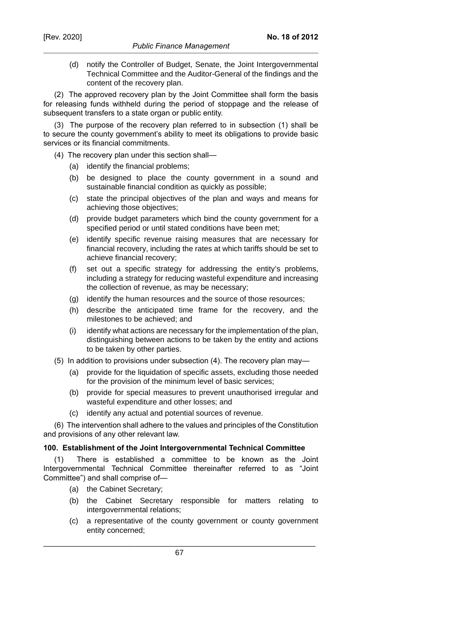(d) notify the Controller of Budget, Senate, the Joint Intergovernmental Technical Committee and the Auditor-General of the findings and the content of the recovery plan.

(2) The approved recovery plan by the Joint Committee shall form the basis for releasing funds withheld during the period of stoppage and the release of subsequent transfers to a state organ or public entity.

(3) The purpose of the recovery plan referred to in subsection (1) shall be to secure the county government's ability to meet its obligations to provide basic services or its financial commitments.

(4) The recovery plan under this section shall—

- (a) identify the financial problems;
- (b) be designed to place the county government in a sound and sustainable financial condition as quickly as possible;
- (c) state the principal objectives of the plan and ways and means for achieving those objectives;
- (d) provide budget parameters which bind the county government for a specified period or until stated conditions have been met;
- (e) identify specific revenue raising measures that are necessary for financial recovery, including the rates at which tariffs should be set to achieve financial recovery;
- (f) set out a specific strategy for addressing the entity's problems, including a strategy for reducing wasteful expenditure and increasing the collection of revenue, as may be necessary;
- (g) identify the human resources and the source of those resources;
- (h) describe the anticipated time frame for the recovery, and the milestones to be achieved; and
- (i) identify what actions are necessary for the implementation of the plan, distinguishing between actions to be taken by the entity and actions to be taken by other parties.
- (5) In addition to provisions under subsection (4). The recovery plan may—
	- (a) provide for the liquidation of specific assets, excluding those needed for the provision of the minimum level of basic services;
	- (b) provide for special measures to prevent unauthorised irregular and wasteful expenditure and other losses; and
	- (c) identify any actual and potential sources of revenue.

(6) The intervention shall adhere to the values and principles of the Constitution and provisions of any other relevant law.

## **100. Establishment of the Joint Intergovernmental Technical Committee**

(1) There is established a committee to be known as the Joint Intergovernmental Technical Committee thereinafter referred to as "Joint Committee") and shall comprise of—

- (a) the Cabinet Secretary;
- (b) the Cabinet Secretary responsible for matters relating to intergovernmental relations;
- (c) a representative of the county government or county government entity concerned;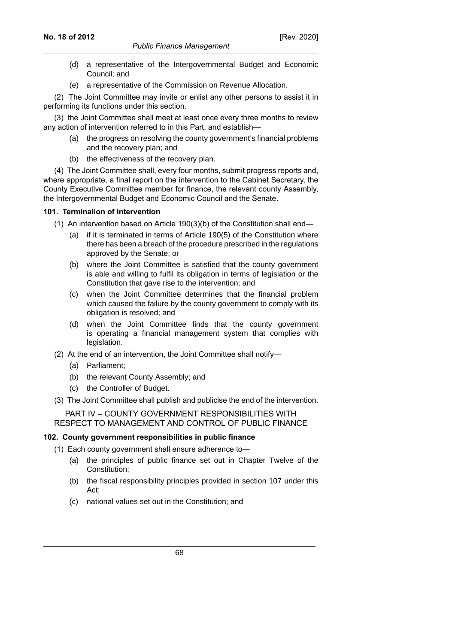- [Rev. 2020]
- (d) a representative of the Intergovernmental Budget and Economic Council; and
- (e) a representative of the Commission on Revenue Allocation.

(2) The Joint Committee may invite or enlist any other persons to assist it in performing its functions under this section.

(3) the Joint Committee shall meet at least once every three months to review any action of intervention referred to in this Part, and establish-

- (a) the progress on resolving the county government's financial problems and the recovery plan; and
- (b) the effectiveness of the recovery plan.

(4) The Joint Committee shall, every four months, submit progress reports and, where appropriate, a final report on the intervention to the Cabinet Secretary, the County Executive Committee member for finance, the relevant county Assembly, the Intergovernmental Budget and Economic Council and the Senate.

# **101. Terminalion of intervention**

- (1) An intervention based on Article 190(3)(b) of the Constitution shall end—
	- (a) if it is terminated in terms of Article 190(5) of the Constitution where there has been a breach of the procedure prescribed in the regulations approved by the Senate; or
	- (b) where the Joint Committee is satisfied that the county government is able and willing to fulfil its obligation in terms of legislation or the Constitution that gave rise to the intervention; and
	- (c) when the Joint Committee determines that the financial problem which caused the failure by the county government to comply with its obligation is resolved; and
	- (d) when the Joint Committee finds that the county government is operating a financial management system that complies with legislation.
- (2) At the end of an intervention, the Joint Committee shall notify—
	- (a) Parliament;
	- (b) the relevant County Assembly; and
	- (c) the Controller of Budget.
- (3) The Joint Committee shall publish and publicise the end of the intervention.

PART IV – COUNTY GOVERNMENT RESPONSIBILITIES WITH RESPECT TO MANAGEMENT AND CONTROL OF PUBLIC FINANCE

# **102. County government responsibilities in public finance**

- (1) Each county government shall ensure adherence to—
	- (a) the principles of public finance set out in Chapter Twelve of the Constitution;
	- (b) the fiscal responsibility principles provided in section 107 under this Act;
	- (c) national values set out in the Constitution; and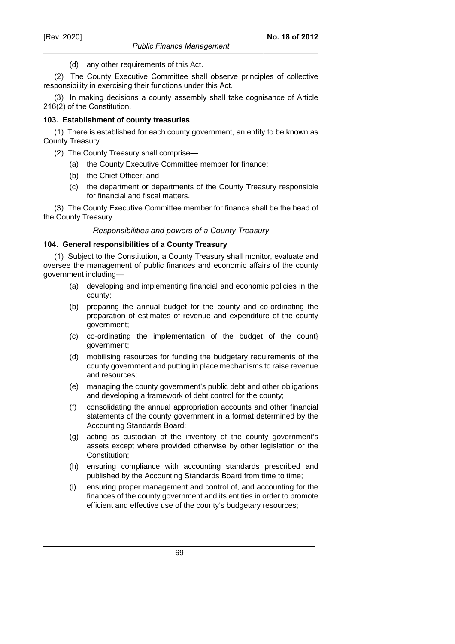(d) any other requirements of this Act.

(2) The County Executive Committee shall observe principles of collective responsibility in exercising their functions under this Act.

(3) In making decisions a county assembly shall take cognisance of Article 216(2) of the Constitution.

## **103. Establishment of county treasuries**

(1) There is established for each county government, an entity to be known as County Treasury.

- (2) The County Treasury shall comprise—
	- (a) the County Executive Committee member for finance;
	- (b) the Chief Officer; and
	- (c) the department or departments of the County Treasury responsible for financial and fiscal matters.

(3) The County Executive Committee member for finance shall be the head of the County Treasury.

## *Responsibilities and powers of a County Treasury*

## **104. General responsibilities of a County Treasury**

(1) Subject to the Constitution, a County Treasury shall monitor, evaluate and oversee the management of public finances and economic affairs of the county government including—

- (a) developing and implementing financial and economic policies in the county;
- (b) preparing the annual budget for the county and co-ordinating the preparation of estimates of revenue and expenditure of the county government;
- (c) co-ordinating the implementation of the budget of the count} government;
- (d) mobilising resources for funding the budgetary requirements of the county government and putting in place mechanisms to raise revenue and resources;
- (e) managing the county government's public debt and other obligations and developing a framework of debt control for the county;
- (f) consolidating the annual appropriation accounts and other financial statements of the county government in a format determined by the Accounting Standards Board;
- (g) acting as custodian of the inventory of the county government's assets except where provided otherwise by other legislation or the Constitution;
- (h) ensuring compliance with accounting standards prescribed and published by the Accounting Standards Board from time to time;
- (i) ensuring proper management and control of, and accounting for the finances of the county government and its entities in order to promote efficient and effective use of the county's budgetary resources;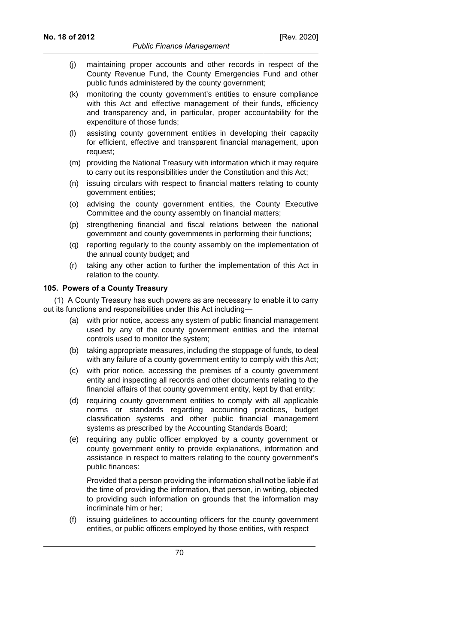- (j) maintaining proper accounts and other records in respect of the County Revenue Fund, the County Emergencies Fund and other public funds administered by the county government;
- (k) monitoring the county government's entities to ensure compliance with this Act and effective management of their funds, efficiency and transparency and, in particular, proper accountability for the expenditure of those funds;
- (l) assisting county government entities in developing their capacity for efficient, effective and transparent financial management, upon request;
- (m) providing the National Treasury with information which it may require to carry out its responsibilities under the Constitution and this Act;
- (n) issuing circulars with respect to financial matters relating to county government entities;
- (o) advising the county government entities, the County Executive Committee and the county assembly on financial matters;
- (p) strengthening financial and fiscal relations between the national government and county governments in performing their functions;
- (q) reporting regularly to the county assembly on the implementation of the annual county budget; and
- (r) taking any other action to further the implementation of this Act in relation to the county.

#### **105. Powers of a County Treasury**

(1) A County Treasury has such powers as are necessary to enable it to carry out its functions and responsibilities under this Act including—

- (a) with prior notice, access any system of public financial management used by any of the county government entities and the internal controls used to monitor the system;
- (b) taking appropriate measures, including the stoppage of funds, to deal with any failure of a county government entity to comply with this Act;
- (c) with prior notice, accessing the premises of a county government entity and inspecting all records and other documents relating to the financial affairs of that county government entity, kept by that entity;
- (d) requiring county government entities to comply with all applicable norms or standards regarding accounting practices, budget classification systems and other public financial management systems as prescribed by the Accounting Standards Board;
- (e) requiring any public officer employed by a county government or county government entity to provide explanations, information and assistance in respect to matters relating to the county government's public finances:

Provided that a person providing the information shall not be liable if at the time of providing the information, that person, in writing, objected to providing such information on grounds that the information may incriminate him or her;

(f) issuing guidelines to accounting officers for the county government entities, or public officers employed by those entities, with respect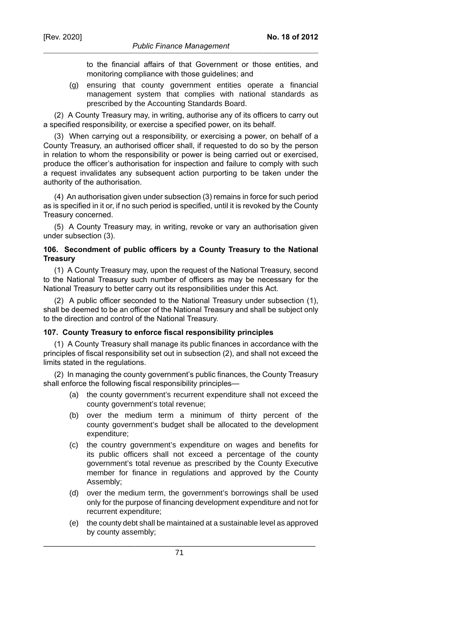to the financial affairs of that Government or those entities, and monitoring compliance with those guidelines; and

(g) ensuring that county government entities operate a financial management system that complies with national standards as prescribed by the Accounting Standards Board.

(2) A County Treasury may, in writing, authorise any of its officers to carry out a specified responsibility, or exercise a specified power, on its behalf.

(3) When carrying out a responsibility, or exercising a power, on behalf of a County Treasury, an authorised officer shall, if requested to do so by the person in relation to whom the responsibility or power is being carried out or exercised, produce the officer's authorisation for inspection and failure to comply with such a request invalidates any subsequent action purporting to be taken under the authority of the authorisation.

(4) An authorisation given under subsection (3) remains in force for such period as is specified in it or, if no such period is specified, until it is revoked by the County Treasury concerned.

(5) A County Treasury may, in writing, revoke or vary an authorisation given under subsection (3).

### **106. Secondment of public officers by a County Treasury to the National Treasury**

(1) A County Treasury may, upon the request of the National Treasury, second to the National Treasury such number of officers as may be necessary for the National Treasury to better carry out its responsibilities under this Act.

(2) A public officer seconded to the National Treasury under subsection (1), shall be deemed to be an officer of the National Treasury and shall be subject only to the direction and control of the National Treasury.

## **107. County Treasury to enforce fiscal responsibility principles**

(1) A County Treasury shall manage its public finances in accordance with the principles of fiscal responsibility set out in subsection (2), and shall not exceed the limits stated in the regulations.

(2) In managing the county government's public finances, the County Treasury shall enforce the following fiscal responsibility principles—

- (a) the county government's recurrent expenditure shall not exceed the county government's total revenue;
- (b) over the medium term a minimum of thirty percent of the county government's budget shall be allocated to the development expenditure;
- (c) the country government's expenditure on wages and benefits for its public officers shall not exceed a percentage of the county government's total revenue as prescribed by the County Executive member for finance in regulations and approved by the County Assembly;
- (d) over the medium term, the government's borrowings shall be used only for the purpose of financing development expenditure and not for recurrent expenditure;
- (e) the county debt shall be maintained at a sustainable level as approved by county assembly;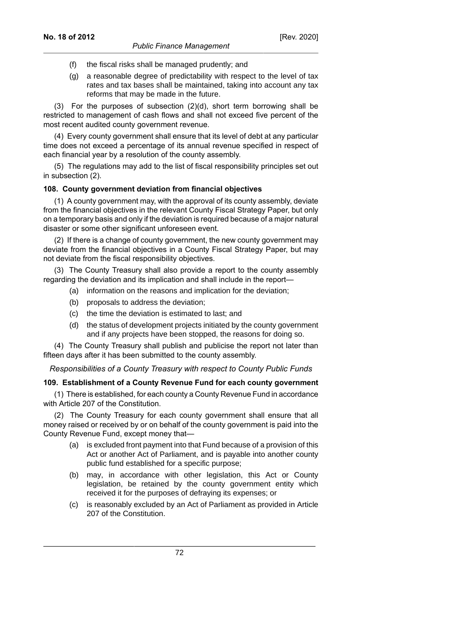- (f) the fiscal risks shall be managed prudently; and
- (g) a reasonable degree of predictability with respect to the level of tax rates and tax bases shall be maintained, taking into account any tax reforms that may be made in the future.

(3) For the purposes of subsection (2)(d), short term borrowing shall be restricted to management of cash flows and shall not exceed five percent of the most recent audited county government revenue.

(4) Every county government shall ensure that its level of debt at any particular time does not exceed a percentage of its annual revenue specified in respect of each financial year by a resolution of the county assembly.

(5) The regulations may add to the list of fiscal responsibility principles set out in subsection (2).

#### **108. County government deviation from financial objectives**

(1) A county government may, with the approval of its county assembly, deviate from the financial objectives in the relevant County Fiscal Strategy Paper, but only on a temporary basis and only if the deviation is required because of a major natural disaster or some other significant unforeseen event.

(2) If there is a change of county government, the new county government may deviate from the financial objectives in a County Fiscal Strategy Paper, but may not deviate from the fiscal responsibility objectives.

(3) The County Treasury shall also provide a report to the county assembly regarding the deviation and its implication and shall include in the report—

- (a) information on the reasons and implication for the deviation;
- (b) proposals to address the deviation;
- (c) the time the deviation is estimated to last; and
- (d) the status of development projects initiated by the county government and if any projects have been stopped, the reasons for doing so.

(4) The County Treasury shall publish and publicise the report not later than fifteen days after it has been submitted to the county assembly.

*Responsibilities of a County Treasury with respect to County Public Funds*

## **109. Establishment of a County Revenue Fund for each county government**

(1) There is established, for each county a County Revenue Fund in accordance with Article 207 of the Constitution.

(2) The County Treasury for each county government shall ensure that all money raised or received by or on behalf of the county government is paid into the County Revenue Fund, except money that—

- (a) is excluded front payment into that Fund because of a provision of this Act or another Act of Parliament, and is payable into another county public fund established for a specific purpose;
- (b) may, in accordance with other legislation, this Act or County legislation, be retained by the county government entity which received it for the purposes of defraying its expenses; or
- (c) is reasonably excluded by an Act of Parliament as provided in Article 207 of the Constitution.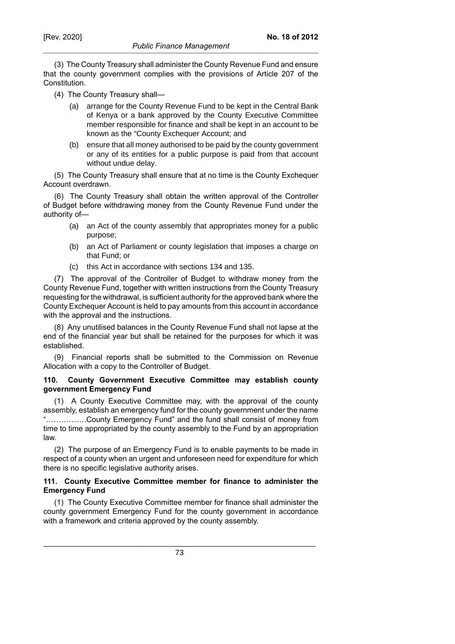### *Public Finance Management*

**No. 18 of 2012**

- (4) The County Treasury shall—
	- (a) arrange for the County Revenue Fund to be kept in the Central Bank of Kenya or a bank approved by the County Executive Committee member responsible for finance and shall be kept in an account to be known as the "County Exchequer Account; and
	- (b) ensure that all money authorised to be paid by the county government or any of its entities for a public purpose is paid from that account without undue delay.

(5) The County Treasury shall ensure that at no time is the County Exchequer Account overdrawn.

(6) The County Treasury shall obtain the written approval of the Controller of Budget before withdrawing money from the County Revenue Fund under the authority of—

- (a) an Act of the county assembly that appropriates money for a public purpose;
- (b) an Act of Parliament or county legislation that imposes a charge on that Fund; or
- (c) this Act in accordance with sections 134 and 135.

(7) The approval of the Controller of Budget to withdraw money from the County Revenue Fund, together with written instructions from the County Treasury requesting for the withdrawal, is sufficient authority for the approved bank where the County Exchequer Account is held to pay amounts from this account in accordance with the approval and the instructions.

(8) Any unutilised balances in the County Revenue Fund shall not lapse at the end of the financial year but shall be retained for the purposes for which it was established.

(9) Financial reports shall be submitted to the Commission on Revenue Allocation with a copy to the Controller of Budget.

## **110. County Government Executive Committee may establish county government Emergency Fund**

(1) A County Executive Committee may, with the approval of the county assembly, establish an emergency fund for the county government under the name "…………….County Emergency Fund" and the fund shall consist of money from time to time appropriated by the county assembly to the Fund by an appropriation law.

(2) The purpose of an Emergency Fund is to enable payments to be made in respect of a county when an urgent and unforeseen need for expenditure for which there is no specific legislative authority arises.

### **111. County Executive Committee member for finance to administer the Emergency Fund**

(1) The County Executive Committee member for finance shall administer the county government Emergency Fund for the county government in accordance with a framework and criteria approved by the county assembly.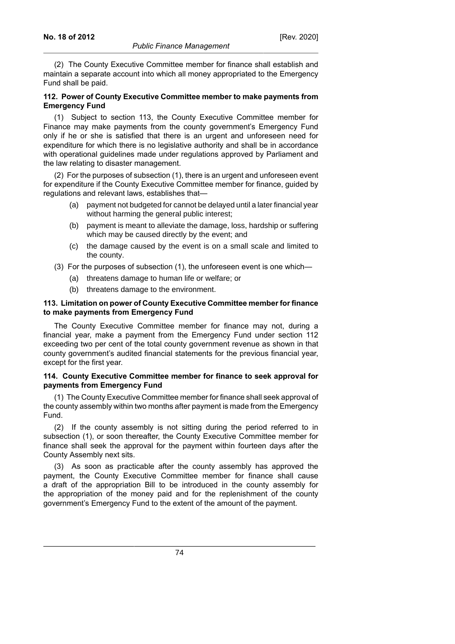[Rev. 2020]

(2) The County Executive Committee member for finance shall establish and maintain a separate account into which all money appropriated to the Emergency Fund shall be paid.

### **112. Power of County Executive Committee member to make payments from Emergency Fund**

(1) Subject to section 113, the County Executive Committee member for Finance may make payments from the county government's Emergency Fund only if he or she is satisfied that there is an urgent and unforeseen need for expenditure for which there is no legislative authority and shall be in accordance with operational guidelines made under regulations approved by Parliament and the law relating to disaster management.

(2) For the purposes of subsection (1), there is an urgent and unforeseen event for expenditure if the County Executive Committee member for finance, guided by regulations and relevant laws, establishes that—

- (a) payment not budgeted for cannot be delayed until a later financial year without harming the general public interest;
- (b) payment is meant to alleviate the damage, loss, hardship or suffering which may be caused directly by the event; and
- (c) the damage caused by the event is on a small scale and limited to the county.
- (3) For the purposes of subsection (1), the unforeseen event is one which—
	- (a) threatens damage to human life or welfare; or
	- (b) threatens damage to the environment.

### **113. Limitation on power of County Executive Committee member for finance to make payments from Emergency Fund**

The County Executive Committee member for finance may not, during a financial year, make a payment from the Emergency Fund under section 112 exceeding two per cent of the total county government revenue as shown in that county government's audited financial statements for the previous financial year, except for the first year.

#### **114. County Executive Committee member for finance to seek approval for payments from Emergency Fund**

(1) The County Executive Committee member for finance shall seek approval of the county assembly within two months after payment is made from the Emergency Fund.

(2) If the county assembly is not sitting during the period referred to in subsection (1), or soon thereafter, the County Executive Committee member for finance shall seek the approval for the payment within fourteen days after the County Assembly next sits.

(3) As soon as practicable after the county assembly has approved the payment, the County Executive Committee member for finance shall cause a draft of the appropriation Bill to be introduced in the county assembly for the appropriation of the money paid and for the replenishment of the county government's Emergency Fund to the extent of the amount of the payment.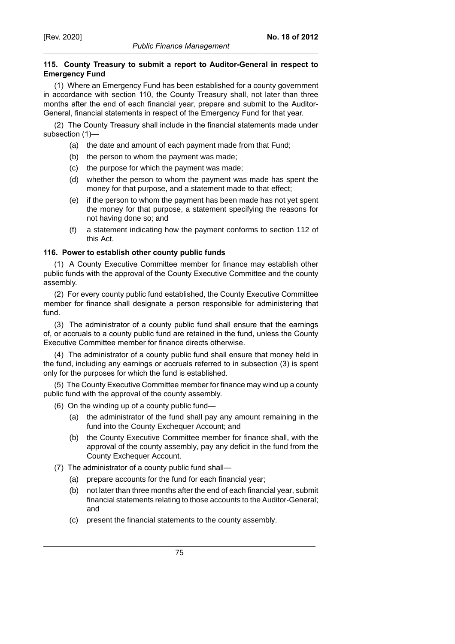# **115. County Treasury to submit a report to Auditor-General in respect to Emergency Fund**

(1) Where an Emergency Fund has been established for a county government in accordance with section 110, the County Treasury shall, not later than three months after the end of each financial year, prepare and submit to the Auditor-General, financial statements in respect of the Emergency Fund for that year.

(2) The County Treasury shall include in the financial statements made under subsection (1)—

- (a) the date and amount of each payment made from that Fund;
- (b) the person to whom the payment was made;
- (c) the purpose for which the payment was made;
- (d) whether the person to whom the payment was made has spent the money for that purpose, and a statement made to that effect;
- (e) if the person to whom the payment has been made has not yet spent the money for that purpose, a statement specifying the reasons for not having done so; and
- (f) a statement indicating how the payment conforms to section 112 of this Act.

# **116. Power to establish other county public funds**

(1) A County Executive Committee member for finance may establish other public funds with the approval of the County Executive Committee and the county assembly.

(2) For every county public fund established, the County Executive Committee member for finance shall designate a person responsible for administering that fund.

(3) The administrator of a county public fund shall ensure that the earnings of, or accruals to a county public fund are retained in the fund, unless the County Executive Committee member for finance directs otherwise.

(4) The administrator of a county public fund shall ensure that money held in the fund, including any earnings or accruals referred to in subsection (3) is spent only for the purposes for which the fund is established.

(5) The County Executive Committee member for finance may wind up a county public fund with the approval of the county assembly.

- (6) On the winding up of a county public fund—
	- (a) the administrator of the fund shall pay any amount remaining in the fund into the County Exchequer Account; and
	- (b) the County Executive Committee member for finance shall, with the approval of the county assembly, pay any deficit in the fund from the County Exchequer Account.
- (7) The administrator of a county public fund shall—
	- (a) prepare accounts for the fund for each financial year;
	- (b) not later than three months after the end of each financial year, submit financial statements relating to those accounts to the Auditor-General; and
	- (c) present the financial statements to the county assembly.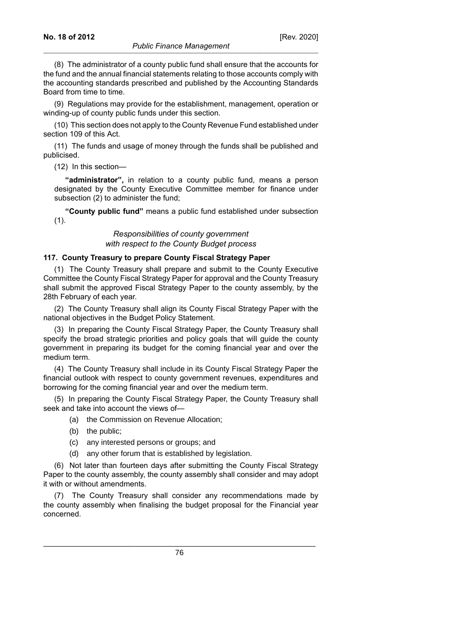(8) The administrator of a county public fund shall ensure that the accounts for the fund and the annual financial statements relating to those accounts comply with the accounting standards prescribed and published by the Accounting Standards Board from time to time.

(9) Regulations may provide for the establishment, management, operation or winding-up of county public funds under this section.

(10) This section does not apply to the County Revenue Fund established under section 109 of this Act.

(11) The funds and usage of money through the funds shall be published and publicised.

(12) In this section—

**"administrator",** in relation to a county public fund, means a person designated by the County Executive Committee member for finance under subsection (2) to administer the fund;

**"County public fund"** means a public fund established under subsection (1).

> *Responsibilities of county government with respect to the County Budget process*

### **117. County Treasury to prepare County Fiscal Strategy Paper**

(1) The County Treasury shall prepare and submit to the County Executive Committee the County Fiscal Strategy Paper for approval and the County Treasury shall submit the approved Fiscal Strategy Paper to the county assembly, by the 28th February of each year.

(2) The County Treasury shall align its County Fiscal Strategy Paper with the national objectives in the Budget Policy Statement.

(3) In preparing the County Fiscal Strategy Paper, the County Treasury shall specify the broad strategic priorities and policy goals that will guide the county government in preparing its budget for the coming financial year and over the medium term.

(4) The County Treasury shall include in its County Fiscal Strategy Paper the financial outlook with respect to county government revenues, expenditures and borrowing for the coming financial year and over the medium term.

(5) In preparing the County Fiscal Strategy Paper, the County Treasury shall seek and take into account the views of—

- (a) the Commission on Revenue Allocation;
- (b) the public;
- (c) any interested persons or groups; and
- (d) any other forum that is established by legislation.

(6) Not later than fourteen days after submitting the County Fiscal Strategy Paper to the county assembly, the county assembly shall consider and may adopt it with or without amendments.

(7) The County Treasury shall consider any recommendations made by the county assembly when finalising the budget proposal for the Financial year concerned.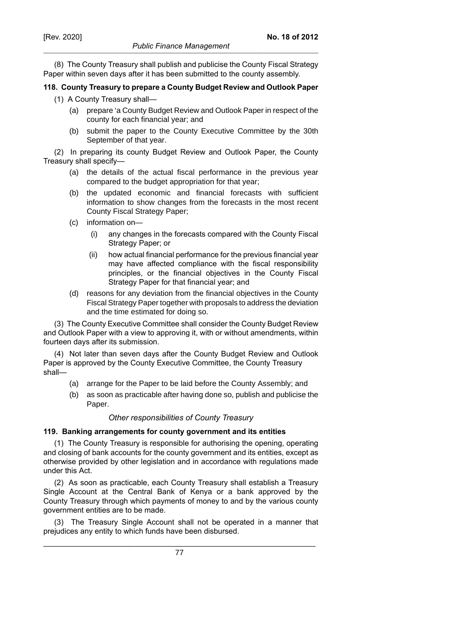(8) The County Treasury shall publish and publicise the County Fiscal Strategy Paper within seven days after it has been submitted to the county assembly.

## **118. County Treasury to prepare a County Budget Review and Outlook Paper**

- (1) A County Treasury shall—
	- (a) prepare 'a County Budget Review and Outlook Paper in respect of the county for each financial year; and
	- (b) submit the paper to the County Executive Committee by the 30th September of that year.

(2) In preparing its county Budget Review and Outlook Paper, the County Treasury shall specify—

- (a) the details of the actual fiscal performance in the previous year compared to the budget appropriation for that year;
- (b) the updated economic and financial forecasts with sufficient information to show changes from the forecasts in the most recent County Fiscal Strategy Paper;
- (c) information on—
	- (i) any changes in the forecasts compared with the County Fiscal Strategy Paper; or
	- (ii) how actual financial performance for the previous financial year may have affected compliance with the fiscal responsibility principles, or the financial objectives in the County Fiscal Strategy Paper for that financial year; and
- (d) reasons for any deviation from the financial objectives in the County Fiscal Strategy Paper together with proposals to address the deviation and the time estimated for doing so.

(3) The County Executive Committee shall consider the County Budget Review and Outlook Paper with a view to approving it, with or without amendments, within fourteen days after its submission.

(4) Not later than seven days after the County Budget Review and Outlook Paper is approved by the County Executive Committee, the County Treasury shall—

- (a) arrange for the Paper to be laid before the County Assembly; and
- (b) as soon as practicable after having done so, publish and publicise the Paper.

## *Other responsibilities of County Treasury*

## **119. Banking arrangements for county government and its entities**

(1) The County Treasury is responsible for authorising the opening, operating and closing of bank accounts for the county government and its entities, except as otherwise provided by other legislation and in accordance with regulations made under this Act.

(2) As soon as practicable, each County Treasury shall establish a Treasury Single Account at the Central Bank of Kenya or a bank approved by the County Treasury through which payments of money to and by the various county government entities are to be made.

(3) The Treasury Single Account shall not be operated in a manner that prejudices any entity to which funds have been disbursed.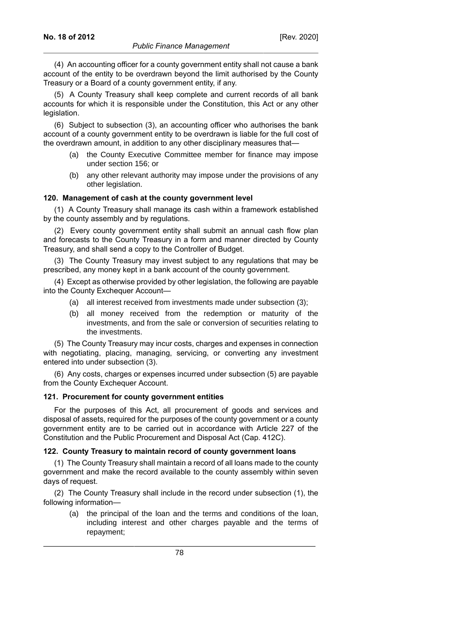(4) An accounting officer for a county government entity shall not cause a bank account of the entity to be overdrawn beyond the limit authorised by the County Treasury or a Board of a county government entity, if any.

(5) A County Treasury shall keep complete and current records of all bank accounts for which it is responsible under the Constitution, this Act or any other legislation.

(6) Subject to subsection (3), an accounting officer who authorises the bank account of a county government entity to be overdrawn is liable for the full cost of the overdrawn amount, in addition to any other disciplinary measures that—

- (a) the County Executive Committee member for finance may impose under section 156; or
- (b) any other relevant authority may impose under the provisions of any other legislation.

### **120. Management of cash at the county government level**

(1) A County Treasury shall manage its cash within a framework established by the county assembly and by regulations.

(2) Every county government entity shall submit an annual cash flow plan and forecasts to the County Treasury in a form and manner directed by County Treasury, and shall send a copy to the Controller of Budget.

(3) The County Treasury may invest subject to any regulations that may be prescribed, any money kept in a bank account of the county government.

(4) Except as otherwise provided by other legislation, the following are payable into the County Exchequer Account—

- (a) all interest received from investments made under subsection (3);
- (b) all money received from the redemption or maturity of the investments, and from the sale or conversion of securities relating to the investments.

(5) The County Treasury may incur costs, charges and expenses in connection with negotiating, placing, managing, servicing, or converting any investment entered into under subsection (3).

(6) Any costs, charges or expenses incurred under subsection (5) are payable from the County Exchequer Account.

#### **121. Procurement for county government entities**

For the purposes of this Act, all procurement of goods and services and disposal of assets, required for the purposes of the county government or a county government entity are to be carried out in accordance with Article 227 of the Constitution and the Public Procurement and Disposal Act (Cap. 412C).

## **122. County Treasury to maintain record of county government loans**

(1) The County Treasury shall maintain a record of all loans made to the county government and make the record available to the county assembly within seven days of request.

(2) The County Treasury shall include in the record under subsection (1), the following information—

(a) the principal of the loan and the terms and conditions of the loan, including interest and other charges payable and the terms of repayment;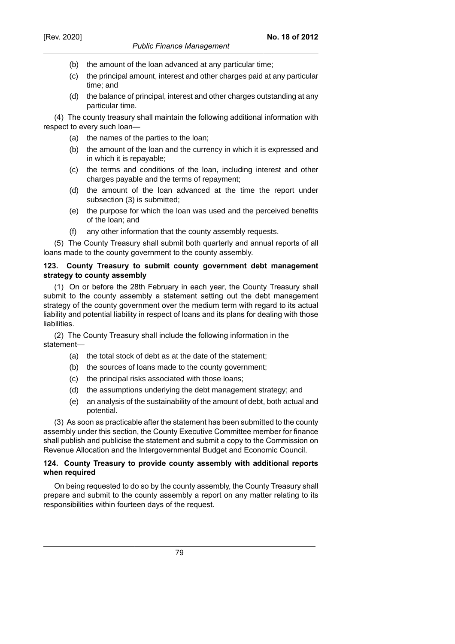### *Public Finance Management*

- (b) the amount of the loan advanced at any particular time;
- (c) the principal amount, interest and other charges paid at any particular time; and
- (d) the balance of principal, interest and other charges outstanding at any particular time.

(4) The county treasury shall maintain the following additional information with respect to every such loan—

- (a) the names of the parties to the loan;
- (b) the amount of the loan and the currency in which it is expressed and in which it is repayable;
- (c) the terms and conditions of the loan, including interest and other charges payable and the terms of repayment;
- (d) the amount of the loan advanced at the time the report under subsection (3) is submitted;
- (e) the purpose for which the loan was used and the perceived benefits of the loan; and
- (f) any other information that the county assembly requests.

(5) The County Treasury shall submit both quarterly and annual reports of all loans made to the county government to the county assembly.

#### **123. County Treasury to submit county government debt management strategy to county assembly**

(1) On or before the 28th February in each year, the County Treasury shall submit to the county assembly a statement setting out the debt management strategy of the county government over the medium term with regard to its actual liability and potential liability in respect of loans and its plans for dealing with those liabilities.

(2) The County Treasury shall include the following information in the statement—

- (a) the total stock of debt as at the date of the statement;
- (b) the sources of loans made to the county government;
- (c) the principal risks associated with those loans;
- (d) the assumptions underlying the debt management strategy; and
- (e) an analysis of the sustainability of the amount of debt, both actual and potential.

(3) As soon as practicable after the statement has been submitted to the county assembly under this section, the County Executive Committee member for finance shall publish and publicise the statement and submit a copy to the Commission on Revenue Allocation and the Intergovernmental Budget and Economic Council.

### **124. County Treasury to provide county assembly with additional reports when required**

On being requested to do so by the county assembly, the County Treasury shall prepare and submit to the county assembly a report on any matter relating to its responsibilities within fourteen days of the request.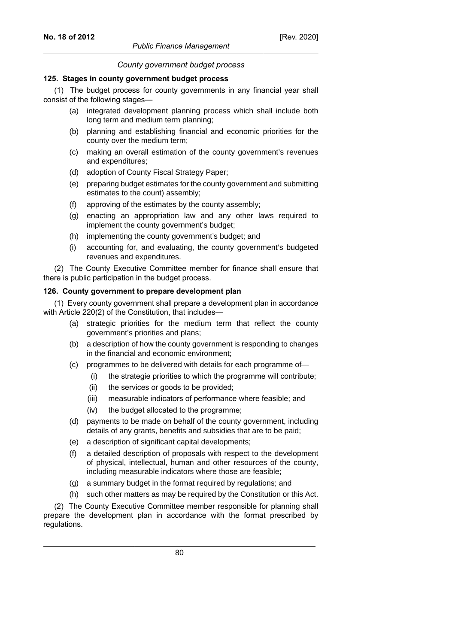### *County government budget process*

### **125. Stages in county government budget process**

(1) The budget process for county governments in any financial year shall consist of the following stages—

- (a) integrated development planning process which shall include both long term and medium term planning;
- (b) planning and establishing financial and economic priorities for the county over the medium term;
- (c) making an overall estimation of the county government's revenues and expenditures;
- (d) adoption of County Fiscal Strategy Paper;
- (e) preparing budget estimates for the county government and submitting estimates to the count) assembly;
- (f) approving of the estimates by the county assembly;
- (g) enacting an appropriation law and any other laws required to implement the county government's budget;
- (h) implementing the county government's budget; and
- (i) accounting for, and evaluating, the county government's budgeted revenues and expenditures.

(2) The County Executive Committee member for finance shall ensure that there is public participation in the budget process.

### **126. County government to prepare development plan**

(1) Every county government shall prepare a development plan in accordance with Article 220(2) of the Constitution, that includes—

- (a) strategic priorities for the medium term that reflect the county government's priorities and plans;
- (b) a description of how the county government is responding to changes in the financial and economic environment;
- (c) programmes to be delivered with details for each programme of—
	- (i) the strategie priorities to which the programme will contribute;
	- (ii) the services or goods to be provided;
	- (iii) measurable indicators of performance where feasible; and
	- (iv) the budget allocated to the programme;
- (d) payments to be made on behalf of the county government, including details of any grants, benefits and subsidies that are to be paid;
- (e) a description of significant capital developments;
- (f) a detailed description of proposals with respect to the development of physical, intellectual, human and other resources of the county, including measurable indicators where those are feasible;
- (g) a summary budget in the format required by regulations; and
- (h) such other matters as may be required by the Constitution or this Act.

(2) The County Executive Committee member responsible for planning shall prepare the development plan in accordance with the format prescribed by regulations.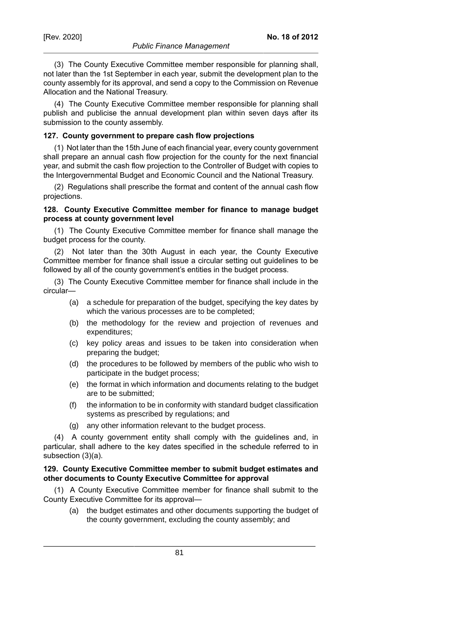(3) The County Executive Committee member responsible for planning shall, not later than the 1st September in each year, submit the development plan to the county assembly for its approval, and send a copy to the Commission on Revenue Allocation and the National Treasury.

(4) The County Executive Committee member responsible for planning shall publish and publicise the annual development plan within seven days after its submission to the county assembly.

### **127. County government to prepare cash flow projections**

(1) Not later than the 15th June of each financial year, every county government shall prepare an annual cash flow projection for the county for the next financial year, and submit the cash flow projection to the Controller of Budget with copies to the Intergovernmental Budget and Economic Council and the National Treasury.

(2) Regulations shall prescribe the format and content of the annual cash flow projections.

### **128. County Executive Committee member for finance to manage budget process at county government level**

(1) The County Executive Committee member for finance shall manage the budget process for the county.

(2) Not later than the 30th August in each year, the County Executive Committee member for finance shall issue a circular setting out guidelines to be followed by all of the county government's entities in the budget process.

(3) The County Executive Committee member for finance shall include in the circular—

- (a) a schedule for preparation of the budget, specifying the key dates by which the various processes are to be completed;
- (b) the methodology for the review and projection of revenues and expenditures;
- (c) key policy areas and issues to be taken into consideration when preparing the budget;
- (d) the procedures to be followed by members of the public who wish to participate in the budget process;
- (e) the format in which information and documents relating to the budget are to be submitted;
- (f) the information to be in conformity with standard budget classification systems as prescribed by regulations; and
- (g) any other information relevant to the budget process.

(4) A county government entity shall comply with the guidelines and, in particular, shall adhere to the key dates specified in the schedule referred to in subsection (3)(a).

#### **129. County Executive Committee member to submit budget estimates and other documents to County Executive Committee for approval**

(1) A County Executive Committee member for finance shall submit to the County Executive Committee for its approval—

(a) the budget estimates and other documents supporting the budget of the county government, excluding the county assembly; and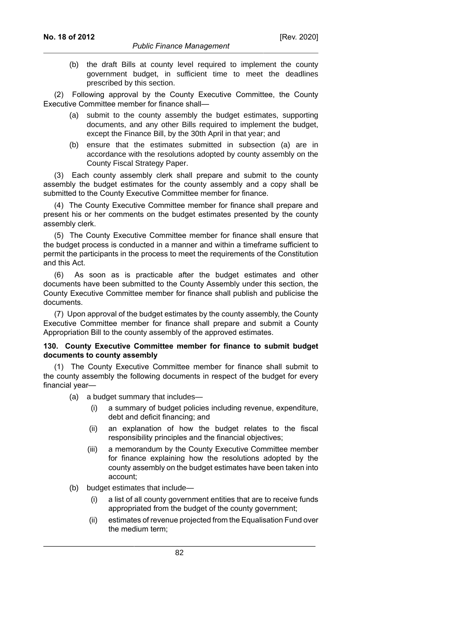(b) the draft Bills at county level required to implement the county government budget, in sufficient time to meet the deadlines prescribed by this section.

(2) Following approval by the County Executive Committee, the County Executive Committee member for finance shall—

- (a) submit to the county assembly the budget estimates, supporting documents, and any other Bills required to implement the budget, except the Finance Bill, by the 30th April in that year; and
- (b) ensure that the estimates submitted in subsection (a) are in accordance with the resolutions adopted by county assembly on the County Fiscal Strategy Paper.

(3) Each county assembly clerk shall prepare and submit to the county assembly the budget estimates for the county assembly and a copy shall be submitted to the County Executive Committee member for finance.

(4) The County Executive Committee member for finance shall prepare and present his or her comments on the budget estimates presented by the county assembly clerk.

(5) The County Executive Committee member for finance shall ensure that the budget process is conducted in a manner and within a timeframe sufficient to permit the participants in the process to meet the requirements of the Constitution and this Act.

(6) As soon as is practicable after the budget estimates and other documents have been submitted to the County Assembly under this section, the County Executive Committee member for finance shall publish and publicise the documents.

(7) Upon approval of the budget estimates by the county assembly, the County Executive Committee member for finance shall prepare and submit a County Appropriation Bill to the county assembly of the approved estimates.

### **130. County Executive Committee member for finance to submit budget documents to county assembly**

(1) The County Executive Committee member for finance shall submit to the county assembly the following documents in respect of the budget for every financial year—

- (a) a budget summary that includes—
	- (i) a summary of budget policies including revenue, expenditure, debt and deficit financing; and
	- (ii) an explanation of how the budget relates to the fiscal responsibility principles and the financial objectives;
	- (iii) a memorandum by the County Executive Committee member for finance explaining how the resolutions adopted by the county assembly on the budget estimates have been taken into account;
- (b) budget estimates that include—
	- (i) a list of all county government entities that are to receive funds appropriated from the budget of the county government;
	- (ii) estimates of revenue projected from the Equalisation Fund over the medium term;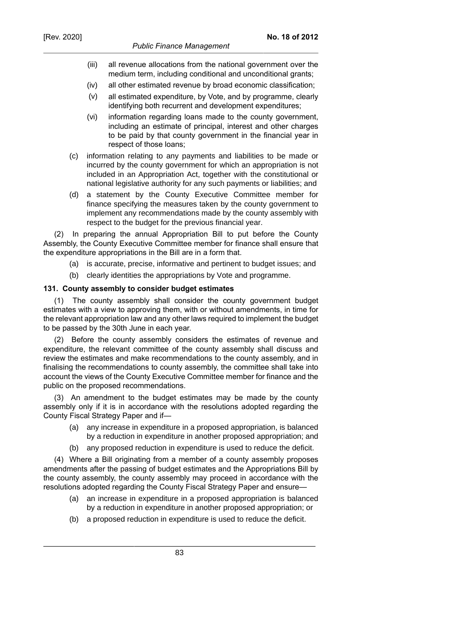- (iii) all revenue allocations from the national government over the medium term, including conditional and unconditional grants;
- (iv) all other estimated revenue by broad economic classification;
- (v) all estimated expenditure, by Vote, and by programme, clearly identifying both recurrent and development expenditures;
- (vi) information regarding loans made to the county government, including an estimate of principal, interest and other charges to be paid by that county government in the financial year in respect of those loans;
- (c) information relating to any payments and liabilities to be made or incurred by the county government for which an appropriation is not included in an Appropriation Act, together with the constitutional or national legislative authority for any such payments or liabilities; and
- (d) a statement by the County Executive Committee member for finance specifying the measures taken by the county government to implement any recommendations made by the county assembly with respect to the budget for the previous financial year.

(2) In preparing the annual Appropriation Bill to put before the County Assembly, the County Executive Committee member for finance shall ensure that the expenditure appropriations in the Bill are in a form that.

- (a) is accurate, precise, informative and pertinent to budget issues; and
- (b) clearly identities the appropriations by Vote and programme.

### **131. County assembly to consider budget estimates**

(1) The county assembly shall consider the county government budget estimates with a view to approving them, with or without amendments, in time for the relevant appropriation law and any other laws required to implement the budget to be passed by the 30th June in each year.

(2) Before the county assembly considers the estimates of revenue and expenditure, the relevant committee of the county assembly shall discuss and review the estimates and make recommendations to the county assembly, and in finalising the recommendations to county assembly, the committee shall take into account the views of the County Executive Committee member for finance and the public on the proposed recommendations.

(3) An amendment to the budget estimates may be made by the county assembly only if it is in accordance with the resolutions adopted regarding the County Fiscal Strategy Paper and if—

- (a) any increase in expenditure in a proposed appropriation, is balanced by a reduction in expenditure in another proposed appropriation; and
- (b) any proposed reduction in expenditure is used to reduce the deficit.

(4) Where a Bill originating from a member of a county assembly proposes amendments after the passing of budget estimates and the Appropriations Bill by the county assembly, the county assembly may proceed in accordance with the resolutions adopted regarding the County Fiscal Strategy Paper and ensure—

- (a) an increase in expenditure in a proposed appropriation is balanced by a reduction in expenditure in another proposed appropriation; or
- (b) a proposed reduction in expenditure is used to reduce the deficit.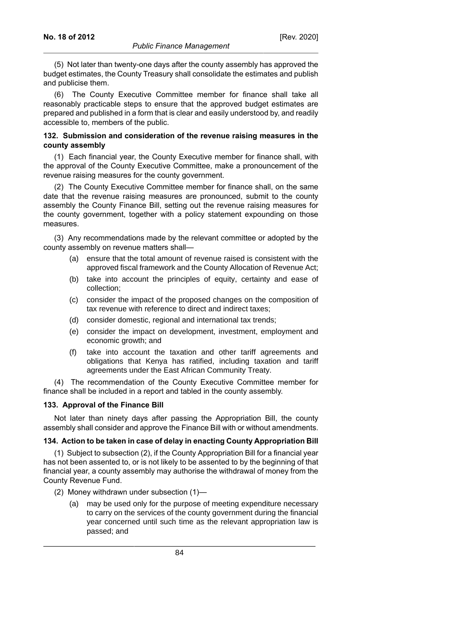(5) Not later than twenty-one days after the county assembly has approved the budget estimates, the County Treasury shall consolidate the estimates and publish and publicise them.

(6) The County Executive Committee member for finance shall take all reasonably practicable steps to ensure that the approved budget estimates are prepared and published in a form that is clear and easily understood by, and readily accessible to, members of the public.

### **132. Submission and consideration of the revenue raising measures in the county assembly**

(1) Each financial year, the County Executive member for finance shall, with the approval of the County Executive Committee, make a pronouncement of the revenue raising measures for the county government.

(2) The County Executive Committee member for finance shall, on the same date that the revenue raising measures are pronounced, submit to the county assembly the County Finance Bill, setting out the revenue raising measures for the county government, together with a policy statement expounding on those measures.

(3) Any recommendations made by the relevant committee or adopted by the county assembly on revenue matters shall—

- (a) ensure that the total amount of revenue raised is consistent with the approved fiscal framework and the County Allocation of Revenue Act;
- (b) take into account the principles of equity, certainty and ease of collection;
- (c) consider the impact of the proposed changes on the composition of tax revenue with reference to direct and indirect taxes;
- (d) consider domestic, regional and international tax trends;
- (e) consider the impact on development, investment, employment and economic growth; and
- (f) take into account the taxation and other tariff agreements and obligations that Kenya has ratified, including taxation and tariff agreements under the East African Community Treaty.

(4) The recommendation of the County Executive Committee member for finance shall be included in a report and tabled in the county assembly.

## **133. Approval of the Finance Bill**

Not later than ninety days after passing the Appropriation Bill, the county assembly shall consider and approve the Finance Bill with or without amendments.

## **134. Action to be taken in case of delay in enacting County Appropriation Bill**

(1) Subject to subsection (2), if the County Appropriation Bill for a financial year has not been assented to, or is not likely to be assented to by the beginning of that financial year, a county assembly may authorise the withdrawal of money from the County Revenue Fund.

- (2) Money withdrawn under subsection (1)—
	- (a) may be used only for the purpose of meeting expenditure necessary to carry on the services of the county government during the financial year concerned until such time as the relevant appropriation law is passed; and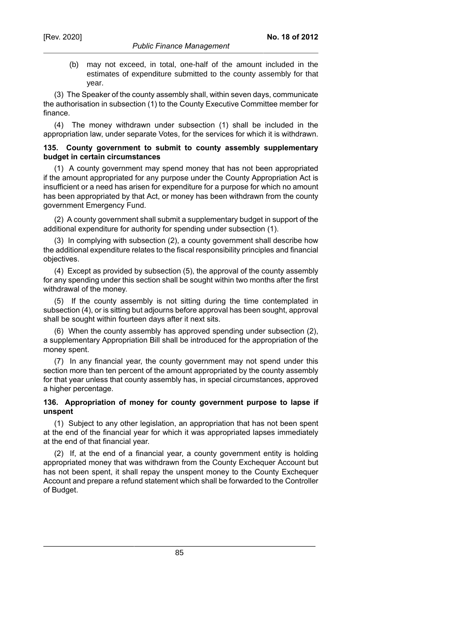(b) may not exceed, in total, one-half of the amount included in the estimates of expenditure submitted to the county assembly for that year.

**No. 18 of 2012**

(3) The Speaker of the county assembly shall, within seven days, communicate the authorisation in subsection (1) to the County Executive Committee member for finance.

(4) The money withdrawn under subsection (1) shall be included in the appropriation law, under separate Votes, for the services for which it is withdrawn.

#### **135. County government to submit to county assembly supplementary budget in certain circumstances**

(1) A county government may spend money that has not been appropriated if the amount appropriated for any purpose under the County Appropriation Act is insufficient or a need has arisen for expenditure for a purpose for which no amount has been appropriated by that Act, or money has been withdrawn from the county government Emergency Fund.

(2) A county government shall submit a supplementary budget in support of the additional expenditure for authority for spending under subsection (1).

(3) In complying with subsection (2), a county government shall describe how the additional expenditure relates to the fiscal responsibility principles and financial objectives.

(4) Except as provided by subsection (5), the approval of the county assembly for any spending under this section shall be sought within two months after the first withdrawal of the money.

(5) If the county assembly is not sitting during the time contemplated in subsection (4), or is sitting but adjourns before approval has been sought, approval shall be sought within fourteen days after it next sits.

(6) When the county assembly has approved spending under subsection (2), a supplementary Appropriation Bill shall be introduced for the appropriation of the money spent.

(7) In any financial year, the county government may not spend under this section more than ten percent of the amount appropriated by the county assembly for that year unless that county assembly has, in special circumstances, approved a higher percentage.

## **136. Appropriation of money for county government purpose to lapse if unspent**

(1) Subject to any other legislation, an appropriation that has not been spent at the end of the financial year for which it was appropriated lapses immediately at the end of that financial year.

(2) If, at the end of a financial year, a county government entity is holding appropriated money that was withdrawn from the County Exchequer Account but has not been spent, it shall repay the unspent money to the County Exchequer Account and prepare a refund statement which shall be forwarded to the Controller of Budget.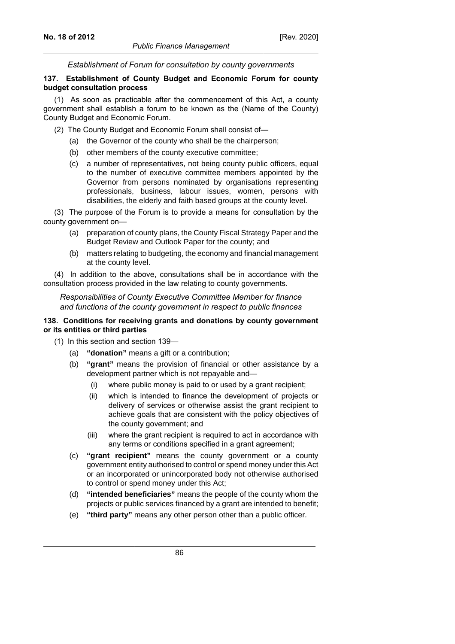*Establishment of Forum for consultation by county governments*

### **137. Establishment of County Budget and Economic Forum for county budget consultation process**

(1) As soon as practicable after the commencement of this Act, a county government shall establish a forum to be known as the (Name of the County) County Budget and Economic Forum.

- (2) The County Budget and Economic Forum shall consist of—
	- (a) the Governor of the county who shall be the chairperson;
	- (b) other members of the county executive committee;
	- (c) a number of representatives, not being county public officers, equal to the number of executive committee members appointed by the Governor from persons nominated by organisations representing professionals, business, labour issues, women, persons with disabilities, the elderly and faith based groups at the county level.

(3) The purpose of the Forum is to provide a means for consultation by the county government on—

- (a) preparation of county plans, the County Fiscal Strategy Paper and the Budget Review and Outlook Paper for the county; and
- (b) matters relating to budgeting, the economy and financial management at the county level.

(4) In addition to the above, consultations shall be in accordance with the consultation process provided in the law relating to county governments.

*Responsibilities of County Executive Committee Member for finance and functions of the county government in respect to public finances*

### **138. Conditions for receiving grants and donations by county government or its entities or third parties**

- (1) In this section and section 139—
	- (a) **"donation"** means a gift or a contribution;
	- (b) **"grant"** means the provision of financial or other assistance by a development partner which is not repayable and—
		- (i) where public money is paid to or used by a grant recipient;
		- (ii) which is intended to finance the development of projects or delivery of services or otherwise assist the grant recipient to achieve goals that are consistent with the policy objectives of the county government; and
		- (iii) where the grant recipient is required to act in accordance with any terms or conditions specified in a grant agreement;
	- (c) **"grant recipient"** means the county government or a county government entity authorised to control or spend money under this Act or an incorporated or unincorporated body not otherwise authorised to control or spend money under this Act;
	- (d) **"intended beneficiaries"** means the people of the county whom the projects or public services financed by a grant are intended to benefit;
	- (e) **"third party"** means any other person other than a public officer.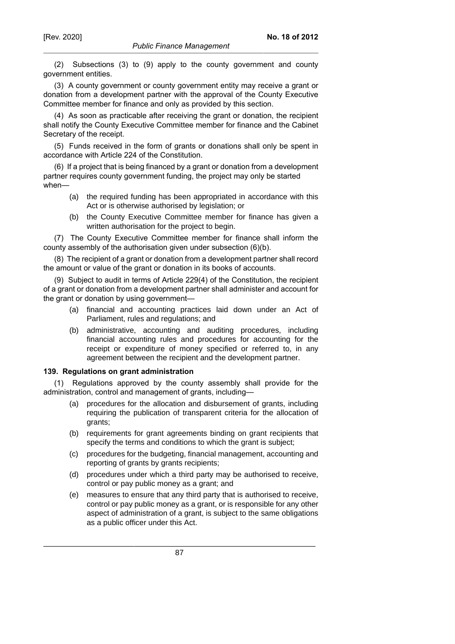(2) Subsections (3) to (9) apply to the county government and county government entities.

(3) A county government or county government entity may receive a grant or donation from a development partner with the approval of the County Executive Committee member for finance and only as provided by this section.

(4) As soon as practicable after receiving the grant or donation, the recipient shall notify the County Executive Committee member for finance and the Cabinet Secretary of the receipt.

(5) Funds received in the form of grants or donations shall only be spent in accordance with Article 224 of the Constitution.

(6) If a project that is being financed by a grant or donation from a development partner requires county government funding, the project may only be started when—

- (a) the required funding has been appropriated in accordance with this Act or is otherwise authorised by legislation; or
- (b) the County Executive Committee member for finance has given a written authorisation for the project to begin.

(7) The County Executive Committee member for finance shall inform the county assembly of the authorisation given under subsection (6)(b).

(8) The recipient of a grant or donation from a development partner shall record the amount or value of the grant or donation in its books of accounts.

(9) Subject to audit in terms of Article 229(4) of the Constitution, the recipient of a grant or donation from a development partner shall administer and account for the grant or donation by using government—

- (a) financial and accounting practices laid down under an Act of Parliament, rules and regulations; and
- (b) administrative, accounting and auditing procedures, including financial accounting rules and procedures for accounting for the receipt or expenditure of money specified or referred to, in any agreement between the recipient and the development partner.

#### **139. Regulations on grant administration**

Regulations approved by the county assembly shall provide for the administration, control and management of grants, including—

- (a) procedures for the allocation and disbursement of grants, including requiring the publication of transparent criteria for the allocation of grants;
- (b) requirements for grant agreements binding on grant recipients that specify the terms and conditions to which the grant is subject;
- (c) procedures for the budgeting, financial management, accounting and reporting of grants by grants recipients;
- (d) procedures under which a third party may be authorised to receive, control or pay public money as a grant; and
- (e) measures to ensure that any third party that is authorised to receive, control or pay public money as a grant, or is responsible for any other aspect of administration of a grant, is subject to the same obligations as a public officer under this Act.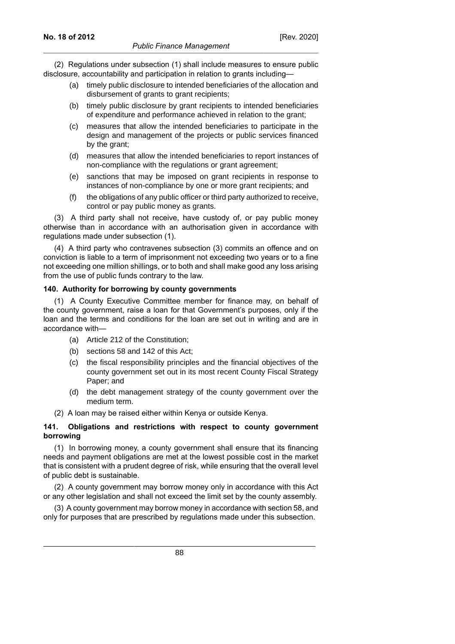(2) Regulations under subsection (1) shall include measures to ensure public disclosure, accountability and participation in relation to grants including—

- (a) timely public disclosure to intended beneficiaries of the allocation and disbursement of grants to grant recipients;
- (b) timely public disclosure by grant recipients to intended beneficiaries of expenditure and performance achieved in relation to the grant;
- (c) measures that allow the intended beneficiaries to participate in the design and management of the projects or public services financed by the grant;
- (d) measures that allow the intended beneficiaries to report instances of non-compliance with the regulations or grant agreement;
- (e) sanctions that may be imposed on grant recipients in response to instances of non-compliance by one or more grant recipients; and
- (f) the obligations of any public officer or third party authorized to receive, control or pay public money as grants.

(3) A third party shall not receive, have custody of, or pay public money otherwise than in accordance with an authorisation given in accordance with regulations made under subsection (1).

(4) A third party who contravenes subsection (3) commits an offence and on conviction is liable to a term of imprisonment not exceeding two years or to a fine not exceeding one million shillings, or to both and shall make good any loss arising from the use of public funds contrary to the law.

### **140. Authority for borrowing by county governments**

(1) A County Executive Committee member for finance may, on behalf of the county government, raise a loan for that Government's purposes, only if the loan and the terms and conditions for the loan are set out in writing and are in accordance with—

- (a) Article 212 of the Constitution;
- (b) sections 58 and 142 of this Act;
- (c) the fiscal responsibility principles and the financial objectives of the county government set out in its most recent County Fiscal Strategy Paper; and
- (d) the debt management strategy of the county government over the medium term.
- (2) A loan may be raised either within Kenya or outside Kenya.

## **141. Obligations and restrictions with respect to county government borrowing**

(1) In borrowing money, a county government shall ensure that its financing needs and payment obligations are met at the lowest possible cost in the market that is consistent with a prudent degree of risk, while ensuring that the overall level of public debt is sustainable.

(2) A county government may borrow money only in accordance with this Act or any other legislation and shall not exceed the limit set by the county assembly.

(3) A county government may borrow money in accordance with section 58, and only for purposes that are prescribed by regulations made under this subsection.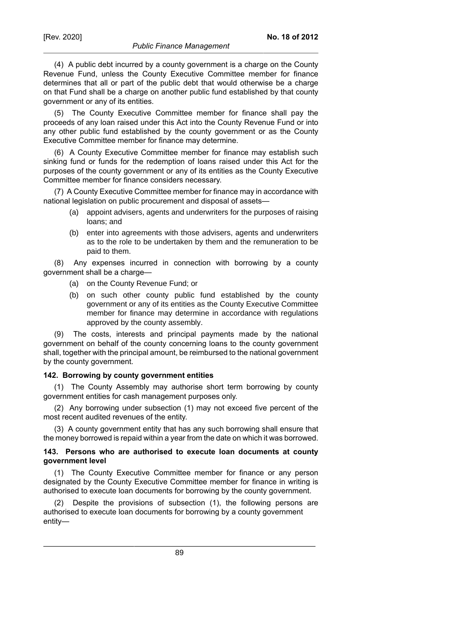(4) A public debt incurred by a county government is a charge on the County Revenue Fund, unless the County Executive Committee member for finance determines that all or part of the public debt that would otherwise be a charge on that Fund shall be a charge on another public fund established by that county government or any of its entities.

(5) The County Executive Committee member for finance shall pay the proceeds of any loan raised under this Act into the County Revenue Fund or into any other public fund established by the county government or as the County Executive Committee member for finance may determine.

(6) A County Executive Committee member for finance may establish such sinking fund or funds for the redemption of loans raised under this Act for the purposes of the county government or any of its entities as the County Executive Committee member for finance considers necessary.

(7) A County Executive Committee member for finance may in accordance with national legislation on public procurement and disposal of assets—

- (a) appoint advisers, agents and underwriters for the purposes of raising loans; and
- (b) enter into agreements with those advisers, agents and underwriters as to the role to be undertaken by them and the remuneration to be paid to them.

(8) Any expenses incurred in connection with borrowing by a county government shall be a charge—

- (a) on the County Revenue Fund; or
- (b) on such other county public fund established by the county government or any of its entities as the County Executive Committee member for finance may determine in accordance with regulations approved by the county assembly.

(9) The costs, interests and principal payments made by the national government on behalf of the county concerning loans to the county government shall, together with the principal amount, be reimbursed to the national government by the county government.

# **142. Borrowing by county government entities**

(1) The County Assembly may authorise short term borrowing by county government entities for cash management purposes only.

(2) Any borrowing under subsection (1) may not exceed five percent of the most recent audited revenues of the entity.

(3) A county government entity that has any such borrowing shall ensure that the money borrowed is repaid within a year from the date on which it was borrowed.

### **143. Persons who are authorised to execute loan documents at county government level**

(1) The County Executive Committee member for finance or any person designated by the County Executive Committee member for finance in writing is authorised to execute loan documents for borrowing by the county government.

(2) Despite the provisions of subsection (1), the following persons are authorised to execute loan documents for borrowing by a county government entity—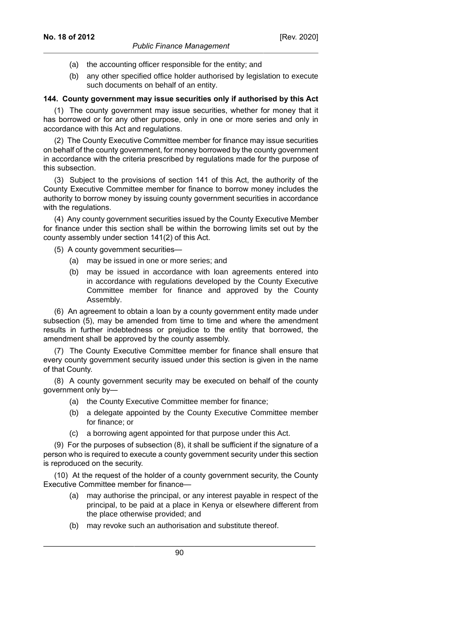- (a) the accounting officer responsible for the entity; and
- (b) any other specified office holder authorised by legislation to execute such documents on behalf of an entity.

#### **144. County government may issue securities only if authorised by this Act**

(1) The county government may issue securities, whether for money that it has borrowed or for any other purpose, only in one or more series and only in accordance with this Act and regulations.

(2) The County Executive Committee member for finance may issue securities on behalf of the county government, for money borrowed by the county government in accordance with the criteria prescribed by regulations made for the purpose of this subsection.

(3) Subject to the provisions of section 141 of this Act, the authority of the County Executive Committee member for finance to borrow money includes the authority to borrow money by issuing county government securities in accordance with the regulations.

(4) Any county government securities issued by the County Executive Member for finance under this section shall be within the borrowing limits set out by the county assembly under section 141(2) of this Act.

(5) A county government securities—

- (a) may be issued in one or more series; and
- (b) may be issued in accordance with loan agreements entered into in accordance with regulations developed by the County Executive Committee member for finance and approved by the County Assembly.

(6) An agreement to obtain a loan by a county government entity made under subsection (5), may be amended from time to time and where the amendment results in further indebtedness or prejudice to the entity that borrowed, the amendment shall be approved by the county assembly.

(7) The County Executive Committee member for finance shall ensure that every county government security issued under this section is given in the name of that County.

(8) A county government security may be executed on behalf of the county government only by—

- (a) the County Executive Committee member for finance;
- (b) a delegate appointed by the County Executive Committee member for finance; or
- (c) a borrowing agent appointed for that purpose under this Act.

(9) For the purposes of subsection (8), it shall be sufficient if the signature of a person who is required to execute a county government security under this section is reproduced on the security.

(10) At the request of the holder of a county government security, the County Executive Committee member for finance—

- (a) may authorise the principal, or any interest payable in respect of the principal, to be paid at a place in Kenya or elsewhere different from the place otherwise provided; and
- (b) may revoke such an authorisation and substitute thereof.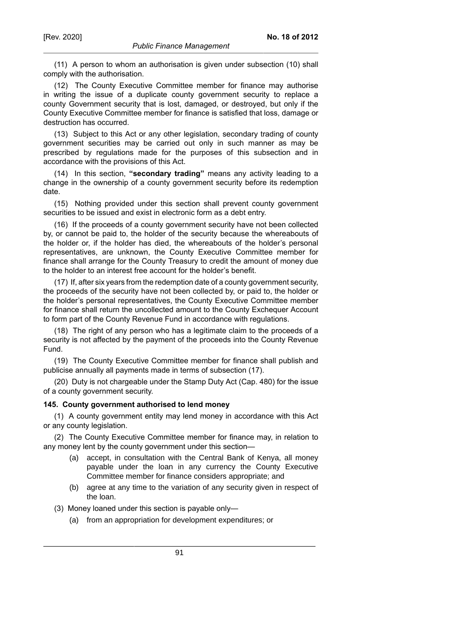(11) A person to whom an authorisation is given under subsection (10) shall comply with the authorisation.

(12) The County Executive Committee member for finance may authorise in writing the issue of a duplicate county government security to replace a county Government security that is lost, damaged, or destroyed, but only if the County Executive Committee member for finance is satisfied that loss, damage or destruction has occurred.

(13) Subject to this Act or any other legislation, secondary trading of county government securities may be carried out only in such manner as may be prescribed by regulations made for the purposes of this subsection and in accordance with the provisions of this Act.

(14) In this section, **"secondary trading"** means any activity leading to a change in the ownership of a county government security before its redemption date.

(15) Nothing provided under this section shall prevent county government securities to be issued and exist in electronic form as a debt entry.

(16) If the proceeds of a county government security have not been collected by, or cannot be paid to, the holder of the security because the whereabouts of the holder or, if the holder has died, the whereabouts of the holder's personal representatives, are unknown, the County Executive Committee member for finance shall arrange for the County Treasury to credit the amount of money due to the holder to an interest free account for the holder's benefit.

(17) If, after six years from the redemption date of a county government security, the proceeds of the security have not been collected by, or paid to, the holder or the holder's personal representatives, the County Executive Committee member for finance shall return the uncollected amount to the County Exchequer Account to form part of the County Revenue Fund in accordance with regulations.

(18) The right of any person who has a legitimate claim to the proceeds of a security is not affected by the payment of the proceeds into the County Revenue Fund.

(19) The County Executive Committee member for finance shall publish and publicise annually all payments made in terms of subsection (17).

(20) Duty is not chargeable under the Stamp Duty Act (Cap. 480) for the issue of a county government security.

#### **145. County government authorised to lend money**

(1) A county government entity may lend money in accordance with this Act or any county legislation.

(2) The County Executive Committee member for finance may, in relation to any money lent by the county government under this section—

- (a) accept, in consultation with the Central Bank of Kenya, all money payable under the loan in any currency the County Executive Committee member for finance considers appropriate; and
- (b) agree at any time to the variation of any security given in respect of the loan.

(3) Money loaned under this section is payable only—

(a) from an appropriation for development expenditures; or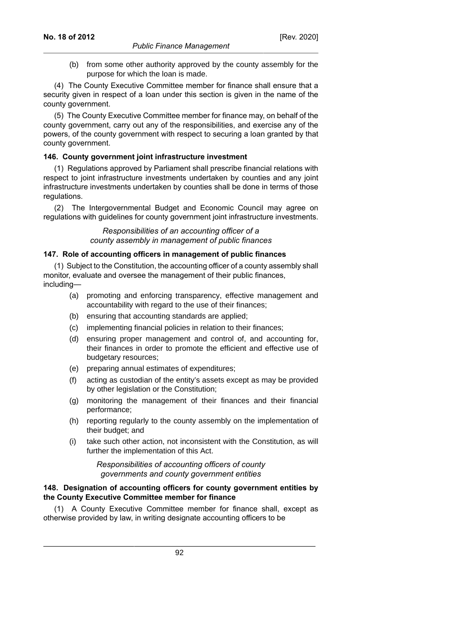(b) from some other authority approved by the county assembly for the purpose for which the loan is made.

(4) The County Executive Committee member for finance shall ensure that a security given in respect of a loan under this section is given in the name of the county government.

(5) The County Executive Committee member for finance may, on behalf of the county government, carry out any of the responsibilities, and exercise any of the powers, of the county government with respect to securing a loan granted by that county government.

### **146. County government joint infrastructure investment**

(1) Regulations approved by Parliament shall prescribe financial relations with respect to joint infrastructure investments undertaken by counties and any joint infrastructure investments undertaken by counties shall be done in terms of those regulations.

(2) The Intergovernmental Budget and Economic Council may agree on regulations with guidelines for county government joint infrastructure investments.

> *Responsibilities of an accounting officer of a county assembly in management of public finances*

### **147. Role of accounting officers in management of public finances**

(1) Subject to the Constitution, the accounting officer of a county assembly shall monitor, evaluate and oversee the management of their public finances, including—

- (a) promoting and enforcing transparency, effective management and accountability with regard to the use of their finances;
- (b) ensuring that accounting standards are applied;
- (c) implementing financial policies in relation to their finances;
- (d) ensuring proper management and control of, and accounting for, their finances in order to promote the efficient and effective use of budgetary resources;
- (e) preparing annual estimates of expenditures;
- (f) acting as custodian of the entity's assets except as may be provided by other legislation or the Constitution;
- (g) monitoring the management of their finances and their financial performance;
- (h) reporting regularly to the county assembly on the implementation of their budget; and
- (i) take such other action, not inconsistent with the Constitution, as will further the implementation of this Act.

*Responsibilities of accounting officers of county governments and county government entities*

### **148. Designation of accounting officers for county government entities by the County Executive Committee member for finance**

(1) A County Executive Committee member for finance shall, except as otherwise provided by law, in writing designate accounting officers to be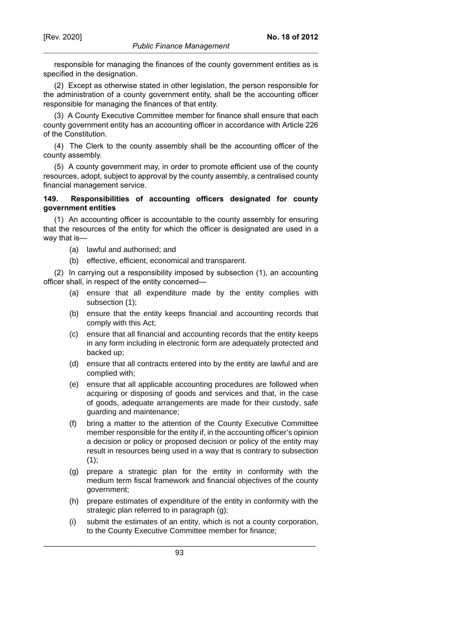responsible for managing the finances of the county government entities as is specified in the designation.

(2) Except as otherwise stated in other legislation, the person responsible for the administration of a county government entity, shall be the accounting officer responsible for managing the finances of that entity.

(3) A County Executive Committee member for finance shall ensure that each county government entity has an accounting officer in accordance with Article 226 of the Constitution.

(4) The Clerk to the county assembly shall be the accounting officer of the county assembly.

(5) A county government may, in order to promote efficient use of the county resources, adopt, subject to approval by the county assembly, a centralised county financial management service.

### **149. Responsibilities of accounting officers designated for county government entities**

(1) An accounting officer is accountable to the county assembly for ensuring that the resources of the entity for which the officer is designated are used in a way that is—

- (a) lawful and authorised; and
- (b) effective, efficient, economical and transparent.

(2) In carrying out a responsibility imposed by subsection (1), an accounting officer shall, in respect of the entity concerned—

- (a) ensure that all expenditure made by the entity complies with subsection (1);
- (b) ensure that the entity keeps financial and accounting records that comply with this Act;
- (c) ensure that all financial and accounting records that the entity keeps in any form including in electronic form are adequately protected and backed up;
- (d) ensure that all contracts entered into by the entity are lawful and are complied with;
- (e) ensure that all applicable accounting procedures are followed when acquiring or disposing of goods and services and that, in the case of goods, adequate arrangements are made for their custody, safe guarding and maintenance;
- (f) bring a matter to the attention of the County Executive Committee member responsible for the entity if, in the accounting officer's opinion a decision or policy or proposed decision or policy of the entity may result in resources being used in a way that is contrary to subsection  $(1);$
- (g) prepare a strategic plan for the entity in conformity with the medium term fiscal framework and financial objectives of the county government;
- (h) prepare estimates of expenditure of the entity in conformity with the strategic plan referred to in paragraph (g);
- (i) submit the estimates of an entity, which is not a county corporation, to the County Executive Committee member for finance;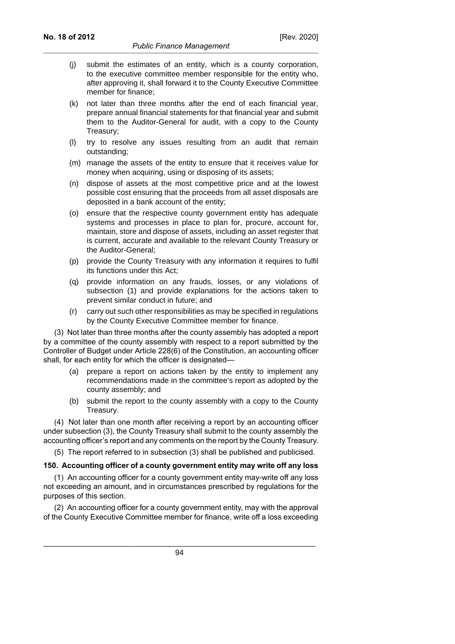- (j) submit the estimates of an entity, which is a county corporation, to the executive committee member responsible for the entity who, after approving it, shall forward it to the County Executive Committee member for finance;
- (k) not later than three months after the end of each financial year, prepare annual financial statements for that financial year and submit them to the Auditor-General for audit, with a copy to the County Treasury;
- (l) try to resolve any issues resulting from an audit that remain outstanding;
- (m) manage the assets of the entity to ensure that it receives value for money when acquiring, using or disposing of its assets;
- (n) dispose of assets at the most competitive price and at the lowest possible cost ensuring that the proceeds from all asset disposals are deposited in a bank account of the entity;
- (o) ensure that the respective county government entity has adequate systems and processes in place to plan for, procure, account for, maintain, store and dispose of assets, including an asset register that is current, accurate and available to the relevant County Treasury or the Auditor-General;
- (p) provide the County Treasury with any information it requires to fulfil its functions under this Act;
- (q) provide information on any frauds, losses, or any violations of subsection (1) and provide explanations for the actions taken to prevent similar conduct in future; and
- (r) carry out such other responsibilities as may be specified in regulations by the County Executive Committee member for finance.

(3) Not later than three months after the county assembly has adopted a report by a committee of the county assembly with respect to a report submitted by the Controller of Budget under Article 228(6) of the Constitution, an accounting officer shall, for each entity for which the officer is designated—

- (a) prepare a report on actions taken by the entity to implement any recommendations made in the committee's report as adopted by the county assembly; and
- (b) submit the report to the county assembly with a copy to the County Treasury.

(4) Not later than one month after receiving a report by an accounting officer under subsection (3), the County Treasury shall submit to the county assembly the accounting officer's report and any comments on the report by the County Treasury.

(5) The report referred to in subsection (3) shall be published and publicised.

#### **150. Accounting officer of a county government entity may write off any loss**

(1) An accounting officer for a county government entity may-write off any loss not exceeding an amount, and in circumstances prescribed by regulations for the purposes of this section.

(2) An accounting officer for a county government entity, may with the approval of the County Executive Committee member for finance, write off a loss exceeding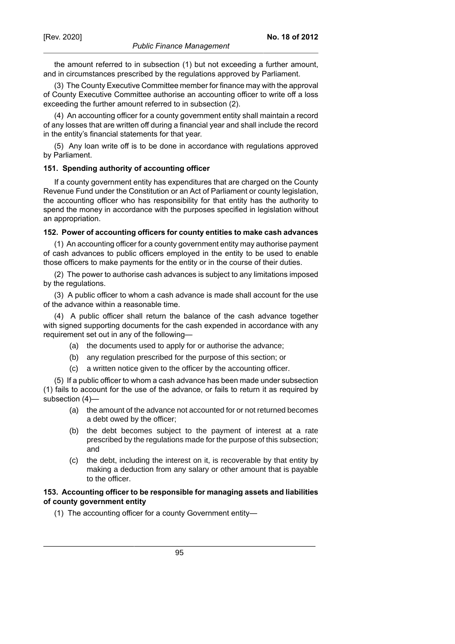the amount referred to in subsection (1) but not exceeding a further amount, and in circumstances prescribed by the regulations approved by Parliament.

(3) The County Executive Committee member for finance may with the approval of County Executive Committee authorise an accounting officer to write off a loss exceeding the further amount referred to in subsection (2).

(4) An accounting officer for a county government entity shall maintain a record of any losses that are written off during a financial year and shall include the record in the entity's financial statements for that year.

(5) Any loan write off is to be done in accordance with regulations approved by Parliament.

#### **151. Spending authority of accounting officer**

If a county government entity has expenditures that are charged on the County Revenue Fund under the Constitution or an Act of Parliament or county legislation, the accounting officer who has responsibility for that entity has the authority to spend the money in accordance with the purposes specified in legislation without an appropriation.

#### **152. Power of accounting officers for county entities to make cash advances**

(1) An accounting officer for a county government entity may authorise payment of cash advances to public officers employed in the entity to be used to enable those officers to make payments for the entity or in the course of their duties.

(2) The power to authorise cash advances is subject to any limitations imposed by the regulations.

(3) A public officer to whom a cash advance is made shall account for the use of the advance within a reasonable time.

(4) A public officer shall return the balance of the cash advance together with signed supporting documents for the cash expended in accordance with any requirement set out in any of the following—

- (a) the documents used to apply for or authorise the advance;
- (b) any regulation prescribed for the purpose of this section; or
- (c) a written notice given to the officer by the accounting officer.

(5) If a public officer to whom a cash advance has been made under subsection (1) fails to account for the use of the advance, or fails to return it as required by subsection (4)—

- (a) the amount of the advance not accounted for or not returned becomes a debt owed by the officer;
- (b) the debt becomes subject to the payment of interest at a rate prescribed by the regulations made for the purpose of this subsection; and
- (c) the debt, including the interest on it, is recoverable by that entity by making a deduction from any salary or other amount that is payable to the officer.

#### **153. Accounting officer to be responsible for managing assets and liabilities of county government entity**

(1) The accounting officer for a county Government entity—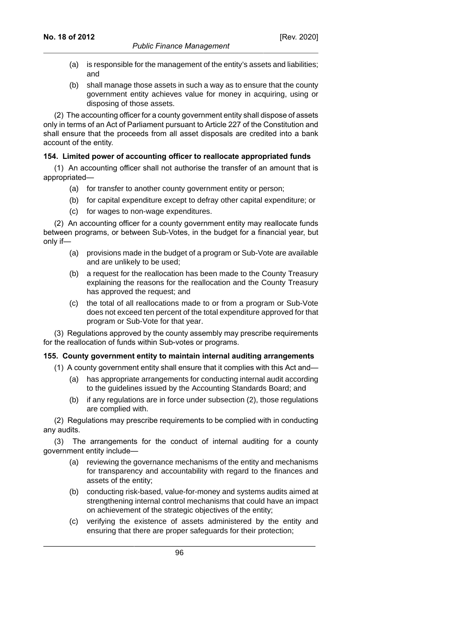- (a) is responsible for the management of the entity's assets and liabilities; and
- (b) shall manage those assets in such a way as to ensure that the county government entity achieves value for money in acquiring, using or disposing of those assets.

(2) The accounting officer for a county government entity shall dispose of assets only in terms of an Act of Parliament pursuant to Article 227 of the Constitution and shall ensure that the proceeds from all asset disposals are credited into a bank account of the entity.

### **154. Limited power of accounting officer to reallocate appropriated funds**

(1) An accounting officer shall not authorise the transfer of an amount that is appropriated—

- (a) for transfer to another county government entity or person;
- (b) for capital expenditure except to defray other capital expenditure; or
- (c) for wages to non-wage expenditures.

(2) An accounting officer for a county government entity may reallocate funds between programs, or between Sub-Votes, in the budget for a financial year, but only if—

- (a) provisions made in the budget of a program or Sub-Vote are available and are unlikely to be used;
- (b) a request for the reallocation has been made to the County Treasury explaining the reasons for the reallocation and the County Treasury has approved the request; and
- (c) the total of all reallocations made to or from a program or Sub-Vote does not exceed ten percent of the total expenditure approved for that program or Sub-Vote for that year.

(3) Regulations approved by the county assembly may prescribe requirements for the reallocation of funds within Sub-votes or programs.

#### **155. County government entity to maintain internal auditing arrangements**

- (1) A county government entity shall ensure that it complies with this Act and—
	- (a) has appropriate arrangements for conducting internal audit according to the guidelines issued by the Accounting Standards Board; and
	- (b) if any regulations are in force under subsection (2), those regulations are complied with.

(2) Regulations may prescribe requirements to be complied with in conducting any audits.

(3) The arrangements for the conduct of internal auditing for a county government entity include—

- (a) reviewing the governance mechanisms of the entity and mechanisms for transparency and accountability with regard to the finances and assets of the entity;
- (b) conducting risk-based, value-for-money and systems audits aimed at strengthening internal control mechanisms that could have an impact on achievement of the strategic objectives of the entity;
- (c) verifying the existence of assets administered by the entity and ensuring that there are proper safeguards for their protection;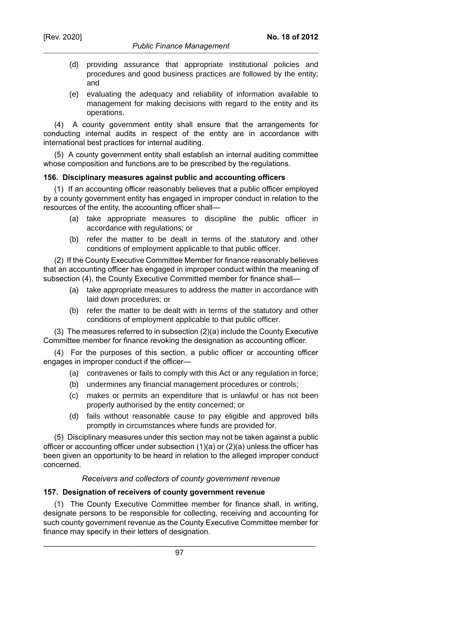- (d) providing assurance that appropriate institutional policies and procedures and good business practices are followed by the entity; and
- (e) evaluating the adequacy and reliability of information available to management for making decisions with regard to the entity and its operations.

(4) A county government entity shall ensure that the arrangements for conducting internal audits in respect of the entity are in accordance with international best practices for internal auditing.

(5) A county government entity shall establish an internal auditing committee whose composition and functions are to be prescribed by the regulations.

### **156. Disciplinary measures against public and accounting officers**

(1) If an accounting officer reasonably believes that a public officer employed by a county government entity has engaged in improper conduct in relation to the resources of the entity, the accounting officer shall—

- (a) take appropriate measures to discipline the public officer in accordance with regulations; or
- (b) refer the matter to be dealt in terms of the statutory and other conditions of employment applicable to that public officer.

(2) If the County Executive Committee Member for finance reasonably believes that an accounting officer has engaged in improper conduct within the meaning of subsection (4), the County Executive Committed member for finance shall—

- (a) take appropriate measures to address the matter in accordance with laid down procedures; or
- (b) refer the matter to be dealt with in terms of the statutory and other conditions of employment applicable to that public officer.

(3) The measures referred to in subsection (2)(a) include the County Executive Committee member for finance revoking the designation as accounting officer.

(4) For the purposes of this section, a public officer or accounting officer engages in improper conduct if the officer—

- (a) contravenes or fails to comply with this Act or any regulation in force;
- (b) undermines any financial management procedures or controls;
- (c) makes or permits an expenditure that is unlawful or has not been properly authorised by the entity concerned; or
- (d) fails without reasonable cause to pay eligible and approved bills promptly in circumstances where funds are provided for.

(5) Disciplinary measures under this section may not be taken against a public officer or accounting officer under subsection (1)(a) or (2)(a) unless the officer has been given an opportunity to be heard in relation to the alleged improper conduct concerned.

# *Receivers and collectors of county government revenue*

## **157. Designation of receivers of county government revenue**

(1) The County Executive Committee member for finance shall, in writing, designate persons to be responsible for collecting, receiving and accounting for such county government revenue as the County Executive Committee member for finance may specify in their letters of designation.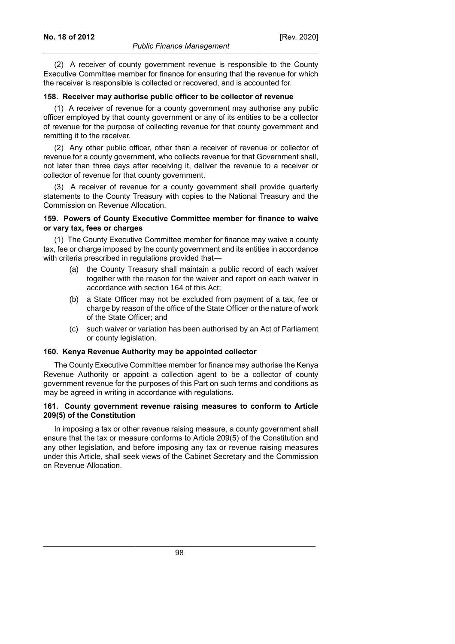(2) A receiver of county government revenue is responsible to the County Executive Committee member for finance for ensuring that the revenue for which the receiver is responsible is collected or recovered, and is accounted for.

#### **158. Receiver may authorise public officer to be collector of revenue**

(1) A receiver of revenue for a county government may authorise any public officer employed by that county government or any of its entities to be a collector of revenue for the purpose of collecting revenue for that county government and remitting it to the receiver.

(2) Any other public officer, other than a receiver of revenue or collector of revenue for a county government, who collects revenue for that Government shall, not later than three days after receiving it, deliver the revenue to a receiver or collector of revenue for that county government.

(3) A receiver of revenue for a county government shall provide quarterly statements to the County Treasury with copies to the National Treasury and the Commission on Revenue Allocation.

#### **159. Powers of County Executive Committee member for finance to waive or vary tax, fees or charges**

(1) The County Executive Committee member for finance may waive a county tax, fee or charge imposed by the county government and its entities in accordance with criteria prescribed in regulations provided that-

- (a) the County Treasury shall maintain a public record of each waiver together with the reason for the waiver and report on each waiver in accordance with section 164 of this Act;
- (b) a State Officer may not be excluded from payment of a tax, fee or charge by reason of the office of the State Officer or the nature of work of the State Officer; and
- (c) such waiver or variation has been authorised by an Act of Parliament or county legislation.

#### **160. Kenya Revenue Authority may be appointed collector**

The County Executive Committee member for finance may authorise the Kenya Revenue Authority or appoint a collection agent to be a collector of county government revenue for the purposes of this Part on such terms and conditions as may be agreed in writing in accordance with regulations.

### **161. County government revenue raising measures to conform to Article 209(5) of the Constitution**

In imposing a tax or other revenue raising measure, a county government shall ensure that the tax or measure conforms to Article 209(5) of the Constitution and any other legislation, and before imposing any tax or revenue raising measures under this Article, shall seek views of the Cabinet Secretary and the Commission on Revenue Allocation.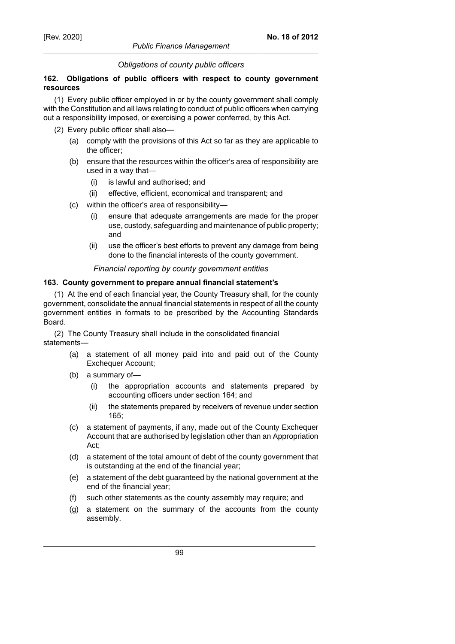## *Obligations of county public officers*

### **162. Obligations of public officers with respect to county government resources**

(1) Every public officer employed in or by the county government shall comply with the Constitution and all laws relating to conduct of public officers when carrying out a responsibility imposed, or exercising a power conferred, by this Act.

- (2) Every public officer shall also—
	- (a) comply with the provisions of this Act so far as they are applicable to the officer;
	- (b) ensure that the resources within the officer's area of responsibility are used in a way that—
		- (i) is lawful and authorised; and
		- (ii) effective, efficient, economical and transparent; and
	- (c) within the officer's area of responsibility—
		- (i) ensure that adequate arrangements are made for the proper use, custody, safeguarding and maintenance of public property; and
		- (ii) use the officer's best efforts to prevent any damage from being done to the financial interests of the county government.

### *Financial reporting by county government entities*

### **163. County government to prepare annual financial statement's**

(1) At the end of each financial year, the County Treasury shall, for the county government, consolidate the annual financial statements in respect of all the county government entities in formats to be prescribed by the Accounting Standards Board.

(2) The County Treasury shall include in the consolidated financial statements—

- (a) a statement of all money paid into and paid out of the County Exchequer Account;
- (b) a summary of—
	- (i) the appropriation accounts and statements prepared by accounting officers under section 164; and
	- (ii) the statements prepared by receivers of revenue under section 165;
- (c) a statement of payments, if any, made out of the County Exchequer Account that are authorised by legislation other than an Appropriation Act;
- (d) a statement of the total amount of debt of the county government that is outstanding at the end of the financial year;
- (e) a statement of the debt guaranteed by the national government at the end of the financial year;
- (f) such other statements as the county assembly may require; and
- (g) a statement on the summary of the accounts from the county assembly.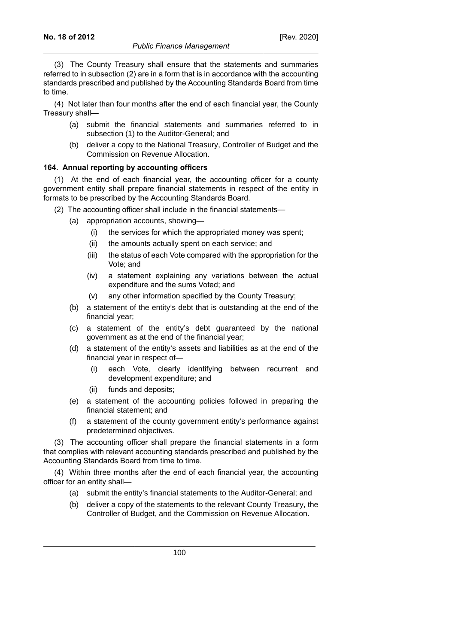(4) Not later than four months after the end of each financial year, the County Treasury shall—

- (a) submit the financial statements and summaries referred to in subsection (1) to the Auditor-General; and
- (b) deliver a copy to the National Treasury, Controller of Budget and the Commission on Revenue Allocation.

### **164. Annual reporting by accounting officers**

(1) At the end of each financial year, the accounting officer for a county government entity shall prepare financial statements in respect of the entity in formats to be prescribed by the Accounting Standards Board.

- (2) The accounting officer shall include in the financial statements—
	- (a) appropriation accounts, showing—
		- (i) the services for which the appropriated money was spent;
		- (ii) the amounts actually spent on each service; and
		- (iii) the status of each Vote compared with the appropriation for the Vote; and
		- (iv) a statement explaining any variations between the actual expenditure and the sums Voted; and
		- (v) any other information specified by the County Treasury;
	- (b) a statement of the entity's debt that is outstanding at the end of the financial year;
	- (c) a statement of the entity's debt guaranteed by the national government as at the end of the financial year;
	- (d) a statement of the entity's assets and liabilities as at the end of the financial year in respect of—
		- (i) each Vote, clearly identifying between recurrent and development expenditure; and
		- (ii) funds and deposits;
	- (e) a statement of the accounting policies followed in preparing the financial statement; and
	- (f) a statement of the county government entity's performance against predetermined objectives.

(3) The accounting officer shall prepare the financial statements in a form that complies with relevant accounting standards prescribed and published by the Accounting Standards Board from time to time.

(4) Within three months after the end of each financial year, the accounting officer for an entity shall—

- (a) submit the entity's financial statements to the Auditor-General; and
- (b) deliver a copy of the statements to the relevant County Treasury, the Controller of Budget, and the Commission on Revenue Allocation.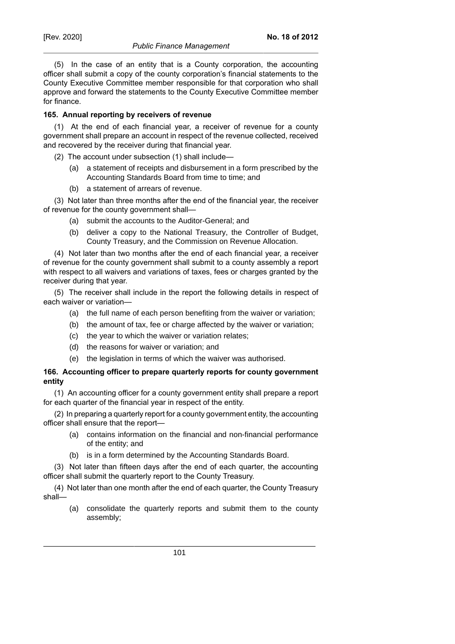(5) In the case of an entity that is a County corporation, the accounting officer shall submit a copy of the county corporation's financial statements to the County Executive Committee member responsible for that corporation who shall approve and forward the statements to the County Executive Committee member for finance.

### **165. Annual reporting by receivers of revenue**

(1) At the end of each financial year, a receiver of revenue for a county government shall prepare an account in respect of the revenue collected, received and recovered by the receiver during that financial year.

- (2) The account under subsection (1) shall include—
	- (a) a statement of receipts and disbursement in a form prescribed by the Accounting Standards Board from time to time; and
	- (b) a statement of arrears of revenue.

(3) Not later than three months after the end of the financial year, the receiver of revenue for the county government shall—

- (a) submit the accounts to the Auditor-General; and
- (b) deliver a copy to the National Treasury, the Controller of Budget, County Treasury, and the Commission on Revenue Allocation.

(4) Not later than two months after the end of each financial year, a receiver of revenue for the county government shall submit to a county assembly a report with respect to all waivers and variations of taxes, fees or charges granted by the receiver during that year.

(5) The receiver shall include in the report the following details in respect of each waiver or variation—

- (a) the full name of each person benefiting from the waiver or variation;
- (b) the amount of tax, fee or charge affected by the waiver or variation;
- (c) the year to which the waiver or variation relates;
- (d) the reasons for waiver or variation; and
- (e) the legislation in terms of which the waiver was authorised.

## **166. Accounting officer to prepare quarterly reports for county government entity**

(1) An accounting officer for a county government entity shall prepare a report for each quarter of the financial year in respect of the entity.

(2) In preparing a quarterly report for a county government entity, the accounting officer shall ensure that the report—

- (a) contains information on the financial and non-financial performance of the entity; and
- (b) is in a form determined by the Accounting Standards Board.

(3) Not later than fifteen days after the end of each quarter, the accounting officer shall submit the quarterly report to the County Treasury.

(4) Not later than one month after the end of each quarter, the County Treasury shall—

(a) consolidate the quarterly reports and submit them to the county assembly;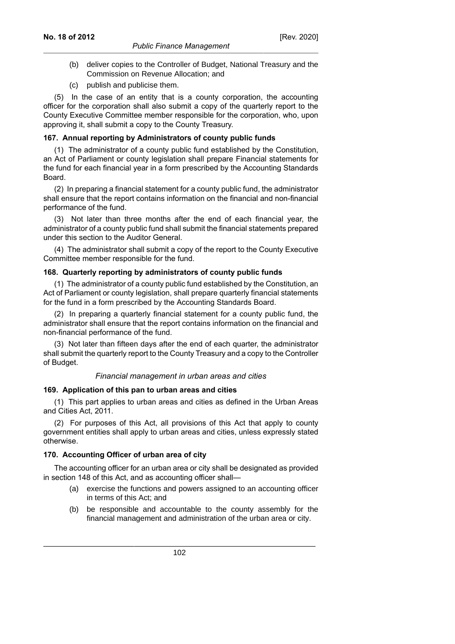### *Public Finance Management*

- 
- (b) deliver copies to the Controller of Budget, National Treasury and the Commission on Revenue Allocation; and
- (c) publish and publicise them.

(5) In the case of an entity that is a county corporation, the accounting officer for the corporation shall also submit a copy of the quarterly report to the County Executive Committee member responsible for the corporation, who, upon approving it, shall submit a copy to the County Treasury.

# **167. Annual reporting by Administrators of county public funds**

(1) The administrator of a county public fund established by the Constitution, an Act of Parliament or county legislation shall prepare Financial statements for the fund for each financial year in a form prescribed by the Accounting Standards Board.

(2) In preparing a financial statement for a county public fund, the administrator shall ensure that the report contains information on the financial and non-financial performance of the fund.

(3) Not later than three months after the end of each financial year, the administrator of a county public fund shall submit the financial statements prepared under this section to the Auditor General.

(4) The administrator shall submit a copy of the report to the County Executive Committee member responsible for the fund.

# **168. Quarterly reporting by administrators of county public funds**

(1) The administrator of a county public fund established by the Constitution, an Act of Parliament or county legislation, shall prepare quarterly financial statements for the fund in a form prescribed by the Accounting Standards Board.

(2) In preparing a quarterly financial statement for a county public fund, the administrator shall ensure that the report contains information on the financial and non-financial performance of the fund.

(3) Not later than fifteen days after the end of each quarter, the administrator shall submit the quarterly report to the County Treasury and a copy to the Controller of Budget.

## *Financial management in urban areas and cities*

# **169. Application of this pan to urban areas and cities**

(1) This part applies to urban areas and cities as defined in the Urban Areas and Cities Act, 2011.

(2) For purposes of this Act, all provisions of this Act that apply to county government entities shall apply to urban areas and cities, unless expressly stated otherwise.

# **170. Accounting Officer of urban area of city**

The accounting officer for an urban area or city shall be designated as provided in section 148 of this Act, and as accounting officer shall—

- (a) exercise the functions and powers assigned to an accounting officer in terms of this Act; and
- (b) be responsible and accountable to the county assembly for the financial management and administration of the urban area or city.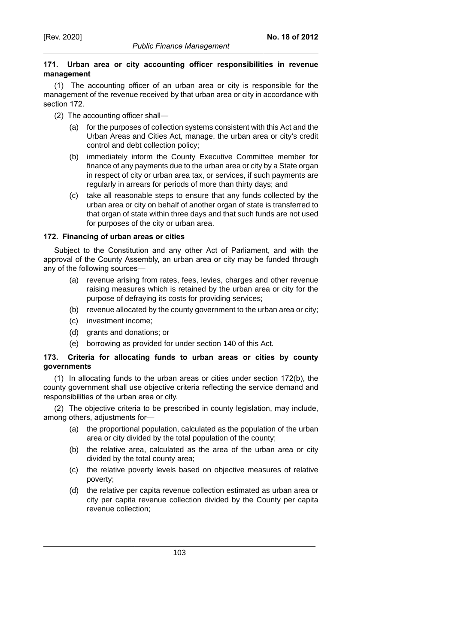## **171. Urban area or city accounting officer responsibilities in revenue management**

(1) The accounting officer of an urban area or city is responsible for the management of the revenue received by that urban area or city in accordance with section 172.

- (2) The accounting officer shall—
	- (a) for the purposes of collection systems consistent with this Act and the Urban Areas and Cities Act, manage, the urban area or city's credit control and debt collection policy;
	- (b) immediately inform the County Executive Committee member for finance of any payments due to the urban area or city by a State organ in respect of city or urban area tax, or services, if such payments are regularly in arrears for periods of more than thirty days; and
	- (c) take all reasonable steps to ensure that any funds collected by the urban area or city on behalf of another organ of state is transferred to that organ of state within three days and that such funds are not used for purposes of the city or urban area.

## **172. Financing of urban areas or cities**

Subject to the Constitution and any other Act of Parliament, and with the approval of the County Assembly, an urban area or city may be funded through any of the following sources—

- (a) revenue arising from rates, fees, levies, charges and other revenue raising measures which is retained by the urban area or city for the purpose of defraying its costs for providing services;
- (b) revenue allocated by the county government to the urban area or city;
- (c) investment income;
- (d) grants and donations; or
- (e) borrowing as provided for under section 140 of this Act.

## **173. Criteria for allocating funds to urban areas or cities by county governments**

(1) In allocating funds to the urban areas or cities under section 172(b), the county government shall use objective criteria reflecting the service demand and responsibilities of the urban area or city.

(2) The objective criteria to be prescribed in county legislation, may include, among others, adjustments for—

- (a) the proportional population, calculated as the population of the urban area or city divided by the total population of the county;
- (b) the relative area, calculated as the area of the urban area or city divided by the total county area;
- (c) the relative poverty levels based on objective measures of relative poverty;
- (d) the relative per capita revenue collection estimated as urban area or city per capita revenue collection divided by the County per capita revenue collection;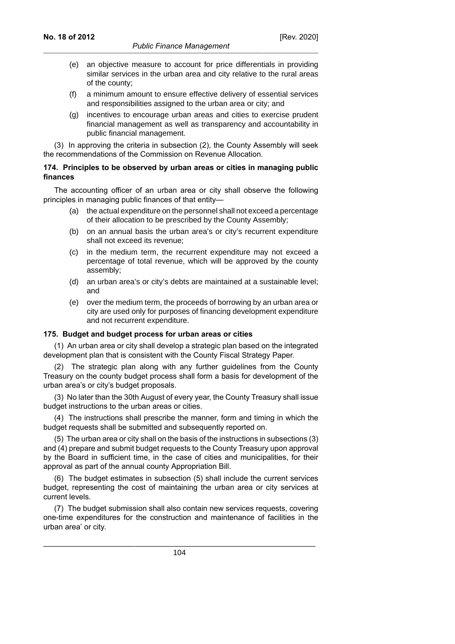- (e) an objective measure to account for price differentials in providing similar services in the urban area and city relative to the rural areas of the county;
- (f) a minimum amount to ensure effective delivery of essential services and responsibilities assigned to the urban area or city; and
- (g) incentives to encourage urban areas and cities to exercise prudent financial management as well as transparency and accountability in public financial management.

(3) In approving the criteria in subsection (2), the County Assembly will seek the recommendations of the Commission on Revenue Allocation.

### **174. Principles to be observed by urban areas or cities in managing public finances**

The accounting officer of an urban area or city shall observe the following principles in managing public finances of that entity—

- (a) the actual expenditure on the personnel shall not exceed a percentage of their allocation to be prescribed by the County Assembly;
- (b) on an annual basis the urban area's or city's recurrent expenditure shall not exceed its revenue;
- (c) in the medium term, the recurrent expenditure may not exceed a percentage of total revenue, which will be approved by the county assembly;
- (d) an urban area's or city's debts are maintained at a sustainable level; and
- (e) over the medium term, the proceeds of borrowing by an urban area or city are used only for purposes of financing development expenditure and not recurrent expenditure.

## **175. Budget and budget process for urban areas or cities**

(1) An urban area or city shall develop a strategic plan based on the integrated development plan that is consistent with the County Fiscal Strategy Paper.

(2) The strategic plan along with any further guidelines from the County Treasury on the county budget process shall form a basis for development of the urban area's or city's budget proposals.

(3) No later than the 30th August of every year, the County Treasury shall issue budget instructions to the urban areas or cities.

(4) The instructions shall prescribe the manner, form and timing in which the budget requests shall be submitted and subsequently reported on.

(5) The urban area or city shall on the basis of the instructions in subsections (3) and (4) prepare and submit budget requests to the County Treasury upon approval by the Board in sufficient time, in the case of cities and municipalities, for their approval as part of the annual county Appropriation Bill.

(6) The budget estimates in subsection (5) shall include the current services budget, representing the cost of maintaining the urban area or city services at current levels.

(7) The budget submission shall also contain new services requests, covering one-time expenditures for the construction and maintenance of facilities in the urban area' or city.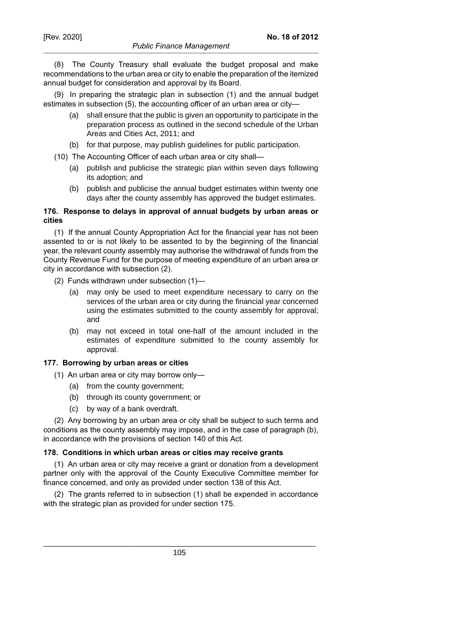(8) The County Treasury shall evaluate the budget proposal and make recommendations to the urban area or city to enable the preparation of the itemized annual budget for consideration and approval by its Board.

(9) In preparing the strategic plan in subsection (1) and the annual budget estimates in subsection (5), the accounting officer of an urban area or city—

- (a) shall ensure that the public is given an opportunity to participate in the preparation process as outlined in the second schedule of the Urban Areas and Cities Act, 2011; and
- (b) for that purpose, may publish guidelines for public participation.
- (10) The Accounting Officer of each urban area or city shall—
	- (a) publish and publicise the strategic plan within seven days following its adoption; and
	- (b) publish and publicise the annual budget estimates within twenty one days after the county assembly has approved the budget estimates.

## **176. Response to delays in approval of annual budgets by urban areas or cities**

(1) If the annual County Appropriation Act for the financial year has not been assented to or is not likely to be assented to by the beginning of the financial year, the relevant county assembly may authorise the withdrawal of funds from the County Revenue Fund for the purpose of meeting expenditure of an urban area or city in accordance with subsection (2).

- (2) Funds withdrawn under subsection (1)—
	- (a) may only be used to meet expenditure necessary to carry on the services of the urban area or city during the financial year concerned using the estimates submitted to the county assembly for approval; and
	- (b) may not exceed in total one-half of the amount included in the estimates of expenditure submitted to the county assembly for approval.

## **177. Borrowing by urban areas or cities**

- (1) An urban area or city may borrow only—
	- (a) from the county government;
	- (b) through its county government; or
	- (c) by way of a bank overdraft.

(2) Any borrowing by an urban area or city shall be subject to such terms and conditions as the county assembly may impose, and in the case of paragraph (b), in accordance with the provisions of section 140 of this Act.

## **178. Conditions in which urban areas or cities may receive grants**

(1) An urban area or city may receive a grant or donation from a development partner only with the approval of the County Executive Committee member for finance concerned, and only as provided under section 138 of this Act.

(2) The grants referred to in subsection (1) shall be expended in accordance with the strategic plan as provided for under section 175.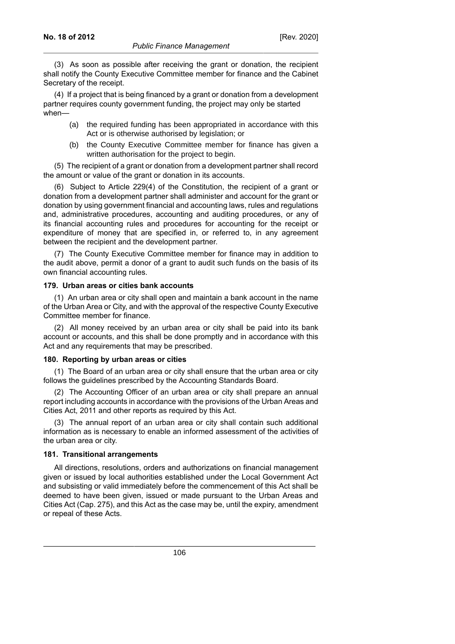(3) As soon as possible after receiving the grant or donation, the recipient shall notify the County Executive Committee member for finance and the Cabinet Secretary of the receipt.

(4) If a project that is being financed by a grant or donation from a development partner requires county government funding, the project may only be started when—

- (a) the required funding has been appropriated in accordance with this Act or is otherwise authorised by legislation; or
- (b) the County Executive Committee member for finance has given a written authorisation for the project to begin.

(5) The recipient of a grant or donation from a development partner shall record the amount or value of the grant or donation in its accounts.

(6) Subject to Article 229(4) of the Constitution, the recipient of a grant or donation from a development partner shall administer and account for the grant or donation by using government financial and accounting laws, rules and regulations and, administrative procedures, accounting and auditing procedures, or any of its financial accounting rules and procedures for accounting for the receipt or expenditure of money that are specified in, or referred to, in any agreement between the recipient and the development partner.

(7) The County Executive Committee member for finance may in addition to the audit above, permit a donor of a grant to audit such funds on the basis of its own financial accounting rules.

#### **179. Urban areas or cities bank accounts**

(1) An urban area or city shall open and maintain a bank account in the name of the Urban Area or City, and with the approval of the respective County Executive Committee member for finance.

(2) All money received by an urban area or city shall be paid into its bank account or accounts, and this shall be done promptly and in accordance with this Act and any requirements that may be prescribed.

#### **180. Reporting by urban areas or cities**

(1) The Board of an urban area or city shall ensure that the urban area or city follows the guidelines prescribed by the Accounting Standards Board.

(2) The Accounting Officer of an urban area or city shall prepare an annual report including accounts in accordance with the provisions of the Urban Areas and Cities Act, 2011 and other reports as required by this Act.

(3) The annual report of an urban area or city shall contain such additional information as is necessary to enable an informed assessment of the activities of the urban area or city.

#### **181. Transitional arrangements**

All directions, resolutions, orders and authorizations on financial management given or issued by local authorities established under the Local Government Act and subsisting or valid immediately before the commencement of this Act shall be deemed to have been given, issued or made pursuant to the Urban Areas and Cities Act (Cap. 275), and this Act as the case may be, until the expiry, amendment or repeal of these Acts.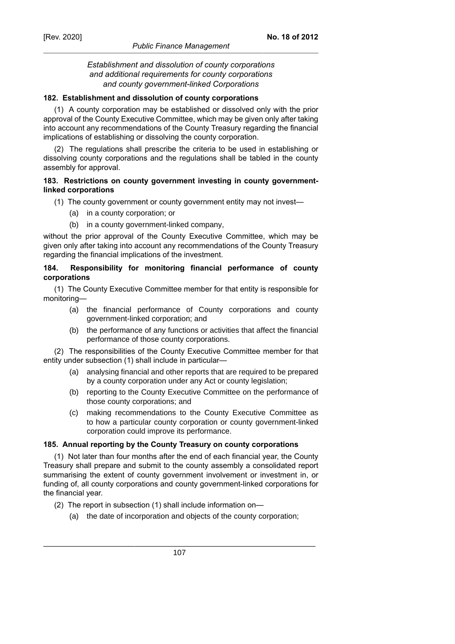### *Establishment and dissolution of county corporations and additional requirements for county corporations and county government-linked Corporations*

#### **182. Establishment and dissolution of county corporations**

(1) A county corporation may be established or dissolved only with the prior approval of the County Executive Committee, which may be given only after taking into account any recommendations of the County Treasury regarding the financial implications of establishing or dissolving the county corporation.

(2) The regulations shall prescribe the criteria to be used in establishing or dissolving county corporations and the regulations shall be tabled in the county assembly for approval.

### **183. Restrictions on county government investing in county governmentlinked corporations**

- (1) The county government or county government entity may not invest—
	- (a) in a county corporation; or
	- (b) in a county government-linked company,

without the prior approval of the County Executive Committee, which may be given only after taking into account any recommendations of the County Treasury regarding the financial implications of the investment.

### **184. Responsibility for monitoring financial performance of county corporations**

(1) The County Executive Committee member for that entity is responsible for monitoring—

- (a) the financial performance of County corporations and county government-linked corporation; and
- (b) the performance of any functions or activities that affect the financial performance of those county corporations.

(2) The responsibilities of the County Executive Committee member for that entity under subsection (1) shall include in particular—

- (a) analysing financial and other reports that are required to be prepared by a county corporation under any Act or county legislation;
- (b) reporting to the County Executive Committee on the performance of those county corporations; and
- (c) making recommendations to the County Executive Committee as to how a particular county corporation or county government-linked corporation could improve its performance.

## **185. Annual reporting by the County Treasury on county corporations**

(1) Not later than four months after the end of each financial year, the County Treasury shall prepare and submit to the county assembly a consolidated report summarising the extent of county government involvement or investment in, or funding of, all county corporations and county government-linked corporations for the financial year.

- (2) The report in subsection (1) shall include information on—
	- (a) the date of incorporation and objects of the county corporation;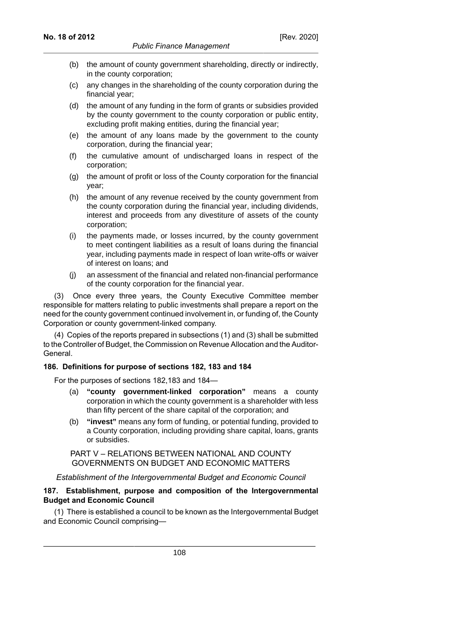- (b) the amount of county government shareholding, directly or indirectly, in the county corporation;
- (c) any changes in the shareholding of the county corporation during the financial year;
- (d) the amount of any funding in the form of grants or subsidies provided by the county government to the county corporation or public entity, excluding profit making entities, during the financial year;
- (e) the amount of any loans made by the government to the county corporation, during the financial year;
- (f) the cumulative amount of undischarged loans in respect of the corporation;
- (g) the amount of profit or loss of the County corporation for the financial year;
- (h) the amount of any revenue received by the county government from the county corporation during the financial year, including dividends, interest and proceeds from any divestiture of assets of the county corporation;
- (i) the payments made, or losses incurred, by the county government to meet contingent liabilities as a result of loans during the financial year, including payments made in respect of loan write-offs or waiver of interest on loans; and
- (j) an assessment of the financial and related non-financial performance of the county corporation for the financial year.

(3) Once every three years, the County Executive Committee member responsible for matters relating to public investments shall prepare a report on the need for the county government continued involvement in, or funding of, the County Corporation or county government-linked company.

(4) Copies of the reports prepared in subsections (1) and (3) shall be submitted to the Controller of Budget, the Commission on Revenue Allocation and the Auditor-General.

## **186. Definitions for purpose of sections 182, 183 and 184**

For the purposes of sections 182,183 and 184—

- (a) **"county government-linked corporation"** means a county corporation in which the county government is a shareholder with less than fifty percent of the share capital of the corporation; and
- (b) **"invest"** means any form of funding, or potential funding, provided to a County corporation, including providing share capital, loans, grants or subsidies.

PART V – RELATIONS BETWEEN NATIONAL AND COUNTY GOVERNMENTS ON BUDGET AND ECONOMIC MATTERS

*Establishment of the Intergovernmental Budget and Economic Council*

### **187. Establishment, purpose and composition of the Intergovernmental Budget and Economic Council**

(1) There is established a council to be known as the Intergovernmental Budget and Economic Council comprising—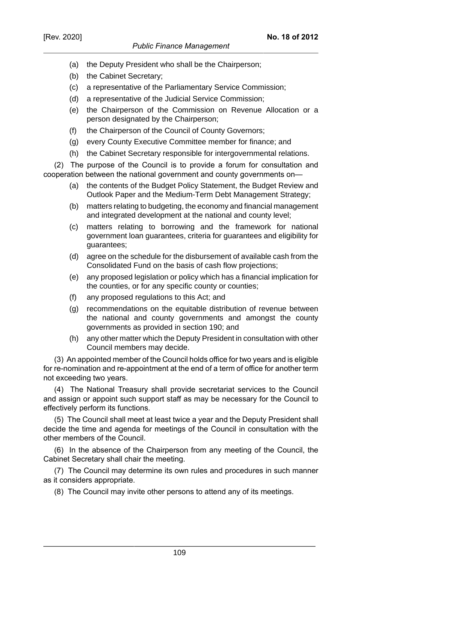# *Public Finance Management*

- (a) the Deputy President who shall be the Chairperson;
- (b) the Cabinet Secretary;
- (c) a representative of the Parliamentary Service Commission;
- (d) a representative of the Judicial Service Commission;
- (e) the Chairperson of the Commission on Revenue Allocation or a person designated by the Chairperson;
- (f) the Chairperson of the Council of County Governors;
- (g) every County Executive Committee member for finance; and
- (h) the Cabinet Secretary responsible for intergovernmental relations.

(2) The purpose of the Council is to provide a forum for consultation and cooperation between the national government and county governments on—

- (a) the contents of the Budget Policy Statement, the Budget Review and Outlook Paper and the Medium-Term Debt Management Strategy;
- (b) matters relating to budgeting, the economy and financial management and integrated development at the national and county level;
- (c) matters relating to borrowing and the framework for national government loan guarantees, criteria for guarantees and eligibility for guarantees;
- (d) agree on the schedule for the disbursement of available cash from the Consolidated Fund on the basis of cash flow projections;
- (e) any proposed legislation or policy which has a financial implication for the counties, or for any specific county or counties;
- (f) any proposed regulations to this Act; and
- (g) recommendations on the equitable distribution of revenue between the national and county governments and amongst the county governments as provided in section 190; and
- (h) any other matter which the Deputy President in consultation with other Council members may decide.

(3) An appointed member of the Council holds office for two years and is eligible for re-nomination and re-appointment at the end of a term of office for another term not exceeding two years.

(4) The National Treasury shall provide secretariat services to the Council and assign or appoint such support staff as may be necessary for the Council to effectively perform its functions.

(5) The Council shall meet at least twice a year and the Deputy President shall decide the time and agenda for meetings of the Council in consultation with the other members of the Council.

(6) In the absence of the Chairperson from any meeting of the Council, the Cabinet Secretary shall chair the meeting.

(7) The Council may determine its own rules and procedures in such manner as it considers appropriate.

(8) The Council may invite other persons to attend any of its meetings.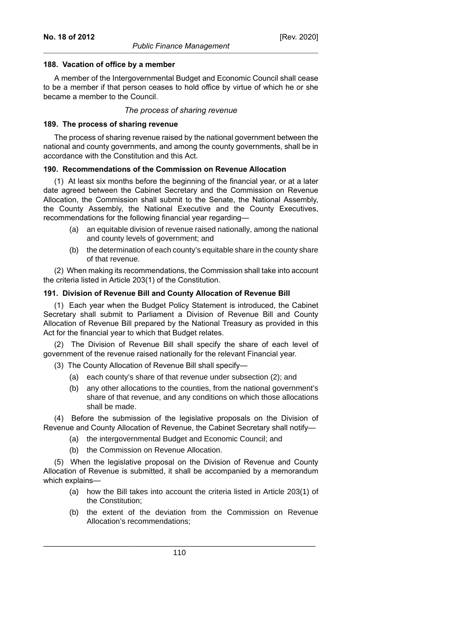#### **188. Vacation of office by a member**

A member of the Intergovernmental Budget and Economic Council shall cease to be a member if that person ceases to hold office by virtue of which he or she became a member to the Council.

### *The process of sharing revenue*

#### **189. The process of sharing revenue**

The process of sharing revenue raised by the national government between the national and county governments, and among the county governments, shall be in accordance with the Constitution and this Act.

#### **190. Recommendations of the Commission on Revenue Allocation**

(1) At least six months before the beginning of the financial year, or at a later date agreed between the Cabinet Secretary and the Commission on Revenue Allocation, the Commission shall submit to the Senate, the National Assembly, the County Assembly, the National Executive and the County Executives, recommendations for the following financial year regarding—

- (a) an equitable division of revenue raised nationally, among the national and county levels of government; and
- (b) the determination of each county's equitable share in the county share of that revenue.

(2) When making its recommendations, the Commission shall take into account the criteria listed in Article 203(1) of the Constitution.

#### **191. Division of Revenue Bill and County Allocation of Revenue Bill**

(1) Each year when the Budget Policy Statement is introduced, the Cabinet Secretary shall submit to Parliament a Division of Revenue Bill and County Allocation of Revenue Bill prepared by the National Treasury as provided in this Act for the financial year to which that Budget relates.

(2) The Division of Revenue Bill shall specify the share of each level of government of the revenue raised nationally for the relevant Financial year.

(3) The County Allocation of Revenue Bill shall specify—

- (a) each county's share of that revenue under subsection (2); and
- (b) any other allocations to the counties, from the national government's share of that revenue, and any conditions on which those allocations shall be made.

(4) Before the submission of the legislative proposals on the Division of Revenue and County Allocation of Revenue, the Cabinet Secretary shall notify—

- (a) the intergovernmental Budget and Economic Council; and
- (b) the Commission on Revenue Allocation.

(5) When the legislative proposal on the Division of Revenue and County Allocation of Revenue is submitted, it shall be accompanied by a memorandum which explains—

- (a) how the Bill takes into account the criteria listed in Article 203(1) of the Constitution;
- (b) the extent of the deviation from the Commission on Revenue Allocation's recommendations;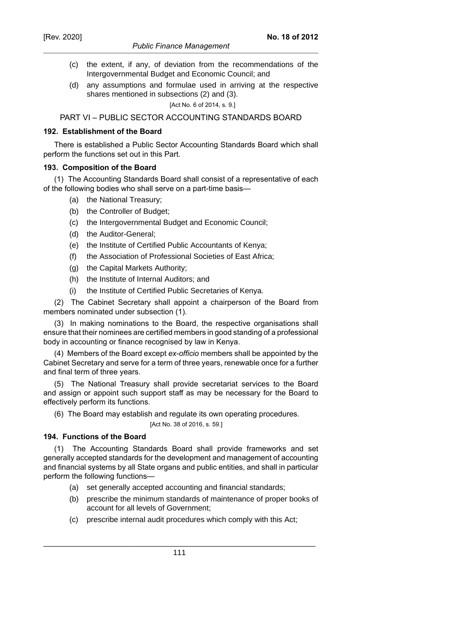# *Public Finance Management*

- (c) the extent, if any, of deviation from the recommendations of the Intergovernmental Budget and Economic Council; and
- (d) any assumptions and formulae used in arriving at the respective shares mentioned in subsections (2) and (3).

## [Act No. 6 of 2014, s. 9.]

# PART VI – PUBLIC SECTOR ACCOUNTING STANDARDS BOARD

#### **192. Establishment of the Board**

There is established a Public Sector Accounting Standards Board which shall perform the functions set out in this Part.

## **193. Composition of the Board**

(1) The Accounting Standards Board shall consist of a representative of each of the following bodies who shall serve on a part-time basis—

- (a) the National Treasury;
- (b) the Controller of Budget;
- (c) the Intergovernmental Budget and Economic Council;
- (d) the Auditor-General;
- (e) the Institute of Certified Public Accountants of Kenya;
- (f) the Association of Professional Societies of East Africa;
- (g) the Capital Markets Authority;
- (h) the Institute of Internal Auditors; and
- (i) the Institute of Certified Public Secretaries of Kenya.

(2) The Cabinet Secretary shall appoint a chairperson of the Board from members nominated under subsection (1).

(3) In making nominations to the Board, the respective organisations shall ensure that their nominees are certified members in good standing of a professional body in accounting or finance recognised by law in Kenya.

(4) Members of the Board except *ex-officio* members shall be appointed by the Cabinet Secretary and serve for a term of three years, renewable once for a further and final term of three years.

(5) The National Treasury shall provide secretariat services to the Board and assign or appoint such support staff as may be necessary for the Board to effectively perform its functions.

(6) The Board may establish and regulate its own operating procedures.

## [Act No. 38 of 2016, s. 59.]

# **194. Functions of the Board**

(1) The Accounting Standards Board shall provide frameworks and set generally accepted standards for the development and management of accounting and financial systems by all State organs and public entities, and shall in particular perform the following functions—

- (a) set generally accepted accounting and financial standards;
- (b) prescribe the minimum standards of maintenance of proper books of account for all levels of Government;
- (c) prescribe internal audit procedures which comply with this Act;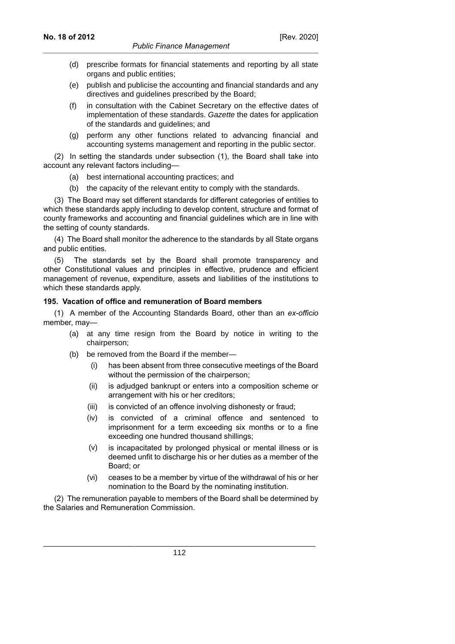- (d) prescribe formats for financial statements and reporting by all state organs and public entities;
- (e) publish and publicise the accounting and financial standards and any directives and guidelines prescribed by the Board;
- (f) in consultation with the Cabinet Secretary on the effective dates of implementation of these standards. Gazette the dates for application of the standards and guidelines; and
- (g) perform any other functions related to advancing financial and accounting systems management and reporting in the public sector.

(2) In setting the standards under subsection (1), the Board shall take into account any relevant factors including—

- (a) best international accounting practices; and
- (b) the capacity of the relevant entity to comply with the standards.

(3) The Board may set different standards for different categories of entities to which these standards apply including to develop content, structure and format of county frameworks and accounting and financial guidelines which are in line with the setting of county standards.

(4) The Board shall monitor the adherence to the standards by all State organs and public entities.

(5) The standards set by the Board shall promote transparency and other Constitutional values and principles in effective, prudence and efficient management of revenue, expenditure, assets and liabilities of the institutions to which these standards apply.

## **195. Vacation of office and remuneration of Board members**

(1) A member of the Accounting Standards Board, other than an *ex-officio* member, may—

- (a) at any time resign from the Board by notice in writing to the chairperson;
- (b) be removed from the Board if the member—
	- (i) has been absent from three consecutive meetings of the Board without the permission of the chairperson;
	- (ii) is adjudged bankrupt or enters into a composition scheme or arrangement with his or her creditors;
	- (iii) is convicted of an offence involving dishonesty or fraud;
	- (iv) is convicted of a criminal offence and sentenced to imprisonment for a term exceeding six months or to a fine exceeding one hundred thousand shillings;
	- (v) is incapacitated by prolonged physical or mental illness or is deemed unfit to discharge his or her duties as a member of the Board; or
	- (vi) ceases to be a member by virtue of the withdrawal of his or her nomination to the Board by the nominating institution.

(2) The remuneration payable to members of the Board shall be determined by the Salaries and Remuneration Commission.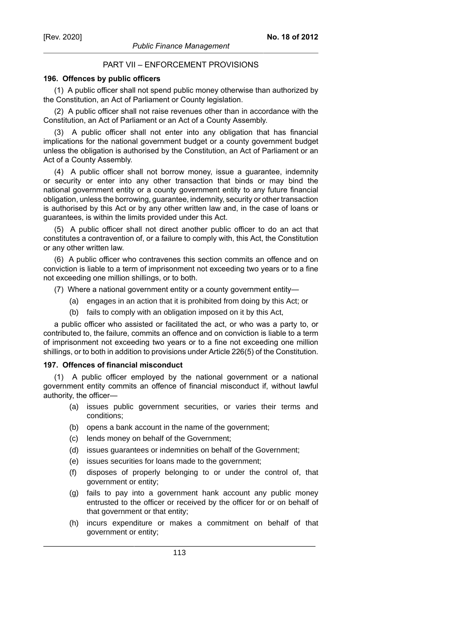# PART VII – ENFORCEMENT PROVISIONS

### **196. Offences by public officers**

(1) A public officer shall not spend public money otherwise than authorized by the Constitution, an Act of Parliament or County legislation.

(2) A public officer shall not raise revenues other than in accordance with the Constitution, an Act of Parliament or an Act of a County Assembly.

(3) A public officer shall not enter into any obligation that has financial implications for the national government budget or a county government budget unless the obligation is authorised by the Constitution, an Act of Parliament or an Act of a County Assembly.

(4) A public officer shall not borrow money, issue a guarantee, indemnity or security or enter into any other transaction that binds or may bind the national government entity or a county government entity to any future financial obligation, unless the borrowing, guarantee, indemnity, security or other transaction is authorised by this Act or by any other written law and, in the case of loans or guarantees, is within the limits provided under this Act.

(5) A public officer shall not direct another public officer to do an act that constitutes a contravention of, or a failure to comply with, this Act, the Constitution or any other written law.

(6) A public officer who contravenes this section commits an offence and on conviction is liable to a term of imprisonment not exceeding two years or to a fine not exceeding one million shillings, or to both.

- (7) Where a national government entity or a county government entity—
	- (a) engages in an action that it is prohibited from doing by this Act; or
	- (b) fails to comply with an obligation imposed on it by this Act,

a public officer who assisted or facilitated the act, or who was a party to, or contributed to, the failure, commits an offence and on conviction is liable to a term of imprisonment not exceeding two years or to a fine not exceeding one million shillings, or to both in addition to provisions under Article 226(5) of the Constitution.

#### **197. Offences of financial misconduct**

(1) A public officer employed by the national government or a national government entity commits an offence of financial misconduct if, without lawful authority, the officer—

- (a) issues public government securities, or varies their terms and conditions;
- (b) opens a bank account in the name of the government;
- (c) lends money on behalf of the Government;
- (d) issues guarantees or indemnities on behalf of the Government;
- (e) issues securities for loans made to the government;
- (f) disposes of properly belonging to or under the control of, that government or entity;
- (g) fails to pay into a government hank account any public money entrusted to the officer or received by the officer for or on behalf of that government or that entity;
- (h) incurs expenditure or makes a commitment on behalf of that government or entity;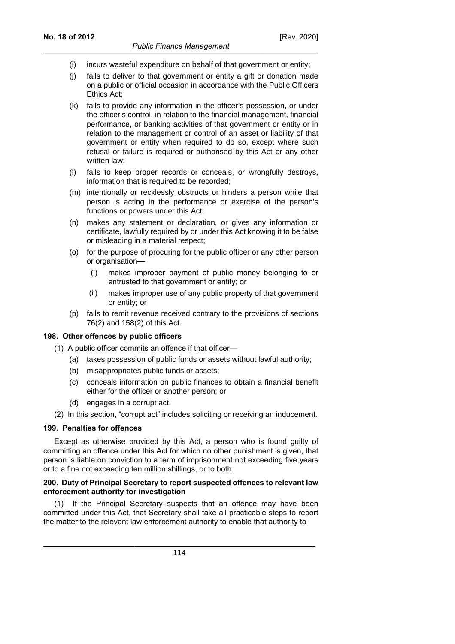- (i) incurs wasteful expenditure on behalf of that government or entity;
- (j) fails to deliver to that government or entity a gift or donation made on a public or official occasion in accordance with the Public Officers Ethics Act;
- (k) fails to provide any information in the officer's possession, or under the officer's control, in relation to the financial management, financial performance, or banking activities of that government or entity or in relation to the management or control of an asset or liability of that government or entity when required to do so, except where such refusal or failure is required or authorised by this Act or any other written law;
- (l) fails to keep proper records or conceals, or wrongfully destroys, information that is required to be recorded;
- (m) intentionally or recklessly obstructs or hinders a person while that person is acting in the performance or exercise of the person's functions or powers under this Act;
- (n) makes any statement or declaration, or gives any information or certificate, lawfully required by or under this Act knowing it to be false or misleading in a material respect;
- (o) for the purpose of procuring for the public officer or any other person or organisation—
	- (i) makes improper payment of public money belonging to or entrusted to that government or entity; or
	- (ii) makes improper use of any public property of that government or entity; or
- (p) fails to remit revenue received contrary to the provisions of sections 76(2) and 158(2) of this Act.

#### **198. Other offences by public officers**

- (1) A public officer commits an offence if that officer—
	- (a) takes possession of public funds or assets without lawful authority;
	- (b) misappropriates public funds or assets;
	- (c) conceals information on public finances to obtain a financial benefit either for the officer or another person; or
	- (d) engages in a corrupt act.
- (2) In this section, "corrupt act" includes soliciting or receiving an inducement.

## **199. Penalties for offences**

Except as otherwise provided by this Act, a person who is found guilty of committing an offence under this Act for which no other punishment is given, that person is liable on conviction to a term of imprisonment not exceeding five years or to a fine not exceeding ten million shillings, or to both.

### **200. Duty of Principal Secretary to report suspected offences to relevant law enforcement authority for investigation**

If the Principal Secretary suspects that an offence may have been committed under this Act, that Secretary shall take all practicable steps to report the matter to the relevant law enforcement authority to enable that authority to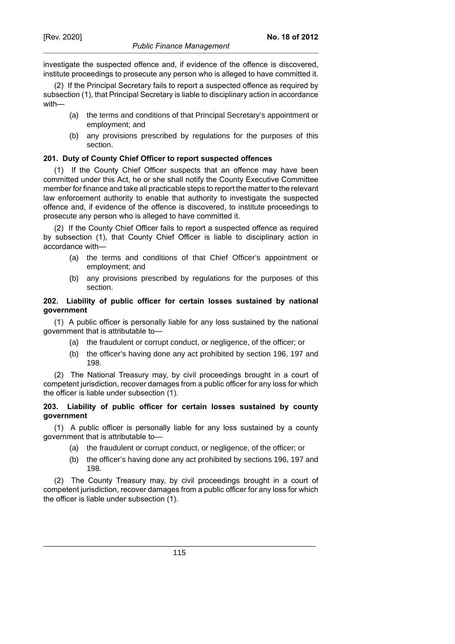investigate the suspected offence and, if evidence of the offence is discovered, institute proceedings to prosecute any person who is alleged to have committed it.

(2) If the Principal Secretary fails to report a suspected offence as required by subsection (1), that Principal Secretary is liable to disciplinary action in accordance with—

- (a) the terms and conditions of that Principal Secretary's appointment or employment; and
- (b) any provisions prescribed by regulations for the purposes of this section.

# **201. Duty of County Chief Officer to report suspected offences**

(1) If the County Chief Officer suspects that an offence may have been committed under this Act, he or she shall notify the County Executive Committee member for finance and take all practicable steps to report the matter to the relevant law enforcement authority to enable that authority to investigate the suspected offence and, if evidence of the offence is discovered, to institute proceedings to prosecute any person who is alleged to have committed it.

(2) If the County Chief Officer fails to report a suspected offence as required by subsection (1), that County Chief Officer is liable to disciplinary action in accordance with—

- (a) the terms and conditions of that Chief Officer's appointment or employment; and
- (b) any provisions prescribed by regulations for the purposes of this section.

# **202. Liability of public officer for certain losses sustained by national government**

(1) A public officer is personally liable for any loss sustained by the national government that is attributable to—

- (a) the fraudulent or corrupt conduct, or negligence, of the officer; or
- (b) the officer's having done any act prohibited by section 196, 197 and 198.

(2) The National Treasury may, by civil proceedings brought in a court of competent jurisdiction, recover damages from a public officer for any loss for which the officer is liable under subsection (1).

# **203. Liability of public officer for certain losses sustained by county government**

(1) A public officer is personally liable for any loss sustained by a county government that is attributable to—

- (a) the fraudulent or corrupt conduct, or negligence, of the officer; or
- (b) the officer's having done any act prohibited by sections 196, 197 and 198.

(2) The County Treasury may, by civil proceedings brought in a court of competent jurisdiction, recover damages from a public officer for any loss for which the officer is liable under subsection (1).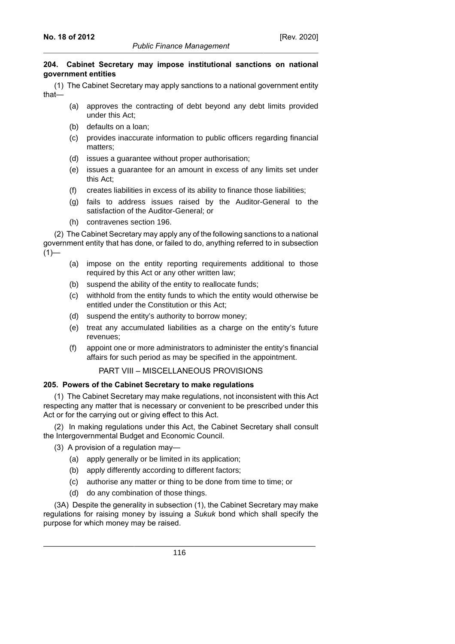## **204. Cabinet Secretary may impose institutional sanctions on national government entities**

(1) The Cabinet Secretary may apply sanctions to a national government entity that—

- (a) approves the contracting of debt beyond any debt limits provided under this Act;
- (b) defaults on a loan;
- (c) provides inaccurate information to public officers regarding financial matters;
- (d) issues a guarantee without proper authorisation;
- (e) issues a guarantee for an amount in excess of any limits set under this Act;
- (f) creates liabilities in excess of its ability to finance those liabilities;
- (g) fails to address issues raised by the Auditor-General to the satisfaction of the Auditor-General; or
- (h) contravenes section 196.

(2) The Cabinet Secretary may apply any of the following sanctions to a national government entity that has done, or failed to do, anything referred to in subsection  $(1)$ —

- (a) impose on the entity reporting requirements additional to those required by this Act or any other written law;
- (b) suspend the ability of the entity to reallocate funds;
- (c) withhold from the entity funds to which the entity would otherwise be entitled under the Constitution or this Act;
- (d) suspend the entity's authority to borrow money;
- (e) treat any accumulated liabilities as a charge on the entity's future revenues;
- (f) appoint one or more administrators to administer the entity's financial affairs for such period as may be specified in the appointment.

PART VIII – MISCELLANEOUS PROVISIONS

# **205. Powers of the Cabinet Secretary to make regulations**

(1) The Cabinet Secretary may make regulations, not inconsistent with this Act respecting any matter that is necessary or convenient to be prescribed under this Act or for the carrying out or giving effect to this Act.

(2) In making regulations under this Act, the Cabinet Secretary shall consult the Intergovernmental Budget and Economic Council.

- (3) A provision of a regulation may—
	- (a) apply generally or be limited in its application;
	- (b) apply differently according to different factors;
	- (c) authorise any matter or thing to be done from time to time; or
	- (d) do any combination of those things.

(3A) Despite the generality in subsection (1), the Cabinet Secretary may make regulations for raising money by issuing a *Sukuk* bond which shall specify the purpose for which money may be raised.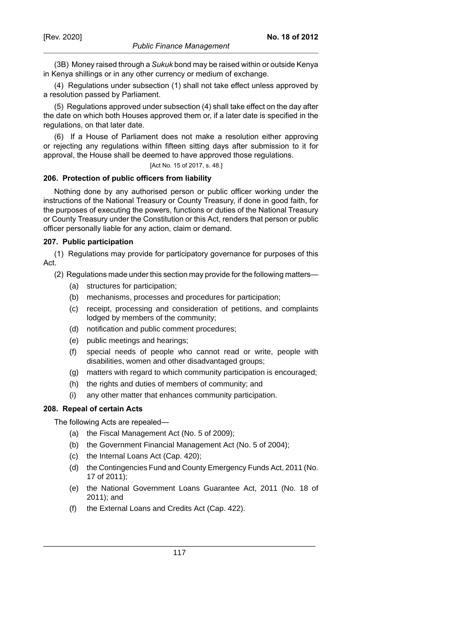(3B) Money raised through a *Sukuk* bond may be raised within or outside Kenya in Kenya shillings or in any other currency or medium of exchange.

(4) Regulations under subsection (1) shall not take effect unless approved by a resolution passed by Parliament.

(5) Regulations approved under subsection (4) shall take effect on the day after the date on which both Houses approved them or, if a later date is specified in the regulations, on that later date.

(6) If a House of Parliament does not make a resolution either approving or rejecting any regulations within fifteen sitting days after submission to it for approval, the House shall be deemed to have approved those regulations.

[Act No. 15 of 2017, s. 48.]

## **206. Protection of public officers from liability**

Nothing done by any authorised person or public officer working under the instructions of the National Treasury or County Treasury, if done in good faith, for the purposes of executing the powers, functions or duties of the National Treasury or County Treasury under the Constitution or this Act, renders that person or public officer personally liable for any action, claim or demand.

## **207. Public participation**

(1) Regulations may provide for participatory governance for purposes of this Act.

- (2) Regulations made under this section may provide for the following matters—
	- (a) structures for participation;
	- (b) mechanisms, processes and procedures for participation;
	- (c) receipt, processing and consideration of petitions, and complaints lodged by members of the community;
	- (d) notification and public comment procedures;
	- (e) public meetings and hearings;
	- (f) special needs of people who cannot read or write, people with disabilities, women and other disadvantaged groups;
	- (g) matters with regard to which community participation is encouraged;
	- (h) the rights and duties of members of community; and
	- (i) any other matter that enhances community participation.

# **208. Repeal of certain Acts**

The following Acts are repealed—

- (a) the Fiscal Management Act (No. 5 of 2009);
- (b) the Government Financial Management Act (No. 5 of 2004);
- (c) the Internal Loans Act (Cap. 420);
- (d) the Contingencies Fund and County Emergency Funds Act, 2011 (No. 17 of 2011);
- (e) the National Government Loans Guarantee Act, 2011 (No. 18 of 2011); and
- (f) the External Loans and Credits Act (Cap. 422).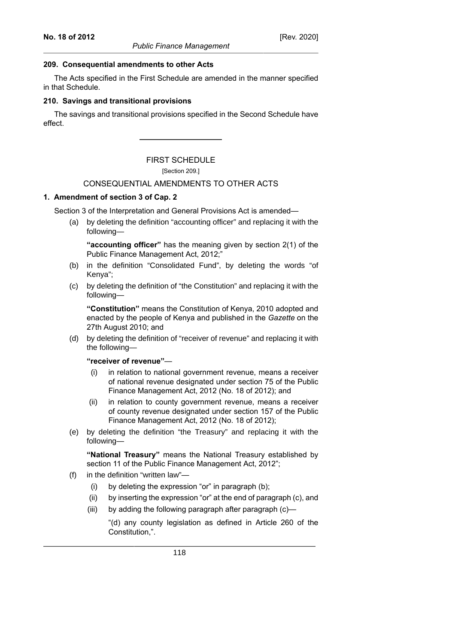#### **209. Consequential amendments to other Acts**

The Acts specified in the First Schedule are amended in the manner specified in that Schedule.

## **210. Savings and transitional provisions**

The savings and transitional provisions specified in the Second Schedule have effect.

FIRST SCHEDULE

[Section 209.]

# CONSEQUENTIAL AMENDMENTS TO OTHER ACTS

## **1. Amendment of section 3 of Cap. 2**

Section 3 of the Interpretation and General Provisions Act is amended—

(a) by deleting the definition "accounting officer" and replacing it with the following—

**"accounting officer"** has the meaning given by section 2(1) of the Public Finance Management Act, 2012;"

- (b) in the definition "Consolidated Fund", by deleting the words "of Kenya";
- (c) by deleting the definition of "the Constitution" and replacing it with the following—

**"Constitution"** means the Constitution of Kenya, 2010 adopted and enacted by the people of Kenya and published in the *Gazette* on the 27th August 2010; and

(d) by deleting the definition of "receiver of revenue" and replacing it with the following—

**"receiver of revenue"**—

- (i) in relation to national government revenue, means a receiver of national revenue designated under section 75 of the Public Finance Management Act, 2012 (No. 18 of 2012); and
- (ii) in relation to county government revenue, means a receiver of county revenue designated under section 157 of the Public Finance Management Act, 2012 (No. 18 of 2012);
- (e) by deleting the definition "the Treasury" and replacing it with the following—

**"National Treasury"** means the National Treasury established by section 11 of the Public Finance Management Act, 2012";

- (f) in the definition "written law"—
	- (i) by deleting the expression "or" in paragraph (b);
	- (ii) by inserting the expression "or" at the end of paragraph (c), and
	- (iii) by adding the following paragraph after paragraph (c)—

"(d) any county legislation as defined in Article 260 of the Constitution,".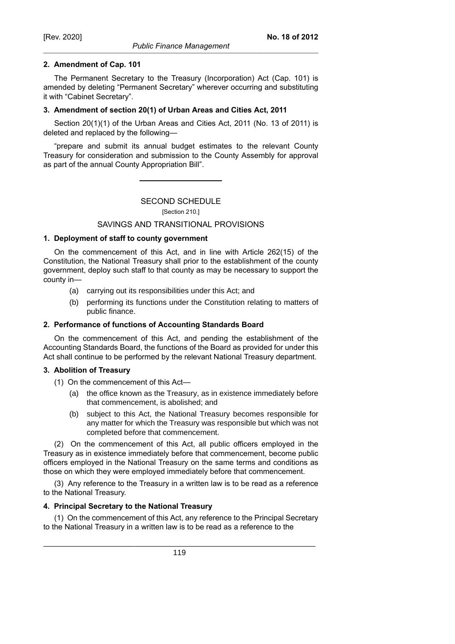The Permanent Secretary to the Treasury (Incorporation) Act (Cap. 101) is amended by deleting "Permanent Secretary" wherever occurring and substituting it with "Cabinet Secretary".

# **3. Amendment of section 20(1) of Urban Areas and Cities Act, 2011**

Section 20(1)(1) of the Urban Areas and Cities Act, 2011 (No. 13 of 2011) is deleted and replaced by the following—

"prepare and submit its annual budget estimates to the relevant County Treasury for consideration and submission to the County Assembly for approval as part of the annual County Appropriation Bill".

# SECOND SCHEDULE

[Section 210.]

# SAVINGS AND TRANSITIONAL PROVISIONS

# **1. Deployment of staff to county government**

On the commencement of this Act, and in line with Article 262(15) of the Constitution, the National Treasury shall prior to the establishment of the county government, deploy such staff to that county as may be necessary to support the county in—

- (a) carrying out its responsibilities under this Act; and
- (b) performing its functions under the Constitution relating to matters of public finance.

# **2. Performance of functions of Accounting Standards Board**

On the commencement of this Act, and pending the establishment of the Accounting Standards Board, the functions of the Board as provided for under this Act shall continue to be performed by the relevant National Treasury department.

# **3. Abolition of Treasury**

- (1) On the commencement of this Act—
	- (a) the office known as the Treasury, as in existence immediately before that commencement, is abolished; and
	- (b) subject to this Act, the National Treasury becomes responsible for any matter for which the Treasury was responsible but which was not completed before that commencement.

(2) On the commencement of this Act, all public officers employed in the Treasury as in existence immediately before that commencement, become public officers employed in the National Treasury on the same terms and conditions as those on which they were employed immediately before that commencement.

(3) Any reference to the Treasury in a written law is to be read as a reference to the National Treasury.

# **4. Principal Secretary to the National Treasury**

(1) On the commencement of this Act, any reference to the Principal Secretary to the National Treasury in a written law is to be read as a reference to the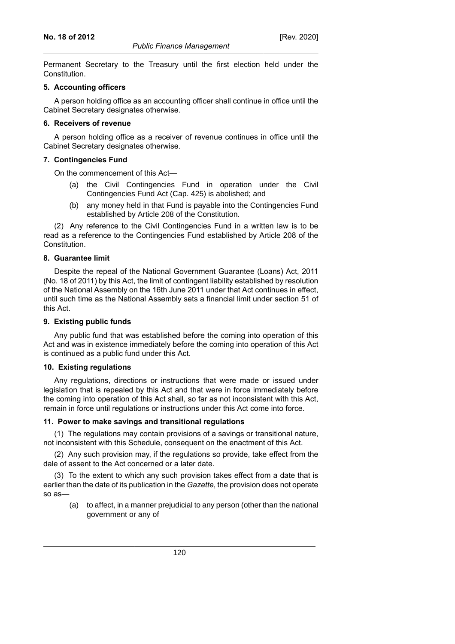Permanent Secretary to the Treasury until the first election held under the Constitution.

## **5. Accounting officers**

A person holding office as an accounting officer shall continue in office until the Cabinet Secretary designates otherwise.

# **6. Receivers of revenue**

A person holding office as a receiver of revenue continues in office until the Cabinet Secretary designates otherwise.

# **7. Contingencies Fund**

On the commencement of this Act—

- (a) the Civil Contingencies Fund in operation under the Civil Contingencies Fund Act (Cap. 425) is abolished; and
- (b) any money held in that Fund is payable into the Contingencies Fund established by Article 208 of the Constitution.

(2) Any reference to the Civil Contingencies Fund in a written law is to be read as a reference to the Contingencies Fund established by Article 208 of the Constitution.

## **8. Guarantee limit**

Despite the repeal of the National Government Guarantee (Loans) Act, 2011 (No. 18 of 2011) by this Act, the limit of contingent liability established by resolution of the National Assembly on the 16th June 2011 under that Act continues in effect, until such time as the National Assembly sets a financial limit under section 51 of this Act.

# **9. Existing public funds**

Any public fund that was established before the coming into operation of this Act and was in existence immediately before the coming into operation of this Act is continued as a public fund under this Act.

# **10. Existing regulations**

Any regulations, directions or instructions that were made or issued under legislation that is repealed by this Act and that were in force immediately before the coming into operation of this Act shall, so far as not inconsistent with this Act, remain in force until regulations or instructions under this Act come into force.

# **11. Power to make savings and transitional regulations**

(1) The regulations may contain provisions of a savings or transitional nature, not inconsistent with this Schedule, consequent on the enactment of this Act.

(2) Any such provision may, if the regulations so provide, take effect from the dale of assent to the Act concerned or a later date.

(3) To the extent to which any such provision takes effect from a date that is earlier than the date of its publication in the *Gazette*, the provision does not operate so as—

(a) to affect, in a manner prejudicial to any person (other than the national government or any of